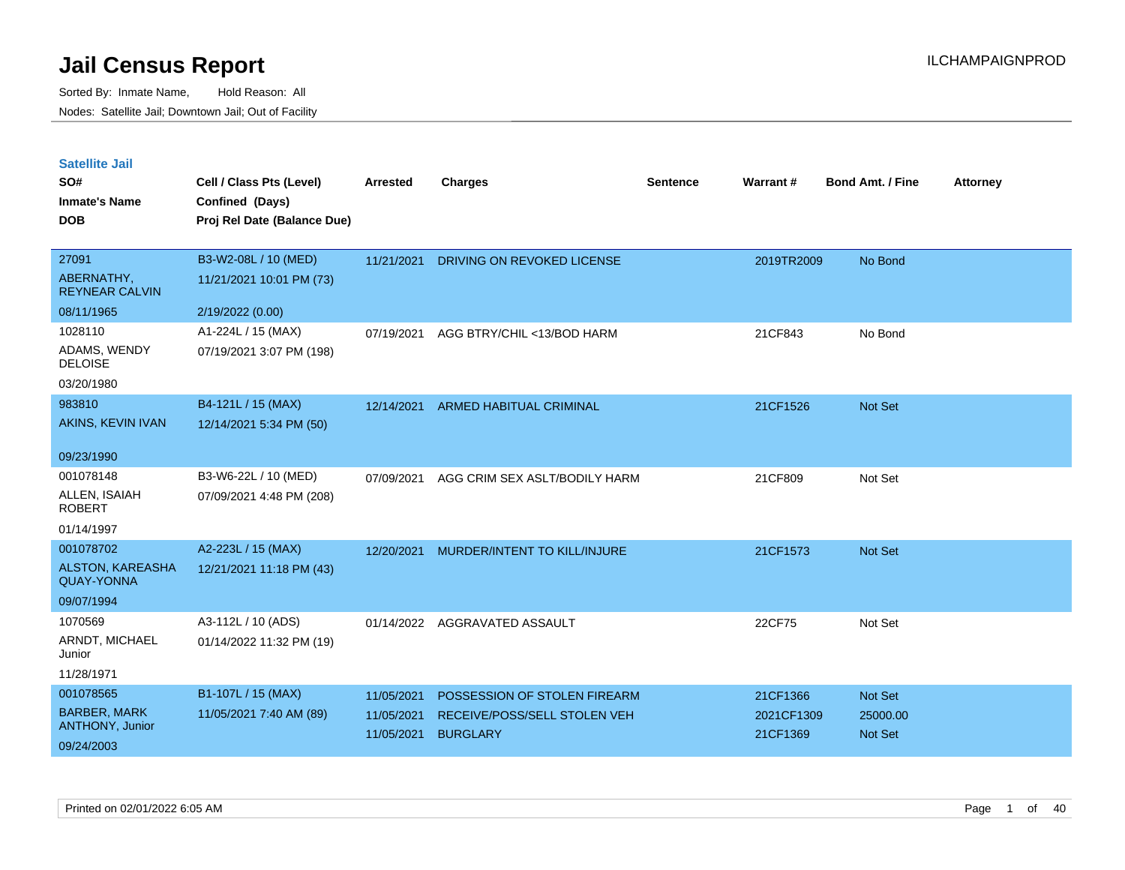| <b>Satellite Jail</b> |  |
|-----------------------|--|
|                       |  |

| SO#<br><b>Inmate's Name</b><br><b>DOB</b> | Cell / Class Pts (Level)<br>Confined (Days)<br>Proj Rel Date (Balance Due) | Arrested   | <b>Charges</b>                | <b>Sentence</b> | Warrant#   | <b>Bond Amt. / Fine</b> | <b>Attorney</b> |
|-------------------------------------------|----------------------------------------------------------------------------|------------|-------------------------------|-----------------|------------|-------------------------|-----------------|
| 27091                                     | B3-W2-08L / 10 (MED)                                                       | 11/21/2021 | DRIVING ON REVOKED LICENSE    |                 | 2019TR2009 | No Bond                 |                 |
| ABERNATHY,<br><b>REYNEAR CALVIN</b>       | 11/21/2021 10:01 PM (73)                                                   |            |                               |                 |            |                         |                 |
| 08/11/1965                                | 2/19/2022 (0.00)                                                           |            |                               |                 |            |                         |                 |
| 1028110                                   | A1-224L / 15 (MAX)                                                         | 07/19/2021 | AGG BTRY/CHIL <13/BOD HARM    |                 | 21CF843    | No Bond                 |                 |
| ADAMS, WENDY<br><b>DELOISE</b>            | 07/19/2021 3:07 PM (198)                                                   |            |                               |                 |            |                         |                 |
| 03/20/1980                                |                                                                            |            |                               |                 |            |                         |                 |
| 983810                                    | B4-121L / 15 (MAX)                                                         | 12/14/2021 | ARMED HABITUAL CRIMINAL       |                 | 21CF1526   | Not Set                 |                 |
| AKINS, KEVIN IVAN                         | 12/14/2021 5:34 PM (50)                                                    |            |                               |                 |            |                         |                 |
| 09/23/1990                                |                                                                            |            |                               |                 |            |                         |                 |
| 001078148                                 | B3-W6-22L / 10 (MED)                                                       | 07/09/2021 | AGG CRIM SEX ASLT/BODILY HARM |                 | 21CF809    | Not Set                 |                 |
| ALLEN, ISAIAH<br><b>ROBERT</b>            | 07/09/2021 4:48 PM (208)                                                   |            |                               |                 |            |                         |                 |
| 01/14/1997                                |                                                                            |            |                               |                 |            |                         |                 |
| 001078702                                 | A2-223L / 15 (MAX)                                                         | 12/20/2021 | MURDER/INTENT TO KILL/INJURE  |                 | 21CF1573   | Not Set                 |                 |
| <b>ALSTON, KAREASHA</b><br>QUAY-YONNA     | 12/21/2021 11:18 PM (43)                                                   |            |                               |                 |            |                         |                 |
| 09/07/1994                                |                                                                            |            |                               |                 |            |                         |                 |
| 1070569                                   | A3-112L / 10 (ADS)                                                         |            | 01/14/2022 AGGRAVATED ASSAULT |                 | 22CF75     | Not Set                 |                 |
| ARNDT, MICHAEL<br>Junior                  | 01/14/2022 11:32 PM (19)                                                   |            |                               |                 |            |                         |                 |
| 11/28/1971                                |                                                                            |            |                               |                 |            |                         |                 |
| 001078565                                 | B1-107L / 15 (MAX)                                                         | 11/05/2021 | POSSESSION OF STOLEN FIREARM  |                 | 21CF1366   | Not Set                 |                 |
| <b>BARBER, MARK</b><br>ANTHONY, Junior    | 11/05/2021 7:40 AM (89)                                                    | 11/05/2021 | RECEIVE/POSS/SELL STOLEN VEH  |                 | 2021CF1309 | 25000.00                |                 |
| 09/24/2003                                |                                                                            | 11/05/2021 | <b>BURGLARY</b>               |                 | 21CF1369   | Not Set                 |                 |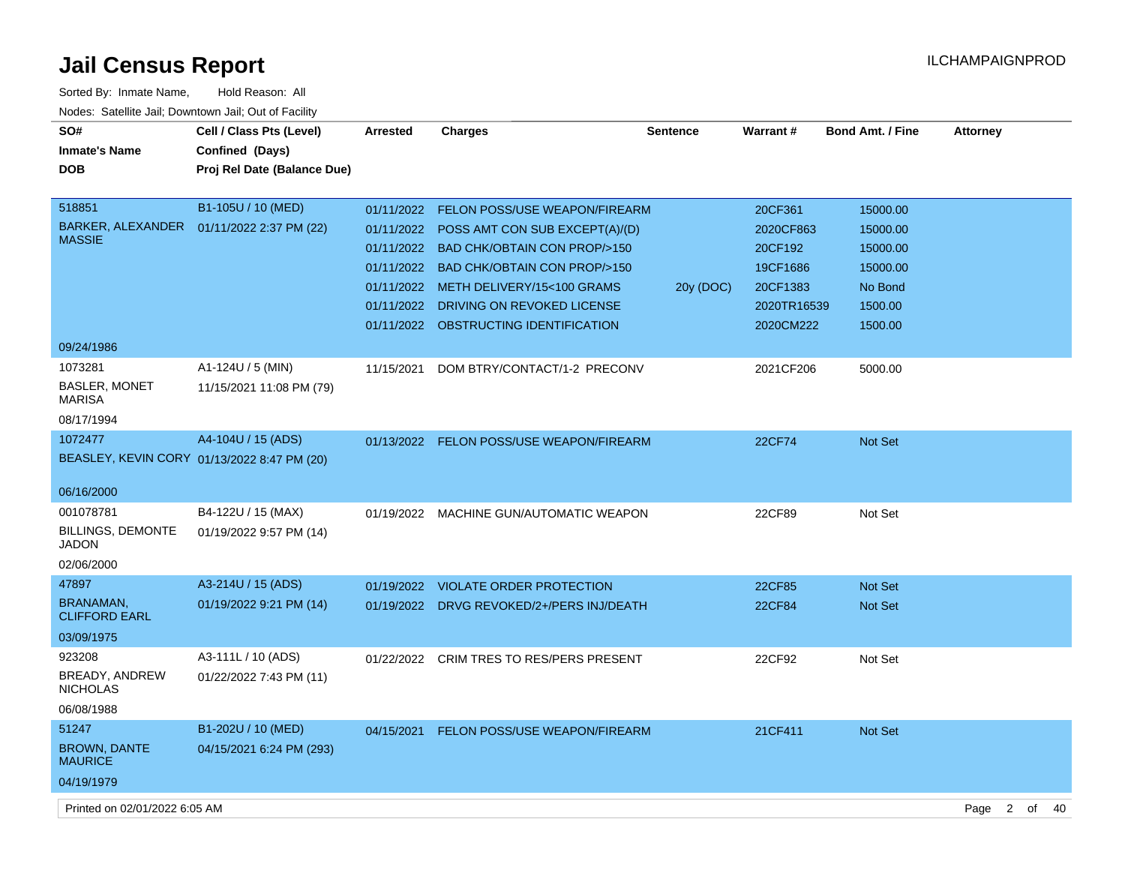| Sorted By: Inmate Name,                               | Hold Reason: All                            |                 |                                           |                 |               |                         |                 |
|-------------------------------------------------------|---------------------------------------------|-----------------|-------------------------------------------|-----------------|---------------|-------------------------|-----------------|
| Nodes: Satellite Jail; Downtown Jail; Out of Facility |                                             |                 |                                           |                 |               |                         |                 |
| SO#                                                   | Cell / Class Pts (Level)                    | <b>Arrested</b> | <b>Charges</b>                            | <b>Sentence</b> | Warrant#      | <b>Bond Amt. / Fine</b> | <b>Attorney</b> |
| <b>Inmate's Name</b>                                  | Confined (Days)                             |                 |                                           |                 |               |                         |                 |
| <b>DOB</b>                                            | Proj Rel Date (Balance Due)                 |                 |                                           |                 |               |                         |                 |
|                                                       |                                             |                 |                                           |                 |               |                         |                 |
| 518851                                                | B1-105U / 10 (MED)                          |                 | 01/11/2022 FELON POSS/USE WEAPON/FIREARM  |                 | 20CF361       | 15000.00                |                 |
| BARKER, ALEXANDER                                     | 01/11/2022 2:37 PM (22)                     | 01/11/2022      | POSS AMT CON SUB EXCEPT(A)/(D)            |                 | 2020CF863     | 15000.00                |                 |
| <b>MASSIE</b>                                         |                                             |                 | 01/11/2022 BAD CHK/OBTAIN CON PROP/>150   |                 | 20CF192       | 15000.00                |                 |
|                                                       |                                             |                 | 01/11/2022 BAD CHK/OBTAIN CON PROP/>150   |                 | 19CF1686      | 15000.00                |                 |
|                                                       |                                             |                 | 01/11/2022 METH DELIVERY/15<100 GRAMS     | 20y (DOC)       | 20CF1383      | No Bond                 |                 |
|                                                       |                                             |                 | 01/11/2022 DRIVING ON REVOKED LICENSE     |                 | 2020TR16539   | 1500.00                 |                 |
|                                                       |                                             |                 | 01/11/2022 OBSTRUCTING IDENTIFICATION     |                 | 2020CM222     | 1500.00                 |                 |
| 09/24/1986                                            |                                             |                 |                                           |                 |               |                         |                 |
| 1073281                                               | A1-124U / 5 (MIN)                           | 11/15/2021      | DOM BTRY/CONTACT/1-2 PRECONV              |                 | 2021CF206     | 5000.00                 |                 |
| <b>BASLER, MONET</b><br><b>MARISA</b>                 | 11/15/2021 11:08 PM (79)                    |                 |                                           |                 |               |                         |                 |
| 08/17/1994                                            |                                             |                 |                                           |                 |               |                         |                 |
| 1072477                                               | A4-104U / 15 (ADS)                          |                 | 01/13/2022 FELON POSS/USE WEAPON/FIREARM  |                 | <b>22CF74</b> | Not Set                 |                 |
|                                                       | BEASLEY, KEVIN CORY 01/13/2022 8:47 PM (20) |                 |                                           |                 |               |                         |                 |
|                                                       |                                             |                 |                                           |                 |               |                         |                 |
| 06/16/2000                                            |                                             |                 |                                           |                 |               |                         |                 |
| 001078781                                             | B4-122U / 15 (MAX)                          | 01/19/2022      | MACHINE GUN/AUTOMATIC WEAPON              |                 | 22CF89        | Not Set                 |                 |
| <b>BILLINGS, DEMONTE</b><br><b>JADON</b>              | 01/19/2022 9:57 PM (14)                     |                 |                                           |                 |               |                         |                 |
| 02/06/2000                                            |                                             |                 |                                           |                 |               |                         |                 |
| 47897                                                 | A3-214U / 15 (ADS)                          | 01/19/2022      | <b>VIOLATE ORDER PROTECTION</b>           |                 | 22CF85        | <b>Not Set</b>          |                 |
| <b>BRANAMAN,</b><br><b>CLIFFORD EARL</b>              | 01/19/2022 9:21 PM (14)                     |                 | 01/19/2022 DRVG REVOKED/2+/PERS INJ/DEATH |                 | <b>22CF84</b> | <b>Not Set</b>          |                 |
| 03/09/1975                                            |                                             |                 |                                           |                 |               |                         |                 |
| 923208                                                | A3-111L / 10 (ADS)                          | 01/22/2022      | CRIM TRES TO RES/PERS PRESENT             |                 | 22CF92        | Not Set                 |                 |
| BREADY, ANDREW<br><b>NICHOLAS</b>                     | 01/22/2022 7:43 PM (11)                     |                 |                                           |                 |               |                         |                 |
| 06/08/1988                                            |                                             |                 |                                           |                 |               |                         |                 |
| 51247                                                 | B1-202U / 10 (MED)                          |                 | 04/15/2021 FELON POSS/USE WEAPON/FIREARM  |                 | 21CF411       | Not Set                 |                 |
| <b>BROWN, DANTE</b><br><b>MAURICE</b>                 | 04/15/2021 6:24 PM (293)                    |                 |                                           |                 |               |                         |                 |
| 04/19/1979                                            |                                             |                 |                                           |                 |               |                         |                 |
|                                                       |                                             |                 |                                           |                 |               |                         |                 |

Printed on 02/01/2022 6:05 AM Page 2 of 40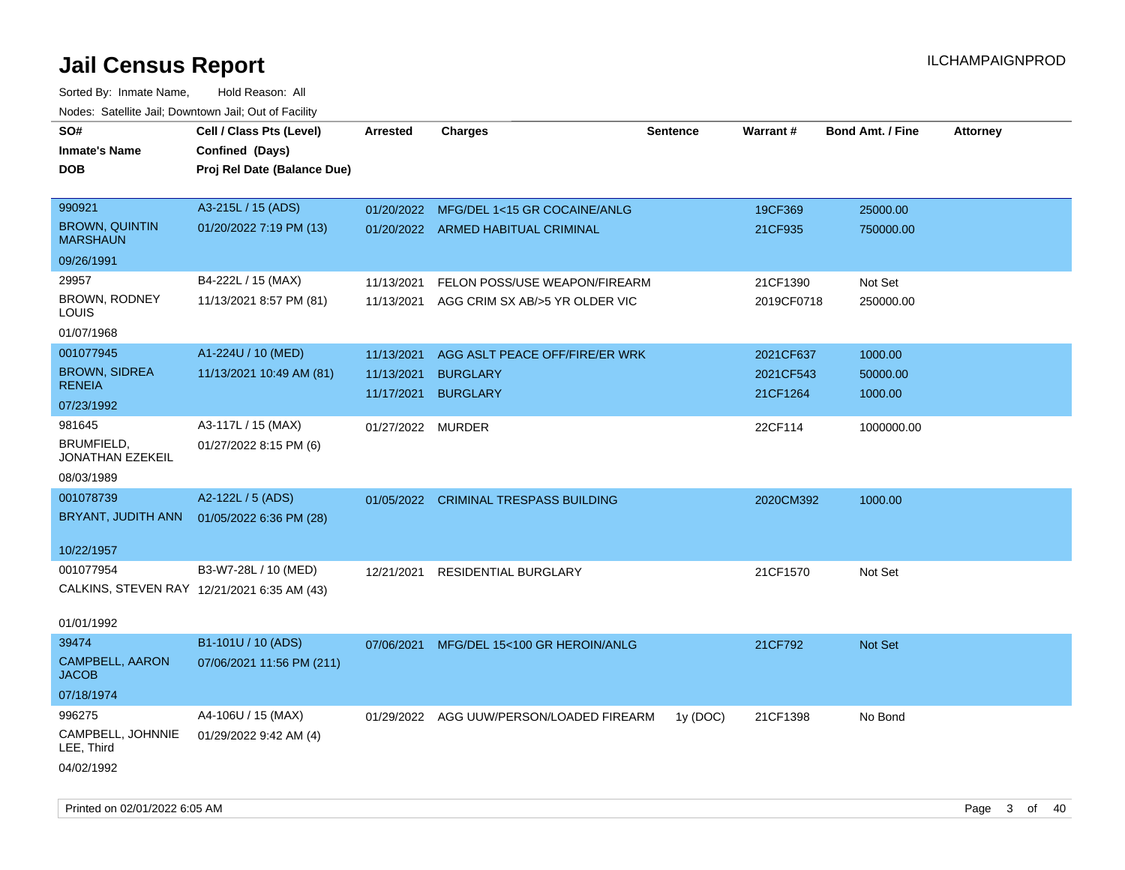| SO#                                         | Cell / Class Pts (Level)    | Arrested          | <b>Charges</b>                           | <b>Sentence</b> | Warrant#   | <b>Bond Amt. / Fine</b> | <b>Attorney</b> |
|---------------------------------------------|-----------------------------|-------------------|------------------------------------------|-----------------|------------|-------------------------|-----------------|
| <b>Inmate's Name</b>                        | Confined (Days)             |                   |                                          |                 |            |                         |                 |
| <b>DOB</b>                                  | Proj Rel Date (Balance Due) |                   |                                          |                 |            |                         |                 |
|                                             |                             |                   |                                          |                 |            |                         |                 |
| 990921                                      | A3-215L / 15 (ADS)          | 01/20/2022        | MFG/DEL 1<15 GR COCAINE/ANLG             |                 | 19CF369    | 25000.00                |                 |
| <b>BROWN, QUINTIN</b><br><b>MARSHAUN</b>    | 01/20/2022 7:19 PM (13)     |                   | 01/20/2022 ARMED HABITUAL CRIMINAL       |                 | 21CF935    | 750000.00               |                 |
| 09/26/1991                                  |                             |                   |                                          |                 |            |                         |                 |
| 29957                                       | B4-222L / 15 (MAX)          | 11/13/2021        | FELON POSS/USE WEAPON/FIREARM            |                 | 21CF1390   | Not Set                 |                 |
| BROWN, RODNEY<br>LOUIS                      | 11/13/2021 8:57 PM (81)     | 11/13/2021        | AGG CRIM SX AB/>5 YR OLDER VIC           |                 | 2019CF0718 | 250000.00               |                 |
| 01/07/1968                                  |                             |                   |                                          |                 |            |                         |                 |
| 001077945                                   | A1-224U / 10 (MED)          | 11/13/2021        | AGG ASLT PEACE OFF/FIRE/ER WRK           |                 | 2021CF637  | 1000.00                 |                 |
| <b>BROWN, SIDREA</b>                        | 11/13/2021 10:49 AM (81)    | 11/13/2021        | <b>BURGLARY</b>                          |                 | 2021CF543  | 50000.00                |                 |
| <b>RENEIA</b>                               |                             | 11/17/2021        | <b>BURGLARY</b>                          |                 | 21CF1264   | 1000.00                 |                 |
| 07/23/1992                                  |                             |                   |                                          |                 |            |                         |                 |
| 981645                                      | A3-117L / 15 (MAX)          | 01/27/2022 MURDER |                                          |                 | 22CF114    | 1000000.00              |                 |
| BRUMFIELD,<br>JONATHAN EZEKEIL              | 01/27/2022 8:15 PM (6)      |                   |                                          |                 |            |                         |                 |
| 08/03/1989                                  |                             |                   |                                          |                 |            |                         |                 |
| 001078739                                   | A2-122L / 5 (ADS)           |                   | 01/05/2022 CRIMINAL TRESPASS BUILDING    |                 | 2020CM392  | 1000.00                 |                 |
| BRYANT, JUDITH ANN                          | 01/05/2022 6:36 PM (28)     |                   |                                          |                 |            |                         |                 |
|                                             |                             |                   |                                          |                 |            |                         |                 |
| 10/22/1957                                  |                             |                   |                                          |                 |            |                         |                 |
| 001077954                                   | B3-W7-28L / 10 (MED)        | 12/21/2021        | <b>RESIDENTIAL BURGLARY</b>              |                 | 21CF1570   | Not Set                 |                 |
| CALKINS, STEVEN RAY 12/21/2021 6:35 AM (43) |                             |                   |                                          |                 |            |                         |                 |
|                                             |                             |                   |                                          |                 |            |                         |                 |
| 01/01/1992                                  |                             |                   |                                          |                 |            |                         |                 |
| 39474                                       | B1-101U / 10 (ADS)          | 07/06/2021        | MFG/DEL 15<100 GR HEROIN/ANLG            |                 | 21CF792    | <b>Not Set</b>          |                 |
| <b>CAMPBELL, AARON</b><br><b>JACOB</b>      | 07/06/2021 11:56 PM (211)   |                   |                                          |                 |            |                         |                 |
| 07/18/1974                                  |                             |                   |                                          |                 |            |                         |                 |
| 996275                                      | A4-106U / 15 (MAX)          |                   | 01/29/2022 AGG UUW/PERSON/LOADED FIREARM | 1y (DOC)        | 21CF1398   | No Bond                 |                 |
| CAMPBELL, JOHNNIE<br>LEE, Third             | 01/29/2022 9:42 AM (4)      |                   |                                          |                 |            |                         |                 |
| 04/02/1992                                  |                             |                   |                                          |                 |            |                         |                 |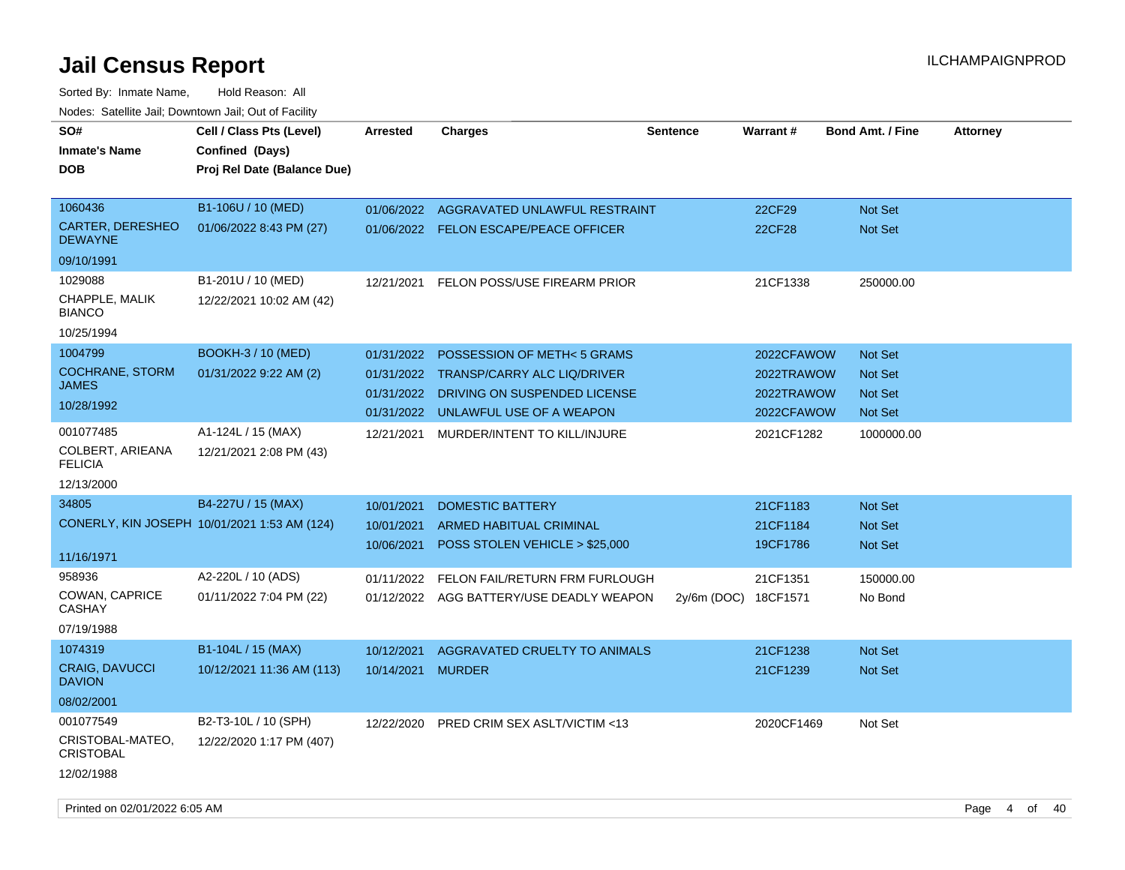| SO#<br><b>Inmate's Name</b><br>DOB                                 | Cell / Class Pts (Level)<br>Confined (Days)<br>Proj Rel Date (Balance Due) | <b>Arrested</b>                        | <b>Charges</b>                                                                                                                          | <b>Sentence</b> | Warrant#                                             | <b>Bond Amt. / Fine</b>                                       | <b>Attorney</b> |
|--------------------------------------------------------------------|----------------------------------------------------------------------------|----------------------------------------|-----------------------------------------------------------------------------------------------------------------------------------------|-----------------|------------------------------------------------------|---------------------------------------------------------------|-----------------|
| 1060436<br><b>CARTER, DERESHEO</b><br><b>DEWAYNE</b><br>09/10/1991 | B1-106U / 10 (MED)<br>01/06/2022 8:43 PM (27)                              | 01/06/2022                             | AGGRAVATED UNLAWFUL RESTRAINT<br>01/06/2022 FELON ESCAPE/PEACE OFFICER                                                                  |                 | 22CF29<br>22CF28                                     | Not Set<br>Not Set                                            |                 |
| 1029088<br>CHAPPLE, MALIK<br><b>BIANCO</b><br>10/25/1994           | B1-201U / 10 (MED)<br>12/22/2021 10:02 AM (42)                             | 12/21/2021                             | FELON POSS/USE FIREARM PRIOR                                                                                                            |                 | 21CF1338                                             | 250000.00                                                     |                 |
| 1004799<br><b>COCHRANE, STORM</b><br>JAMES<br>10/28/1992           | <b>BOOKH-3 / 10 (MED)</b><br>01/31/2022 9:22 AM (2)                        | 01/31/2022<br>01/31/2022<br>01/31/2022 | POSSESSION OF METH<5 GRAMS<br><b>TRANSP/CARRY ALC LIQ/DRIVER</b><br>DRIVING ON SUSPENDED LICENSE<br>01/31/2022 UNLAWFUL USE OF A WEAPON |                 | 2022CFAWOW<br>2022TRAWOW<br>2022TRAWOW<br>2022CFAWOW | <b>Not Set</b><br>Not Set<br><b>Not Set</b><br><b>Not Set</b> |                 |
| 001077485<br>COLBERT, ARIEANA<br><b>FELICIA</b><br>12/13/2000      | A1-124L / 15 (MAX)<br>12/21/2021 2:08 PM (43)                              | 12/21/2021                             | MURDER/INTENT TO KILL/INJURE                                                                                                            |                 | 2021CF1282                                           | 1000000.00                                                    |                 |
| 34805<br>11/16/1971                                                | B4-227U / 15 (MAX)<br>CONERLY, KIN JOSEPH 10/01/2021 1:53 AM (124)         | 10/01/2021<br>10/01/2021<br>10/06/2021 | <b>DOMESTIC BATTERY</b><br><b>ARMED HABITUAL CRIMINAL</b><br>POSS STOLEN VEHICLE > \$25,000                                             |                 | 21CF1183<br>21CF1184<br>19CF1786                     | <b>Not Set</b><br>Not Set<br>Not Set                          |                 |
| 958936<br>COWAN, CAPRICE<br>CASHAY<br>07/19/1988                   | A2-220L / 10 (ADS)<br>01/11/2022 7:04 PM (22)                              | 01/11/2022<br>01/12/2022               | FELON FAIL/RETURN FRM FURLOUGH<br>AGG BATTERY/USE DEADLY WEAPON                                                                         | $2y/6m$ (DOC)   | 21CF1351<br>18CF1571                                 | 150000.00<br>No Bond                                          |                 |
| 1074319<br><b>CRAIG, DAVUCCI</b><br><b>DAVION</b><br>08/02/2001    | B1-104L / 15 (MAX)<br>10/12/2021 11:36 AM (113)                            | 10/12/2021<br>10/14/2021               | AGGRAVATED CRUELTY TO ANIMALS<br><b>MURDER</b>                                                                                          |                 | 21CF1238<br>21CF1239                                 | Not Set<br><b>Not Set</b>                                     |                 |
| 001077549<br>CRISTOBAL-MATEO,<br><b>CRISTOBAL</b><br>12/02/1988    | B2-T3-10L / 10 (SPH)<br>12/22/2020 1:17 PM (407)                           |                                        | 12/22/2020 PRED CRIM SEX ASLT/VICTIM <13                                                                                                |                 | 2020CF1469                                           | Not Set                                                       |                 |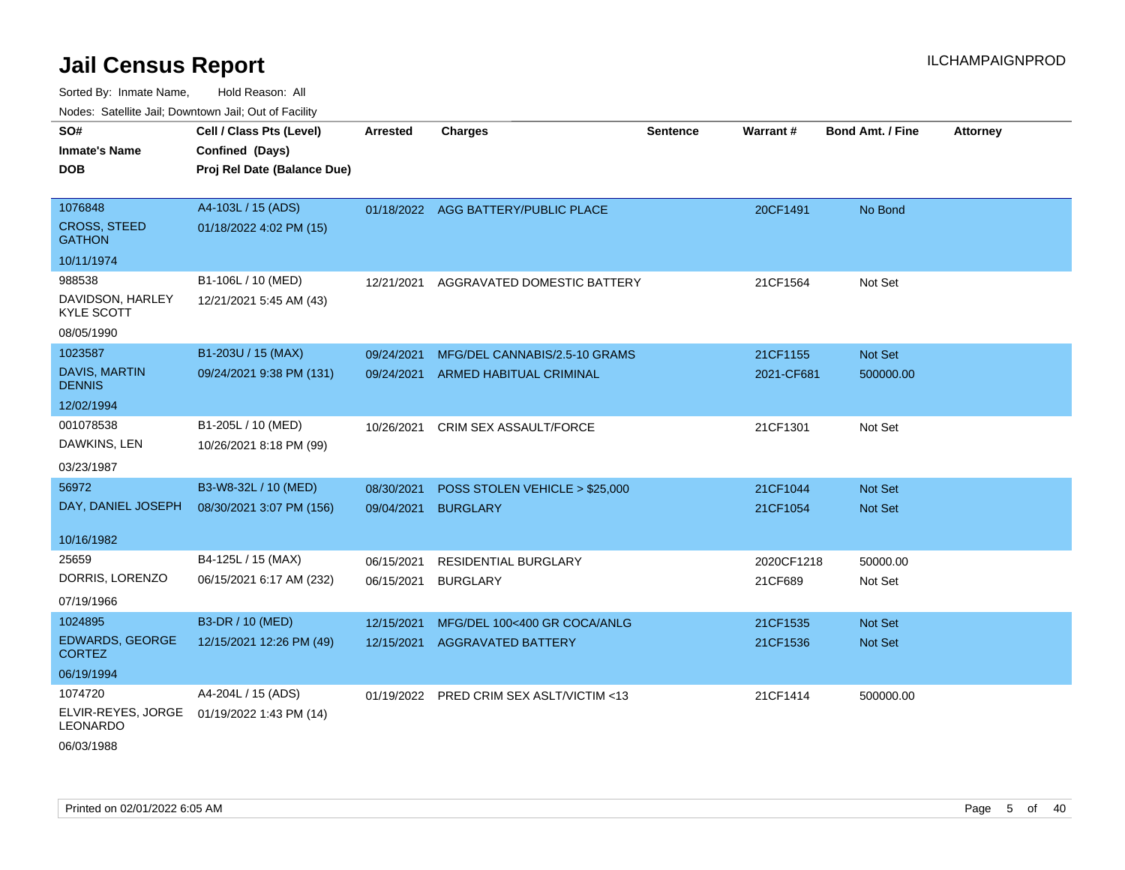Sorted By: Inmate Name, Hold Reason: All Nodes: Satellite Jail; Downtown Jail; Out of Facility

| SO#                                     | Cell / Class Pts (Level)    | <b>Arrested</b> | <b>Charges</b>                           | <b>Sentence</b> | Warrant#   | <b>Bond Amt. / Fine</b> | <b>Attorney</b> |
|-----------------------------------------|-----------------------------|-----------------|------------------------------------------|-----------------|------------|-------------------------|-----------------|
| <b>Inmate's Name</b>                    | Confined (Days)             |                 |                                          |                 |            |                         |                 |
| <b>DOB</b>                              | Proj Rel Date (Balance Due) |                 |                                          |                 |            |                         |                 |
|                                         |                             |                 |                                          |                 |            |                         |                 |
| 1076848                                 | A4-103L / 15 (ADS)          |                 | 01/18/2022 AGG BATTERY/PUBLIC PLACE      |                 | 20CF1491   | No Bond                 |                 |
| <b>CROSS, STEED</b><br><b>GATHON</b>    | 01/18/2022 4:02 PM (15)     |                 |                                          |                 |            |                         |                 |
| 10/11/1974                              |                             |                 |                                          |                 |            |                         |                 |
| 988538                                  | B1-106L / 10 (MED)          | 12/21/2021      | AGGRAVATED DOMESTIC BATTERY              |                 | 21CF1564   | Not Set                 |                 |
| DAVIDSON, HARLEY<br><b>KYLE SCOTT</b>   | 12/21/2021 5:45 AM (43)     |                 |                                          |                 |            |                         |                 |
| 08/05/1990                              |                             |                 |                                          |                 |            |                         |                 |
| 1023587                                 | B1-203U / 15 (MAX)          | 09/24/2021      | MFG/DEL CANNABIS/2.5-10 GRAMS            |                 | 21CF1155   | <b>Not Set</b>          |                 |
| <b>DAVIS, MARTIN</b><br><b>DENNIS</b>   | 09/24/2021 9:38 PM (131)    | 09/24/2021      | ARMED HABITUAL CRIMINAL                  |                 | 2021-CF681 | 500000.00               |                 |
| 12/02/1994                              |                             |                 |                                          |                 |            |                         |                 |
| 001078538                               | B1-205L / 10 (MED)          | 10/26/2021      | CRIM SEX ASSAULT/FORCE                   |                 | 21CF1301   | Not Set                 |                 |
| DAWKINS, LEN                            | 10/26/2021 8:18 PM (99)     |                 |                                          |                 |            |                         |                 |
| 03/23/1987                              |                             |                 |                                          |                 |            |                         |                 |
| 56972                                   | B3-W8-32L / 10 (MED)        | 08/30/2021      | POSS STOLEN VEHICLE > \$25,000           |                 | 21CF1044   | Not Set                 |                 |
| DAY, DANIEL JOSEPH                      | 08/30/2021 3:07 PM (156)    | 09/04/2021      | <b>BURGLARY</b>                          |                 | 21CF1054   | Not Set                 |                 |
|                                         |                             |                 |                                          |                 |            |                         |                 |
| 10/16/1982                              |                             |                 |                                          |                 |            |                         |                 |
| 25659                                   | B4-125L / 15 (MAX)          | 06/15/2021      | <b>RESIDENTIAL BURGLARY</b>              |                 | 2020CF1218 | 50000.00                |                 |
| DORRIS, LORENZO                         | 06/15/2021 6:17 AM (232)    | 06/15/2021      | <b>BURGLARY</b>                          |                 | 21CF689    | Not Set                 |                 |
| 07/19/1966                              |                             |                 |                                          |                 |            |                         |                 |
| 1024895                                 | B3-DR / 10 (MED)            | 12/15/2021      | MFG/DEL 100<400 GR COCA/ANLG             |                 | 21CF1535   | Not Set                 |                 |
| <b>EDWARDS, GEORGE</b><br><b>CORTEZ</b> | 12/15/2021 12:26 PM (49)    | 12/15/2021      | <b>AGGRAVATED BATTERY</b>                |                 | 21CF1536   | Not Set                 |                 |
| 06/19/1994                              |                             |                 |                                          |                 |            |                         |                 |
| 1074720                                 | A4-204L / 15 (ADS)          |                 | 01/19/2022 PRED CRIM SEX ASLT/VICTIM <13 |                 | 21CF1414   | 500000.00               |                 |
| ELVIR-REYES, JORGE<br>LEONARDO          | 01/19/2022 1:43 PM (14)     |                 |                                          |                 |            |                         |                 |

06/03/1988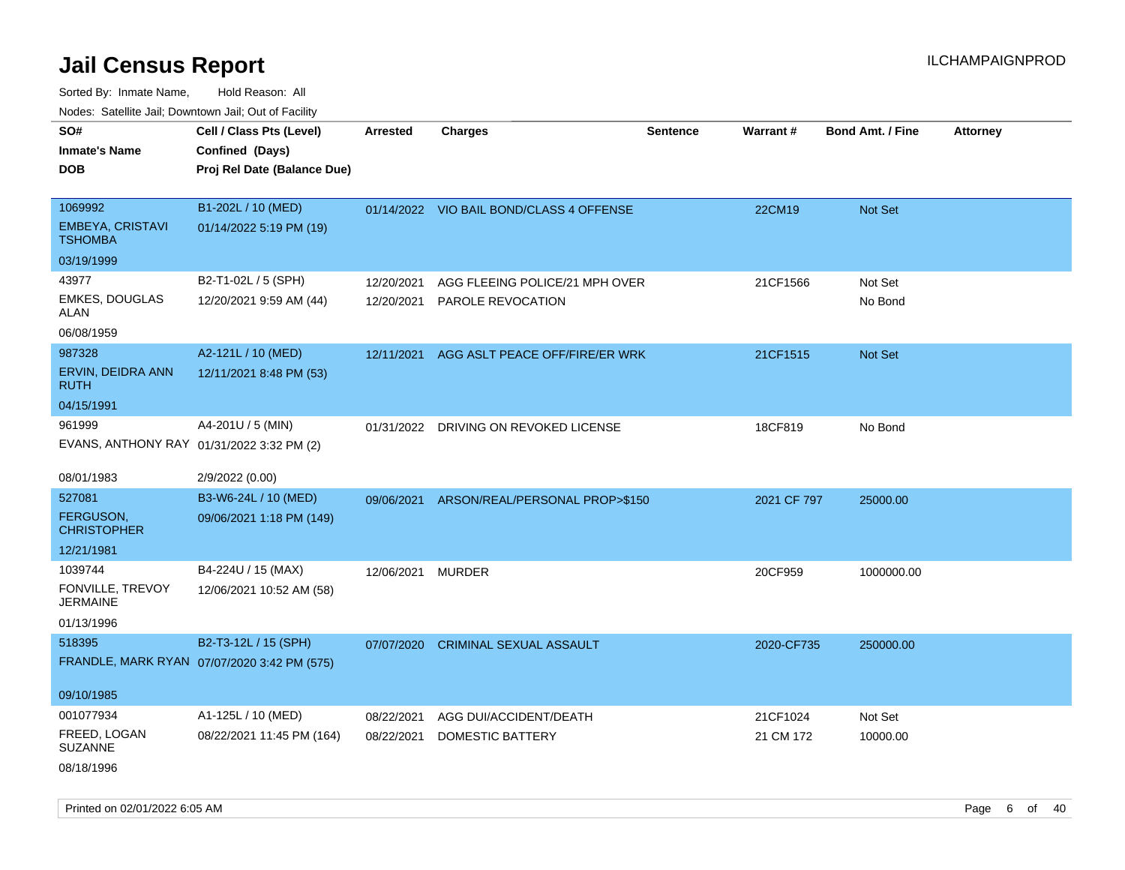Sorted By: Inmate Name, Hold Reason: All Nodes: Satellite Jail; Downtown Jail; Out of Facility

| roaco. Catolino dall, Downtown dall, Out of Fability |                                             |                 |                                          |                 |                 |                         |                 |
|------------------------------------------------------|---------------------------------------------|-----------------|------------------------------------------|-----------------|-----------------|-------------------------|-----------------|
| SO#                                                  | Cell / Class Pts (Level)                    | <b>Arrested</b> | <b>Charges</b>                           | <b>Sentence</b> | <b>Warrant#</b> | <b>Bond Amt. / Fine</b> | <b>Attorney</b> |
| <b>Inmate's Name</b>                                 | Confined (Days)                             |                 |                                          |                 |                 |                         |                 |
| <b>DOB</b>                                           | Proj Rel Date (Balance Due)                 |                 |                                          |                 |                 |                         |                 |
|                                                      |                                             |                 |                                          |                 |                 |                         |                 |
| 1069992                                              | B1-202L / 10 (MED)                          |                 | 01/14/2022 VIO BAIL BOND/CLASS 4 OFFENSE |                 | 22CM19          | Not Set                 |                 |
| EMBEYA, CRISTAVI<br><b>TSHOMBA</b>                   | 01/14/2022 5:19 PM (19)                     |                 |                                          |                 |                 |                         |                 |
| 03/19/1999                                           |                                             |                 |                                          |                 |                 |                         |                 |
| 43977                                                | B2-T1-02L / 5 (SPH)                         | 12/20/2021      | AGG FLEEING POLICE/21 MPH OVER           |                 | 21CF1566        | Not Set                 |                 |
| <b>EMKES, DOUGLAS</b><br>ALAN                        | 12/20/2021 9:59 AM (44)                     | 12/20/2021      | PAROLE REVOCATION                        |                 |                 | No Bond                 |                 |
| 06/08/1959                                           |                                             |                 |                                          |                 |                 |                         |                 |
| 987328                                               | A2-121L / 10 (MED)                          | 12/11/2021      | AGG ASLT PEACE OFF/FIRE/ER WRK           |                 | 21CF1515        | Not Set                 |                 |
| ERVIN, DEIDRA ANN<br><b>RUTH</b>                     | 12/11/2021 8:48 PM (53)                     |                 |                                          |                 |                 |                         |                 |
| 04/15/1991                                           |                                             |                 |                                          |                 |                 |                         |                 |
| 961999                                               | A4-201U / 5 (MIN)                           |                 | 01/31/2022 DRIVING ON REVOKED LICENSE    |                 | 18CF819         | No Bond                 |                 |
| EVANS, ANTHONY RAY 01/31/2022 3:32 PM (2)            |                                             |                 |                                          |                 |                 |                         |                 |
|                                                      |                                             |                 |                                          |                 |                 |                         |                 |
| 08/01/1983                                           | 2/9/2022 (0.00)                             |                 |                                          |                 |                 |                         |                 |
| 527081                                               | B3-W6-24L / 10 (MED)                        | 09/06/2021      | ARSON/REAL/PERSONAL PROP>\$150           |                 | 2021 CF 797     | 25000.00                |                 |
| <b>FERGUSON,</b><br><b>CHRISTOPHER</b>               | 09/06/2021 1:18 PM (149)                    |                 |                                          |                 |                 |                         |                 |
| 12/21/1981                                           |                                             |                 |                                          |                 |                 |                         |                 |
| 1039744                                              | B4-224U / 15 (MAX)                          | 12/06/2021      | MURDER                                   |                 | 20CF959         | 1000000.00              |                 |
| FONVILLE, TREVOY<br><b>JERMAINE</b>                  | 12/06/2021 10:52 AM (58)                    |                 |                                          |                 |                 |                         |                 |
| 01/13/1996                                           |                                             |                 |                                          |                 |                 |                         |                 |
| 518395                                               | B2-T3-12L / 15 (SPH)                        | 07/07/2020      | <b>CRIMINAL SEXUAL ASSAULT</b>           |                 | 2020-CF735      | 250000.00               |                 |
|                                                      | FRANDLE, MARK RYAN 07/07/2020 3:42 PM (575) |                 |                                          |                 |                 |                         |                 |
|                                                      |                                             |                 |                                          |                 |                 |                         |                 |
| 09/10/1985                                           |                                             |                 |                                          |                 |                 |                         |                 |
| 001077934                                            | A1-125L / 10 (MED)                          | 08/22/2021      | AGG DUI/ACCIDENT/DEATH                   |                 | 21CF1024        | Not Set                 |                 |
| FREED, LOGAN<br><b>SUZANNE</b>                       | 08/22/2021 11:45 PM (164)                   | 08/22/2021      | DOMESTIC BATTERY                         |                 | 21 CM 172       | 10000.00                |                 |
| 08/18/1996                                           |                                             |                 |                                          |                 |                 |                         |                 |

Printed on 02/01/2022 6:05 AM Page 6 of 40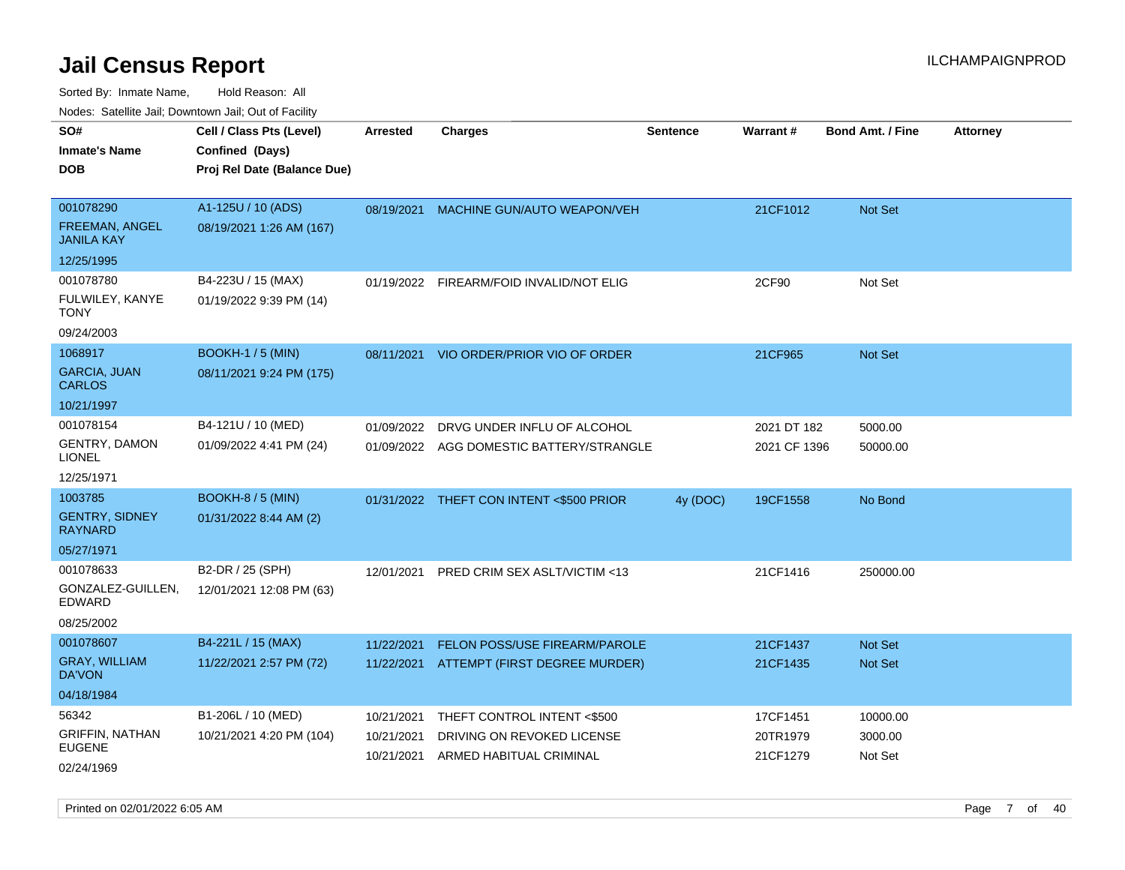| roaco. Calcinio dan, Downtown dan, Cal or Fability |                             |                 |                                          |                 |                 |                         |                 |
|----------------------------------------------------|-----------------------------|-----------------|------------------------------------------|-----------------|-----------------|-------------------------|-----------------|
| SO#                                                | Cell / Class Pts (Level)    | <b>Arrested</b> | <b>Charges</b>                           | <b>Sentence</b> | <b>Warrant#</b> | <b>Bond Amt. / Fine</b> | <b>Attorney</b> |
| Inmate's Name                                      | Confined (Days)             |                 |                                          |                 |                 |                         |                 |
| DOB                                                | Proj Rel Date (Balance Due) |                 |                                          |                 |                 |                         |                 |
|                                                    |                             |                 |                                          |                 |                 |                         |                 |
| 001078290                                          | A1-125U / 10 (ADS)          | 08/19/2021      | MACHINE GUN/AUTO WEAPON/VEH              |                 | 21CF1012        | <b>Not Set</b>          |                 |
| <b>FREEMAN, ANGEL</b><br><b>JANILA KAY</b>         | 08/19/2021 1:26 AM (167)    |                 |                                          |                 |                 |                         |                 |
| 12/25/1995                                         |                             |                 |                                          |                 |                 |                         |                 |
| 001078780                                          | B4-223U / 15 (MAX)          | 01/19/2022      | FIREARM/FOID INVALID/NOT ELIG            |                 | 2CF90           | Not Set                 |                 |
| FULWILEY, KANYE<br>TONY                            | 01/19/2022 9:39 PM (14)     |                 |                                          |                 |                 |                         |                 |
| 09/24/2003                                         |                             |                 |                                          |                 |                 |                         |                 |
| 1068917                                            | <b>BOOKH-1/5 (MIN)</b>      | 08/11/2021      | VIO ORDER/PRIOR VIO OF ORDER             |                 | 21CF965         | <b>Not Set</b>          |                 |
| <b>GARCIA, JUAN</b><br>CARLOS                      | 08/11/2021 9:24 PM (175)    |                 |                                          |                 |                 |                         |                 |
| 10/21/1997                                         |                             |                 |                                          |                 |                 |                         |                 |
| 001078154                                          | B4-121U / 10 (MED)          | 01/09/2022      | DRVG UNDER INFLU OF ALCOHOL              |                 | 2021 DT 182     | 5000.00                 |                 |
| GENTRY, DAMON<br>LIONEL                            | 01/09/2022 4:41 PM (24)     | 01/09/2022      | AGG DOMESTIC BATTERY/STRANGLE            |                 | 2021 CF 1396    | 50000.00                |                 |
| 12/25/1971                                         |                             |                 |                                          |                 |                 |                         |                 |
| 1003785                                            | <b>BOOKH-8 / 5 (MIN)</b>    |                 | 01/31/2022 THEFT CON INTENT <\$500 PRIOR | 4y (DOC)        | 19CF1558        | No Bond                 |                 |
| <b>GENTRY, SIDNEY</b><br>RAYNARD                   | 01/31/2022 8:44 AM (2)      |                 |                                          |                 |                 |                         |                 |
| 05/27/1971                                         |                             |                 |                                          |                 |                 |                         |                 |
| 001078633                                          | B2-DR / 25 (SPH)            | 12/01/2021      | <b>PRED CRIM SEX ASLT/VICTIM &lt;13</b>  |                 | 21CF1416        | 250000.00               |                 |
| GONZALEZ-GUILLEN,<br>EDWARD                        | 12/01/2021 12:08 PM (63)    |                 |                                          |                 |                 |                         |                 |
| 08/25/2002                                         |                             |                 |                                          |                 |                 |                         |                 |
| 001078607                                          | B4-221L / 15 (MAX)          | 11/22/2021      | <b>FELON POSS/USE FIREARM/PAROLE</b>     |                 | 21CF1437        | <b>Not Set</b>          |                 |
| <b>GRAY, WILLIAM</b><br>DA'VON                     | 11/22/2021 2:57 PM (72)     |                 | 11/22/2021 ATTEMPT (FIRST DEGREE MURDER) |                 | 21CF1435        | <b>Not Set</b>          |                 |
| 04/18/1984                                         |                             |                 |                                          |                 |                 |                         |                 |
| 56342                                              | B1-206L / 10 (MED)          | 10/21/2021      | THEFT CONTROL INTENT <\$500              |                 | 17CF1451        | 10000.00                |                 |
| <b>GRIFFIN, NATHAN</b>                             | 10/21/2021 4:20 PM (104)    | 10/21/2021      | DRIVING ON REVOKED LICENSE               |                 | 20TR1979        | 3000.00                 |                 |
| EUGENE                                             |                             | 10/21/2021      | ARMED HABITUAL CRIMINAL                  |                 | 21CF1279        | Not Set                 |                 |
| 02/24/1969                                         |                             |                 |                                          |                 |                 |                         |                 |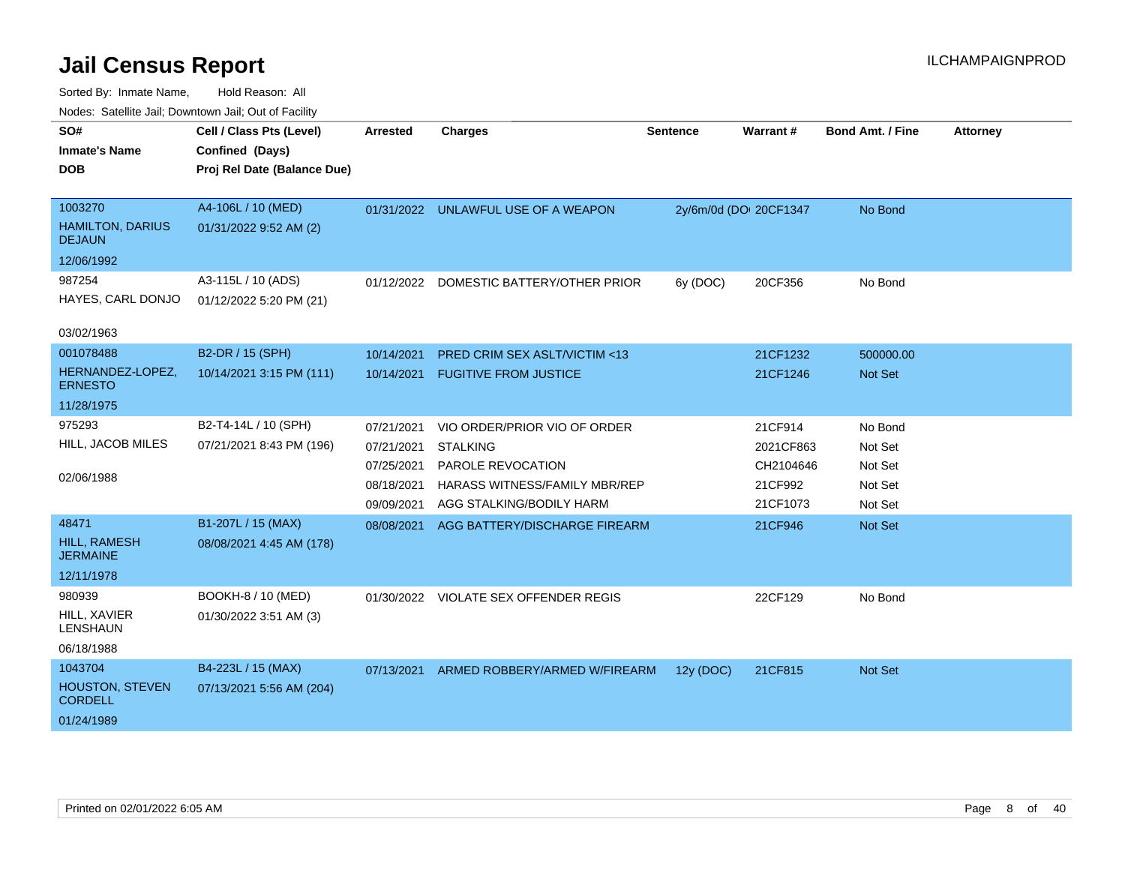| nouco. Catolino can, Downtown can, Out of Facility |                             |            |                                       |           |                        |                         |                 |
|----------------------------------------------------|-----------------------------|------------|---------------------------------------|-----------|------------------------|-------------------------|-----------------|
| SO#                                                | Cell / Class Pts (Level)    | Arrested   | <b>Charges</b>                        | Sentence  | Warrant#               | <b>Bond Amt. / Fine</b> | <b>Attorney</b> |
| <b>Inmate's Name</b>                               | Confined (Days)             |            |                                       |           |                        |                         |                 |
| <b>DOB</b>                                         | Proj Rel Date (Balance Due) |            |                                       |           |                        |                         |                 |
|                                                    |                             |            |                                       |           |                        |                         |                 |
| 1003270                                            | A4-106L / 10 (MED)          |            | 01/31/2022 UNLAWFUL USE OF A WEAPON   |           | 2y/6m/0d (DOI 20CF1347 | No Bond                 |                 |
| <b>HAMILTON, DARIUS</b><br><b>DEJAUN</b>           | 01/31/2022 9:52 AM (2)      |            |                                       |           |                        |                         |                 |
| 12/06/1992                                         |                             |            |                                       |           |                        |                         |                 |
| 987254                                             | A3-115L / 10 (ADS)          | 01/12/2022 | DOMESTIC BATTERY/OTHER PRIOR          | 6y (DOC)  | 20CF356                | No Bond                 |                 |
| HAYES, CARL DONJO                                  | 01/12/2022 5:20 PM (21)     |            |                                       |           |                        |                         |                 |
| 03/02/1963                                         |                             |            |                                       |           |                        |                         |                 |
| 001078488                                          | B2-DR / 15 (SPH)            | 10/14/2021 | PRED CRIM SEX ASLT/VICTIM <13         |           | 21CF1232               | 500000.00               |                 |
| HERNANDEZ-LOPEZ,                                   | 10/14/2021 3:15 PM (111)    | 10/14/2021 | <b>FUGITIVE FROM JUSTICE</b>          |           | 21CF1246               | <b>Not Set</b>          |                 |
| <b>ERNESTO</b>                                     |                             |            |                                       |           |                        |                         |                 |
| 11/28/1975                                         |                             |            |                                       |           |                        |                         |                 |
| 975293                                             | B2-T4-14L / 10 (SPH)        | 07/21/2021 | VIO ORDER/PRIOR VIO OF ORDER          |           | 21CF914                | No Bond                 |                 |
| HILL, JACOB MILES                                  | 07/21/2021 8:43 PM (196)    | 07/21/2021 | <b>STALKING</b>                       |           | 2021CF863              | Not Set                 |                 |
|                                                    |                             | 07/25/2021 | PAROLE REVOCATION                     |           | CH2104646              | Not Set                 |                 |
| 02/06/1988                                         |                             | 08/18/2021 | HARASS WITNESS/FAMILY MBR/REP         |           | 21CF992                | Not Set                 |                 |
|                                                    |                             | 09/09/2021 | AGG STALKING/BODILY HARM              |           | 21CF1073               | Not Set                 |                 |
| 48471                                              | B1-207L / 15 (MAX)          | 08/08/2021 | AGG BATTERY/DISCHARGE FIREARM         |           | 21CF946                | <b>Not Set</b>          |                 |
| HILL, RAMESH<br><b>JERMAINE</b>                    | 08/08/2021 4:45 AM (178)    |            |                                       |           |                        |                         |                 |
| 12/11/1978                                         |                             |            |                                       |           |                        |                         |                 |
| 980939                                             | BOOKH-8 / 10 (MED)          |            | 01/30/2022 VIOLATE SEX OFFENDER REGIS |           | 22CF129                | No Bond                 |                 |
| HILL, XAVIER<br>LENSHAUN                           | 01/30/2022 3:51 AM (3)      |            |                                       |           |                        |                         |                 |
| 06/18/1988                                         |                             |            |                                       |           |                        |                         |                 |
| 1043704                                            | B4-223L / 15 (MAX)          | 07/13/2021 | ARMED ROBBERY/ARMED W/FIREARM         | 12y (DOC) | 21CF815                | <b>Not Set</b>          |                 |
| <b>HOUSTON, STEVEN</b><br><b>CORDELL</b>           | 07/13/2021 5:56 AM (204)    |            |                                       |           |                        |                         |                 |
| 01/24/1989                                         |                             |            |                                       |           |                        |                         |                 |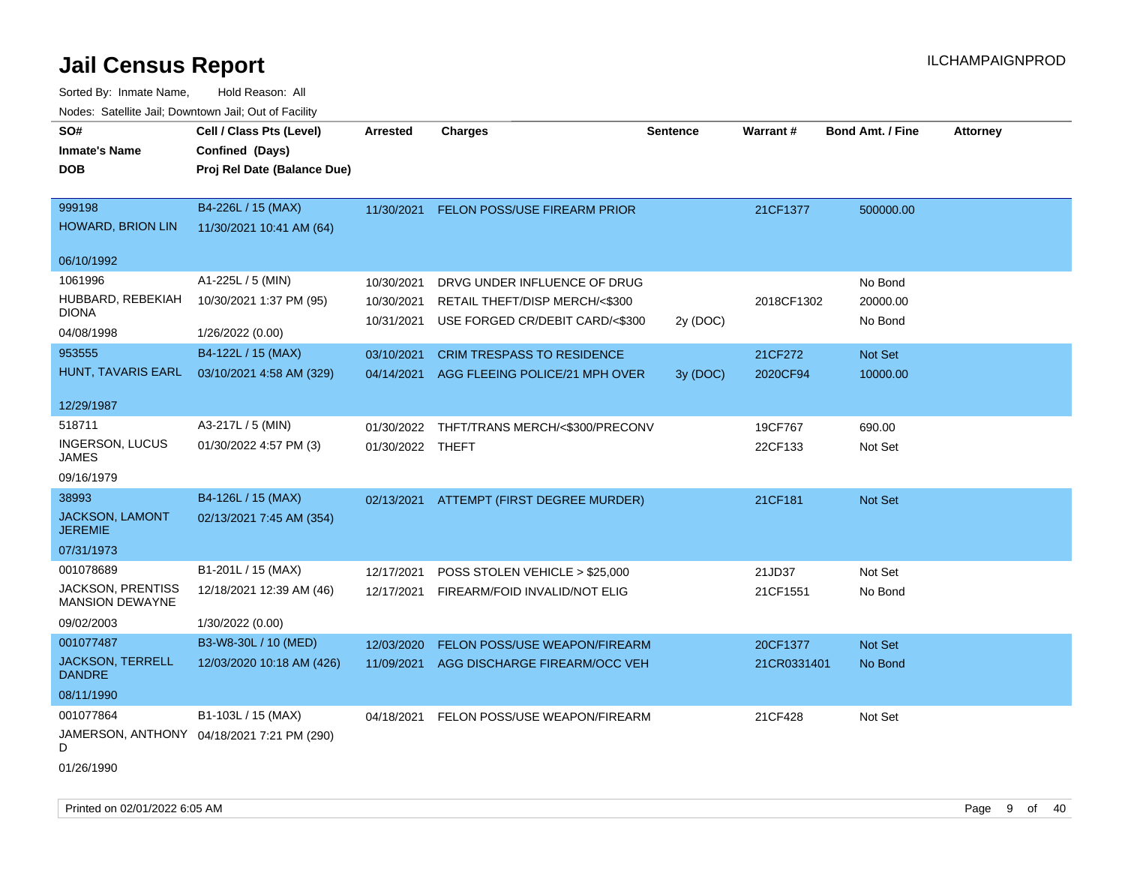Sorted By: Inmate Name, Hold Reason: All Nodes: Satellite Jail; Downtown Jail; Out of Facility

| SO#                                                | Cell / Class Pts (Level)                   | <b>Arrested</b>  | <b>Charges</b>                    | <b>Sentence</b> | Warrant#    | <b>Bond Amt. / Fine</b> | <b>Attorney</b> |
|----------------------------------------------------|--------------------------------------------|------------------|-----------------------------------|-----------------|-------------|-------------------------|-----------------|
| <b>Inmate's Name</b>                               | Confined (Days)                            |                  |                                   |                 |             |                         |                 |
| DOB                                                | Proj Rel Date (Balance Due)                |                  |                                   |                 |             |                         |                 |
|                                                    |                                            |                  |                                   |                 |             |                         |                 |
| 999198                                             | B4-226L / 15 (MAX)                         | 11/30/2021       | FELON POSS/USE FIREARM PRIOR      |                 | 21CF1377    | 500000.00               |                 |
| HOWARD, BRION LIN                                  | 11/30/2021 10:41 AM (64)                   |                  |                                   |                 |             |                         |                 |
|                                                    |                                            |                  |                                   |                 |             |                         |                 |
| 06/10/1992                                         |                                            |                  |                                   |                 |             |                         |                 |
| 1061996                                            | A1-225L / 5 (MIN)                          | 10/30/2021       | DRVG UNDER INFLUENCE OF DRUG      |                 |             | No Bond                 |                 |
| HUBBARD, REBEKIAH                                  | 10/30/2021 1:37 PM (95)                    | 10/30/2021       | RETAIL THEFT/DISP MERCH/<\$300    |                 | 2018CF1302  | 20000.00                |                 |
| <b>DIONA</b>                                       |                                            | 10/31/2021       | USE FORGED CR/DEBIT CARD/<\$300   | 2y (DOC)        |             | No Bond                 |                 |
| 04/08/1998                                         | 1/26/2022 (0.00)                           |                  |                                   |                 |             |                         |                 |
| 953555                                             | B4-122L / 15 (MAX)                         | 03/10/2021       | <b>CRIM TRESPASS TO RESIDENCE</b> |                 | 21CF272     | Not Set                 |                 |
| HUNT, TAVARIS EARL                                 | 03/10/2021 4:58 AM (329)                   | 04/14/2021       | AGG FLEEING POLICE/21 MPH OVER    | 3y (DOC)        | 2020CF94    | 10000.00                |                 |
|                                                    |                                            |                  |                                   |                 |             |                         |                 |
| 12/29/1987                                         |                                            |                  |                                   |                 |             |                         |                 |
| 518711                                             | A3-217L / 5 (MIN)                          | 01/30/2022       | THFT/TRANS MERCH/<\$300/PRECONV   |                 | 19CF767     | 690.00                  |                 |
| <b>INGERSON, LUCUS</b><br><b>JAMES</b>             | 01/30/2022 4:57 PM (3)                     | 01/30/2022 THEFT |                                   |                 | 22CF133     | Not Set                 |                 |
| 09/16/1979                                         |                                            |                  |                                   |                 |             |                         |                 |
| 38993                                              | B4-126L / 15 (MAX)                         | 02/13/2021       | ATTEMPT (FIRST DEGREE MURDER)     |                 | 21CF181     | Not Set                 |                 |
| <b>JACKSON, LAMONT</b><br><b>JEREMIE</b>           | 02/13/2021 7:45 AM (354)                   |                  |                                   |                 |             |                         |                 |
| 07/31/1973                                         |                                            |                  |                                   |                 |             |                         |                 |
| 001078689                                          | B1-201L / 15 (MAX)                         | 12/17/2021       | POSS STOLEN VEHICLE > \$25,000    |                 | 21JD37      | Not Set                 |                 |
| <b>JACKSON, PRENTISS</b><br><b>MANSION DEWAYNE</b> | 12/18/2021 12:39 AM (46)                   | 12/17/2021       | FIREARM/FOID INVALID/NOT ELIG     |                 | 21CF1551    | No Bond                 |                 |
| 09/02/2003                                         | 1/30/2022 (0.00)                           |                  |                                   |                 |             |                         |                 |
| 001077487                                          | B3-W8-30L / 10 (MED)                       | 12/03/2020       | FELON POSS/USE WEAPON/FIREARM     |                 | 20CF1377    | Not Set                 |                 |
| <b>JACKSON, TERRELL</b><br><b>DANDRE</b>           | 12/03/2020 10:18 AM (426)                  | 11/09/2021       | AGG DISCHARGE FIREARM/OCC VEH     |                 | 21CR0331401 | No Bond                 |                 |
| 08/11/1990                                         |                                            |                  |                                   |                 |             |                         |                 |
| 001077864                                          | B1-103L / 15 (MAX)                         | 04/18/2021       | FELON POSS/USE WEAPON/FIREARM     |                 | 21CF428     | Not Set                 |                 |
| D                                                  | JAMERSON, ANTHONY 04/18/2021 7:21 PM (290) |                  |                                   |                 |             |                         |                 |

01/26/1990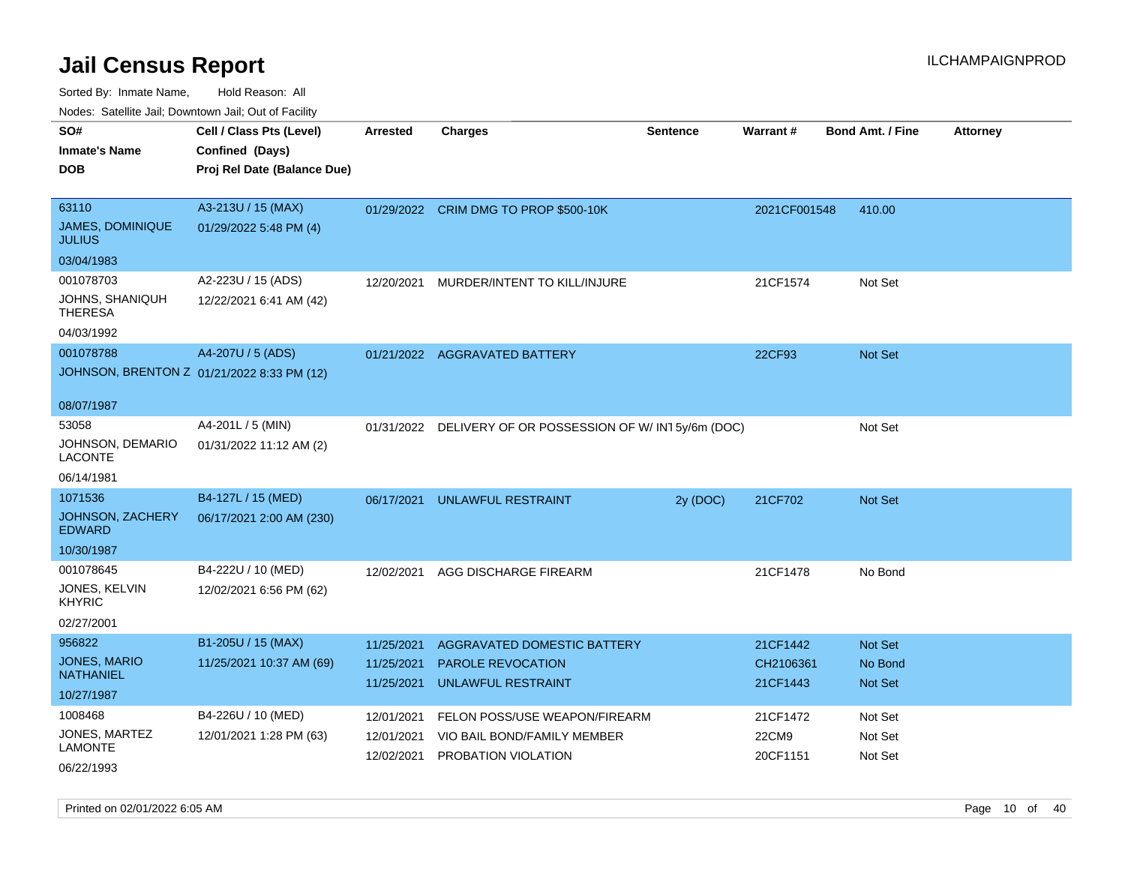| SO#<br><b>Inmate's Name</b><br><b>DOB</b>                 | Cell / Class Pts (Level)<br>Confined (Days)<br>Proj Rel Date (Balance Due) | Arrested                 | <b>Charges</b>                                           | <b>Sentence</b> | Warrant#              | <b>Bond Amt. / Fine</b>   | <b>Attorney</b> |
|-----------------------------------------------------------|----------------------------------------------------------------------------|--------------------------|----------------------------------------------------------|-----------------|-----------------------|---------------------------|-----------------|
| 63110<br><b>JAMES, DOMINIQUE</b><br><b>JULIUS</b>         | A3-213U / 15 (MAX)<br>01/29/2022 5:48 PM (4)                               |                          | 01/29/2022 CRIM DMG TO PROP \$500-10K                    |                 | 2021CF001548          | 410.00                    |                 |
| 03/04/1983                                                |                                                                            |                          |                                                          |                 |                       |                           |                 |
| 001078703<br>JOHNS, SHANIQUH<br>THERESA<br>04/03/1992     | A2-223U / 15 (ADS)<br>12/22/2021 6:41 AM (42)                              | 12/20/2021               | MURDER/INTENT TO KILL/INJURE                             |                 | 21CF1574              | Not Set                   |                 |
| 001078788                                                 | A4-207U / 5 (ADS)                                                          |                          | 01/21/2022 AGGRAVATED BATTERY                            |                 | 22CF93                | <b>Not Set</b>            |                 |
|                                                           | JOHNSON, BRENTON Z 01/21/2022 8:33 PM (12)                                 |                          |                                                          |                 |                       |                           |                 |
| 08/07/1987                                                |                                                                            |                          |                                                          |                 |                       |                           |                 |
| 53058<br>JOHNSON, DEMARIO<br>LACONTE<br>06/14/1981        | A4-201L / 5 (MIN)<br>01/31/2022 11:12 AM (2)                               |                          | 01/31/2022 DELIVERY OF OR POSSESSION OF W/IN15y/6m (DOC) |                 |                       | Not Set                   |                 |
| 1071536                                                   | B4-127L / 15 (MED)                                                         | 06/17/2021               | UNLAWFUL RESTRAINT                                       | 2y (DOC)        | 21CF702               | <b>Not Set</b>            |                 |
| JOHNSON, ZACHERY<br><b>EDWARD</b>                         | 06/17/2021 2:00 AM (230)                                                   |                          |                                                          |                 |                       |                           |                 |
| 10/30/1987                                                |                                                                            |                          |                                                          |                 |                       |                           |                 |
| 001078645<br>JONES, KELVIN<br><b>KHYRIC</b><br>02/27/2001 | B4-222U / 10 (MED)<br>12/02/2021 6:56 PM (62)                              | 12/02/2021               | AGG DISCHARGE FIREARM                                    |                 | 21CF1478              | No Bond                   |                 |
| 956822                                                    | B1-205U / 15 (MAX)                                                         | 11/25/2021               | AGGRAVATED DOMESTIC BATTERY                              |                 | 21CF1442              | <b>Not Set</b>            |                 |
| <b>JONES, MARIO</b><br><b>NATHANIEL</b>                   | 11/25/2021 10:37 AM (69)                                                   | 11/25/2021<br>11/25/2021 | PAROLE REVOCATION<br><b>UNLAWFUL RESTRAINT</b>           |                 | CH2106361<br>21CF1443 | No Bond<br><b>Not Set</b> |                 |
| 10/27/1987                                                |                                                                            |                          |                                                          |                 |                       |                           |                 |
| 1008468                                                   | B4-226U / 10 (MED)                                                         | 12/01/2021               | FELON POSS/USE WEAPON/FIREARM                            |                 | 21CF1472              | Not Set                   |                 |
| JONES, MARTEZ<br><b>LAMONTE</b><br>06/22/1993             | 12/01/2021 1:28 PM (63)                                                    | 12/01/2021<br>12/02/2021 | VIO BAIL BOND/FAMILY MEMBER<br>PROBATION VIOLATION       |                 | 22CM9<br>20CF1151     | Not Set<br>Not Set        |                 |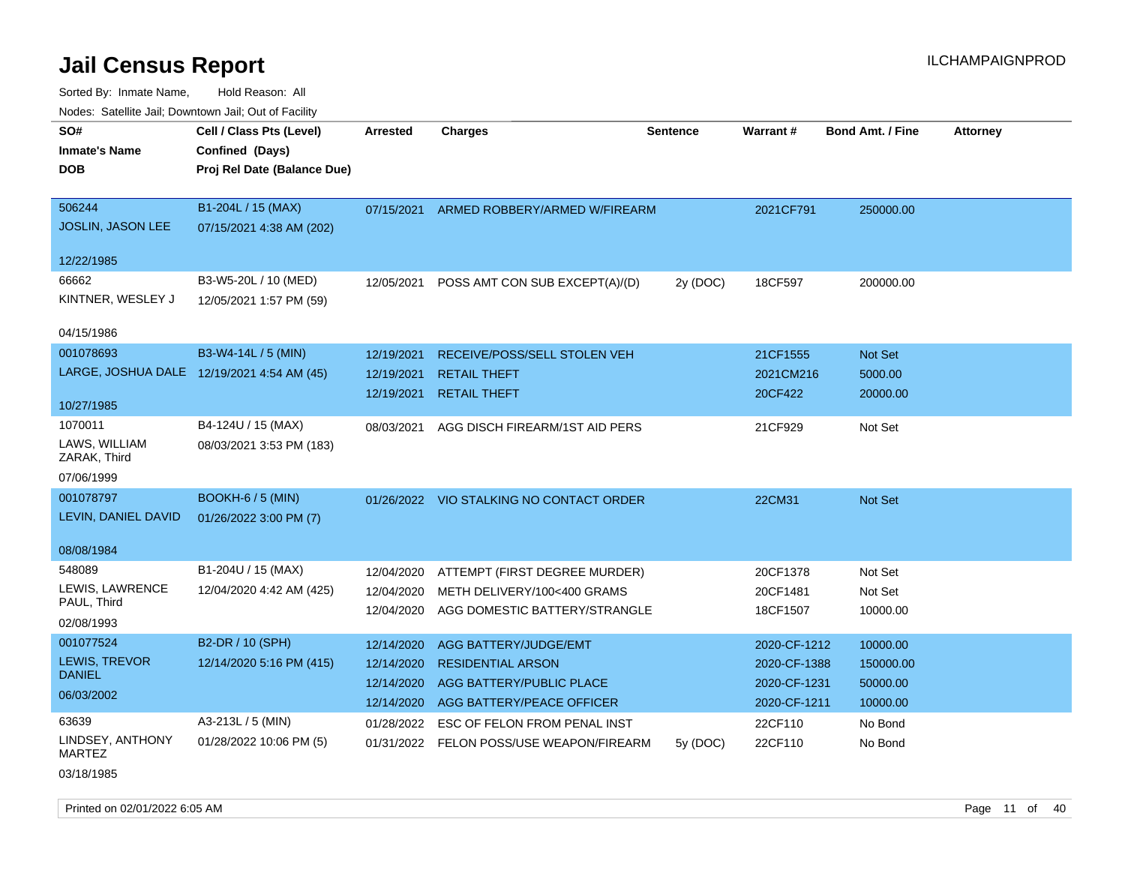Sorted By: Inmate Name, Hold Reason: All Nodes: Satellite Jail; Downtown Jail; Out of Facility

| SO#<br><b>Inmate's Name</b><br><b>DOB</b> | Cell / Class Pts (Level)<br>Confined (Days)<br>Proj Rel Date (Balance Due) | <b>Arrested</b> | <b>Charges</b>                           | <b>Sentence</b> | <b>Warrant#</b> | <b>Bond Amt. / Fine</b> | <b>Attorney</b> |
|-------------------------------------------|----------------------------------------------------------------------------|-----------------|------------------------------------------|-----------------|-----------------|-------------------------|-----------------|
|                                           |                                                                            |                 |                                          |                 |                 |                         |                 |
| 506244                                    | B1-204L / 15 (MAX)                                                         | 07/15/2021      | ARMED ROBBERY/ARMED W/FIREARM            |                 | 2021CF791       | 250000.00               |                 |
| <b>JOSLIN, JASON LEE</b>                  | 07/15/2021 4:38 AM (202)                                                   |                 |                                          |                 |                 |                         |                 |
| 12/22/1985                                |                                                                            |                 |                                          |                 |                 |                         |                 |
| 66662                                     | B3-W5-20L / 10 (MED)                                                       | 12/05/2021      | POSS AMT CON SUB EXCEPT(A)/(D)           | 2y (DOC)        | 18CF597         | 200000.00               |                 |
| KINTNER, WESLEY J                         | 12/05/2021 1:57 PM (59)                                                    |                 |                                          |                 |                 |                         |                 |
| 04/15/1986                                |                                                                            |                 |                                          |                 |                 |                         |                 |
| 001078693                                 | B3-W4-14L / 5 (MIN)                                                        | 12/19/2021      | RECEIVE/POSS/SELL STOLEN VEH             |                 | 21CF1555        | Not Set                 |                 |
|                                           | LARGE, JOSHUA DALE 12/19/2021 4:54 AM (45)                                 | 12/19/2021      | <b>RETAIL THEFT</b>                      |                 | 2021CM216       | 5000.00                 |                 |
|                                           |                                                                            | 12/19/2021      | <b>RETAIL THEFT</b>                      |                 | 20CF422         | 20000.00                |                 |
| 10/27/1985                                |                                                                            |                 |                                          |                 |                 |                         |                 |
| 1070011                                   | B4-124U / 15 (MAX)                                                         | 08/03/2021      | AGG DISCH FIREARM/1ST AID PERS           |                 | 21CF929         | Not Set                 |                 |
| LAWS, WILLIAM<br>ZARAK, Third             | 08/03/2021 3:53 PM (183)                                                   |                 |                                          |                 |                 |                         |                 |
| 07/06/1999                                |                                                                            |                 |                                          |                 |                 |                         |                 |
| 001078797                                 | <b>BOOKH-6 / 5 (MIN)</b>                                                   |                 | 01/26/2022 VIO STALKING NO CONTACT ORDER |                 | 22CM31          | <b>Not Set</b>          |                 |
| LEVIN, DANIEL DAVID                       | 01/26/2022 3:00 PM (7)                                                     |                 |                                          |                 |                 |                         |                 |
| 08/08/1984                                |                                                                            |                 |                                          |                 |                 |                         |                 |
| 548089                                    | B1-204U / 15 (MAX)                                                         | 12/04/2020      | ATTEMPT (FIRST DEGREE MURDER)            |                 | 20CF1378        | Not Set                 |                 |
| LEWIS, LAWRENCE                           | 12/04/2020 4:42 AM (425)                                                   | 12/04/2020      | METH DELIVERY/100<400 GRAMS              |                 | 20CF1481        | Not Set                 |                 |
| PAUL, Third                               |                                                                            | 12/04/2020      | AGG DOMESTIC BATTERY/STRANGLE            |                 | 18CF1507        | 10000.00                |                 |
| 02/08/1993                                |                                                                            |                 |                                          |                 |                 |                         |                 |
| 001077524                                 | B2-DR / 10 (SPH)                                                           | 12/14/2020      | AGG BATTERY/JUDGE/EMT                    |                 | 2020-CF-1212    | 10000.00                |                 |
| LEWIS, TREVOR                             | 12/14/2020 5:16 PM (415)                                                   | 12/14/2020      | <b>RESIDENTIAL ARSON</b>                 |                 | 2020-CF-1388    | 150000.00               |                 |
| <b>DANIEL</b>                             |                                                                            | 12/14/2020      | AGG BATTERY/PUBLIC PLACE                 |                 | 2020-CF-1231    | 50000.00                |                 |
| 06/03/2002                                |                                                                            | 12/14/2020      | AGG BATTERY/PEACE OFFICER                |                 | 2020-CF-1211    | 10000.00                |                 |
| 63639                                     | A3-213L / 5 (MIN)                                                          | 01/28/2022      | ESC OF FELON FROM PENAL INST             |                 | 22CF110         | No Bond                 |                 |
| LINDSEY, ANTHONY<br><b>MARTEZ</b>         | 01/28/2022 10:06 PM (5)                                                    |                 | 01/31/2022 FELON POSS/USE WEAPON/FIREARM | 5y(DOC)         | 22CF110         | No Bond                 |                 |

03/18/1985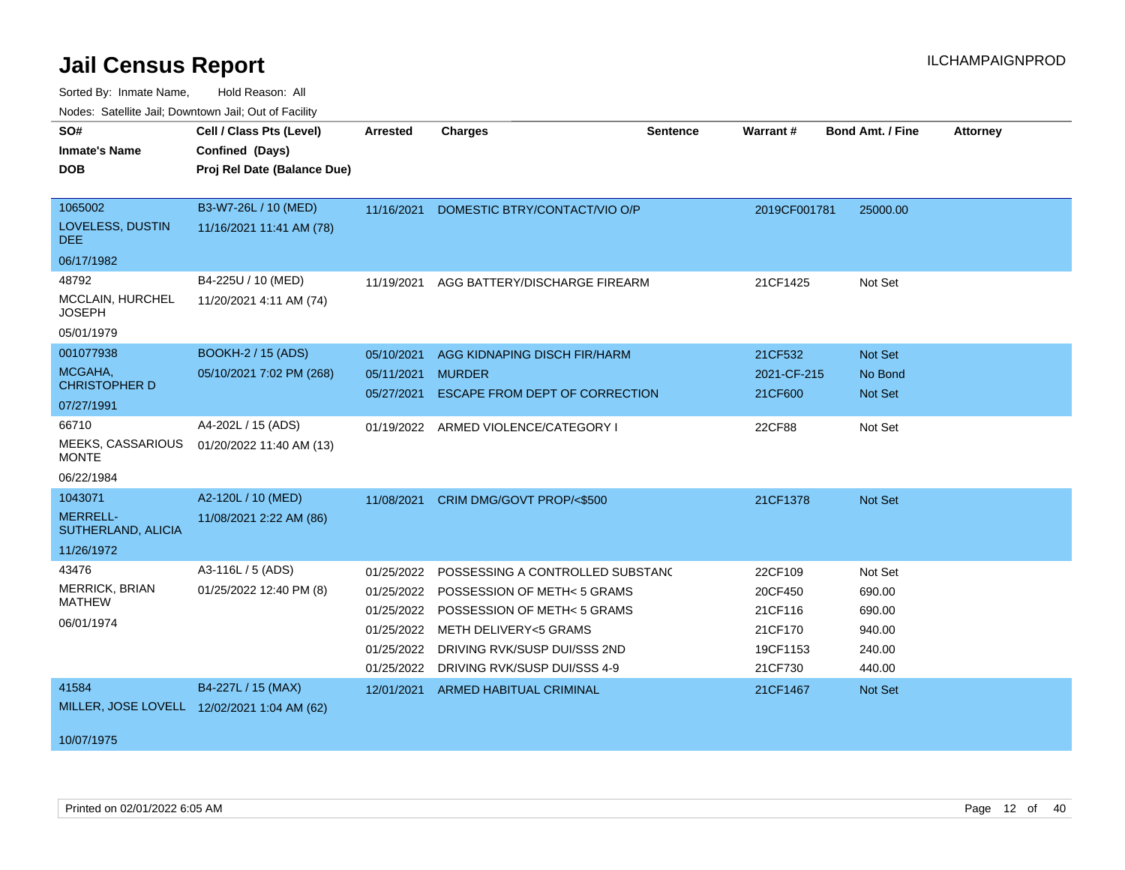| <b>NOUGO.</b> Outchild bail, Downtown bail, Out of Fability    |                                                                            |                                                                                  |                                                                                                                                                                                         |                 |                                                                 |                                                           |                 |
|----------------------------------------------------------------|----------------------------------------------------------------------------|----------------------------------------------------------------------------------|-----------------------------------------------------------------------------------------------------------------------------------------------------------------------------------------|-----------------|-----------------------------------------------------------------|-----------------------------------------------------------|-----------------|
| SO#<br><b>Inmate's Name</b><br>DOB.                            | Cell / Class Pts (Level)<br>Confined (Days)<br>Proj Rel Date (Balance Due) | Arrested                                                                         | <b>Charges</b>                                                                                                                                                                          | <b>Sentence</b> | <b>Warrant#</b>                                                 | <b>Bond Amt. / Fine</b>                                   | <b>Attorney</b> |
| 1065002<br>LOVELESS, DUSTIN<br><b>DEE</b><br>06/17/1982        | B3-W7-26L / 10 (MED)<br>11/16/2021 11:41 AM (78)                           | 11/16/2021                                                                       | DOMESTIC BTRY/CONTACT/VIO O/P                                                                                                                                                           |                 | 2019CF001781                                                    | 25000.00                                                  |                 |
| 48792<br>MCCLAIN, HURCHEL<br><b>JOSEPH</b><br>05/01/1979       | B4-225U / 10 (MED)<br>11/20/2021 4:11 AM (74)                              | 11/19/2021                                                                       | AGG BATTERY/DISCHARGE FIREARM                                                                                                                                                           |                 | 21CF1425                                                        | Not Set                                                   |                 |
| 001077938<br>MCGAHA,<br><b>CHRISTOPHER D</b><br>07/27/1991     | BOOKH-2 / 15 (ADS)<br>05/10/2021 7:02 PM (268)                             | 05/10/2021<br>05/11/2021<br>05/27/2021                                           | AGG KIDNAPING DISCH FIR/HARM<br><b>MURDER</b><br>ESCAPE FROM DEPT OF CORRECTION                                                                                                         |                 | 21CF532<br>2021-CF-215<br>21CF600                               | Not Set<br>No Bond<br>Not Set                             |                 |
| 66710<br>MEEKS, CASSARIOUS<br><b>MONTE</b><br>06/22/1984       | A4-202L / 15 (ADS)<br>01/20/2022 11:40 AM (13)                             |                                                                                  | 01/19/2022 ARMED VIOLENCE/CATEGORY I                                                                                                                                                    |                 | 22CF88                                                          | Not Set                                                   |                 |
| 1043071<br><b>MERRELL-</b><br>SUTHERLAND, ALICIA<br>11/26/1972 | A2-120L / 10 (MED)<br>11/08/2021 2:22 AM (86)                              | 11/08/2021                                                                       | CRIM DMG/GOVT PROP/<\$500                                                                                                                                                               |                 | 21CF1378                                                        | Not Set                                                   |                 |
| 43476<br>MERRICK, BRIAN<br><b>MATHEW</b><br>06/01/1974         | A3-116L / 5 (ADS)<br>01/25/2022 12:40 PM (8)                               | 01/25/2022<br>01/25/2022<br>01/25/2022<br>01/25/2022<br>01/25/2022<br>01/25/2022 | POSSESSING A CONTROLLED SUBSTANC<br>POSSESSION OF METH< 5 GRAMS<br>POSSESSION OF METH< 5 GRAMS<br>METH DELIVERY<5 GRAMS<br>DRIVING RVK/SUSP DUI/SSS 2ND<br>DRIVING RVK/SUSP DUI/SSS 4-9 |                 | 22CF109<br>20CF450<br>21CF116<br>21CF170<br>19CF1153<br>21CF730 | Not Set<br>690.00<br>690.00<br>940.00<br>240.00<br>440.00 |                 |
| 41584<br>10/07/1975                                            | B4-227L / 15 (MAX)<br>MILLER, JOSE LOVELL 12/02/2021 1:04 AM (62)          | 12/01/2021                                                                       | ARMED HABITUAL CRIMINAL                                                                                                                                                                 |                 | 21CF1467                                                        | <b>Not Set</b>                                            |                 |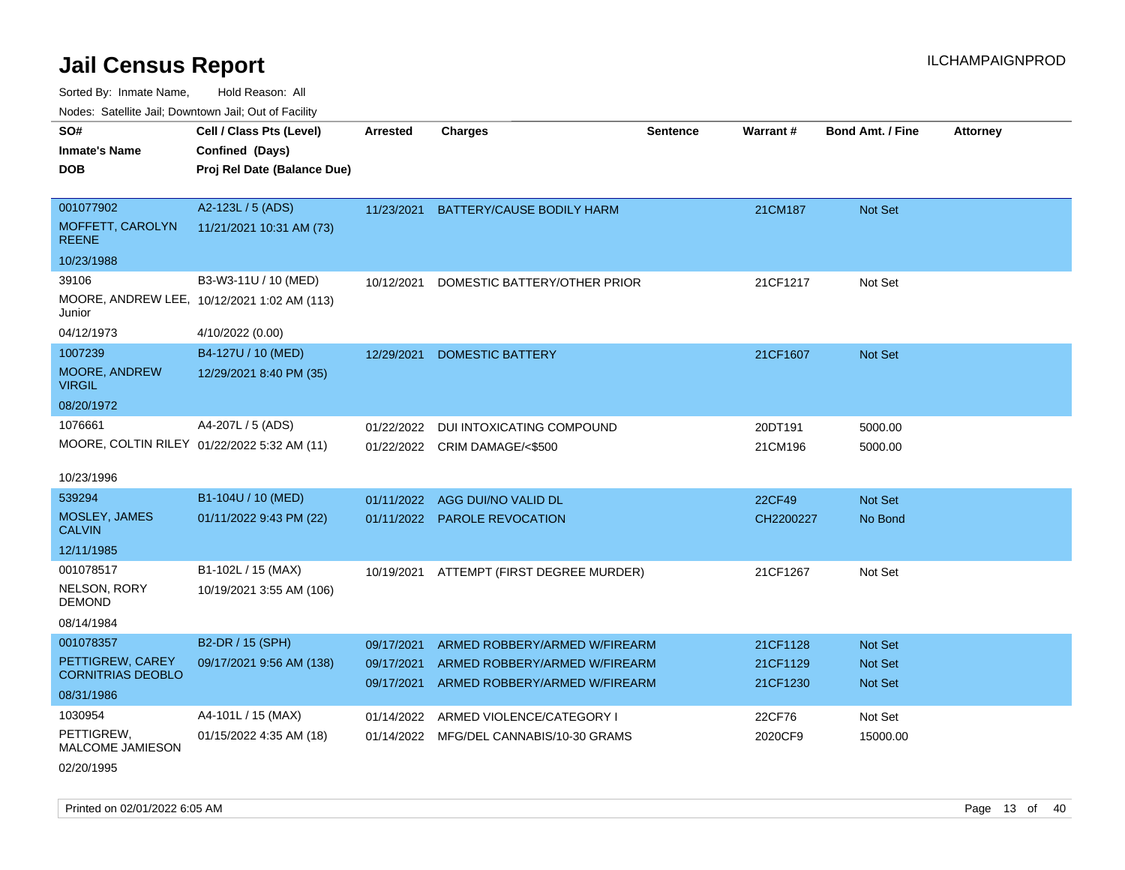Sorted By: Inmate Name, Hold Reason: All

Nodes: Satellite Jail; Downtown Jail; Out of Facility

| SO#                                         | Cell / Class Pts (Level)                    | <b>Arrested</b> | <b>Charges</b>                          | <b>Sentence</b> | Warrant#  | <b>Bond Amt. / Fine</b> | <b>Attorney</b> |
|---------------------------------------------|---------------------------------------------|-----------------|-----------------------------------------|-----------------|-----------|-------------------------|-----------------|
| <b>Inmate's Name</b>                        | Confined (Days)                             |                 |                                         |                 |           |                         |                 |
| <b>DOB</b>                                  | Proj Rel Date (Balance Due)                 |                 |                                         |                 |           |                         |                 |
|                                             |                                             |                 |                                         |                 |           |                         |                 |
| 001077902                                   | A2-123L / 5 (ADS)                           | 11/23/2021      | BATTERY/CAUSE BODILY HARM               |                 | 21CM187   | Not Set                 |                 |
| MOFFETT, CAROLYN<br><b>REENE</b>            | 11/21/2021 10:31 AM (73)                    |                 |                                         |                 |           |                         |                 |
| 10/23/1988                                  |                                             |                 |                                         |                 |           |                         |                 |
| 39106                                       | B3-W3-11U / 10 (MED)                        | 10/12/2021      | DOMESTIC BATTERY/OTHER PRIOR            |                 | 21CF1217  | Not Set                 |                 |
| Junior                                      | MOORE, ANDREW LEE, 10/12/2021 1:02 AM (113) |                 |                                         |                 |           |                         |                 |
| 04/12/1973                                  | 4/10/2022 (0.00)                            |                 |                                         |                 |           |                         |                 |
| 1007239                                     | B4-127U / 10 (MED)                          | 12/29/2021      | <b>DOMESTIC BATTERY</b>                 |                 | 21CF1607  | Not Set                 |                 |
| MOORE, ANDREW<br><b>VIRGIL</b>              | 12/29/2021 8:40 PM (35)                     |                 |                                         |                 |           |                         |                 |
| 08/20/1972                                  |                                             |                 |                                         |                 |           |                         |                 |
| 1076661                                     | A4-207L / 5 (ADS)                           | 01/22/2022      | <b>DUI INTOXICATING COMPOUND</b>        |                 | 20DT191   | 5000.00                 |                 |
| MOORE, COLTIN RILEY 01/22/2022 5:32 AM (11) |                                             |                 | 01/22/2022 CRIM DAMAGE/<\$500           |                 | 21CM196   | 5000.00                 |                 |
| 10/23/1996                                  |                                             |                 |                                         |                 |           |                         |                 |
| 539294                                      | B1-104U / 10 (MED)                          | 01/11/2022      | AGG DUI/NO VALID DL                     |                 | 22CF49    | Not Set                 |                 |
| MOSLEY, JAMES<br><b>CALVIN</b>              | 01/11/2022 9:43 PM (22)                     |                 | 01/11/2022 PAROLE REVOCATION            |                 | CH2200227 | No Bond                 |                 |
| 12/11/1985                                  |                                             |                 |                                         |                 |           |                         |                 |
| 001078517                                   | B1-102L / 15 (MAX)                          | 10/19/2021      | ATTEMPT (FIRST DEGREE MURDER)           |                 | 21CF1267  | Not Set                 |                 |
| NELSON, RORY<br><b>DEMOND</b>               | 10/19/2021 3:55 AM (106)                    |                 |                                         |                 |           |                         |                 |
| 08/14/1984                                  |                                             |                 |                                         |                 |           |                         |                 |
| 001078357                                   | B2-DR / 15 (SPH)                            | 09/17/2021      | ARMED ROBBERY/ARMED W/FIREARM           |                 | 21CF1128  | <b>Not Set</b>          |                 |
| PETTIGREW, CAREY                            | 09/17/2021 9:56 AM (138)                    | 09/17/2021      | ARMED ROBBERY/ARMED W/FIREARM           |                 | 21CF1129  | Not Set                 |                 |
| <b>CORNITRIAS DEOBLO</b>                    |                                             | 09/17/2021      | ARMED ROBBERY/ARMED W/FIREARM           |                 | 21CF1230  | Not Set                 |                 |
| 08/31/1986                                  |                                             |                 |                                         |                 |           |                         |                 |
| 1030954                                     | A4-101L / 15 (MAX)                          | 01/14/2022      | ARMED VIOLENCE/CATEGORY I               |                 | 22CF76    | Not Set                 |                 |
| PETTIGREW,<br><b>MALCOME JAMIESON</b>       | 01/15/2022 4:35 AM (18)                     |                 | 01/14/2022 MFG/DEL CANNABIS/10-30 GRAMS |                 | 2020CF9   | 15000.00                |                 |

02/20/1995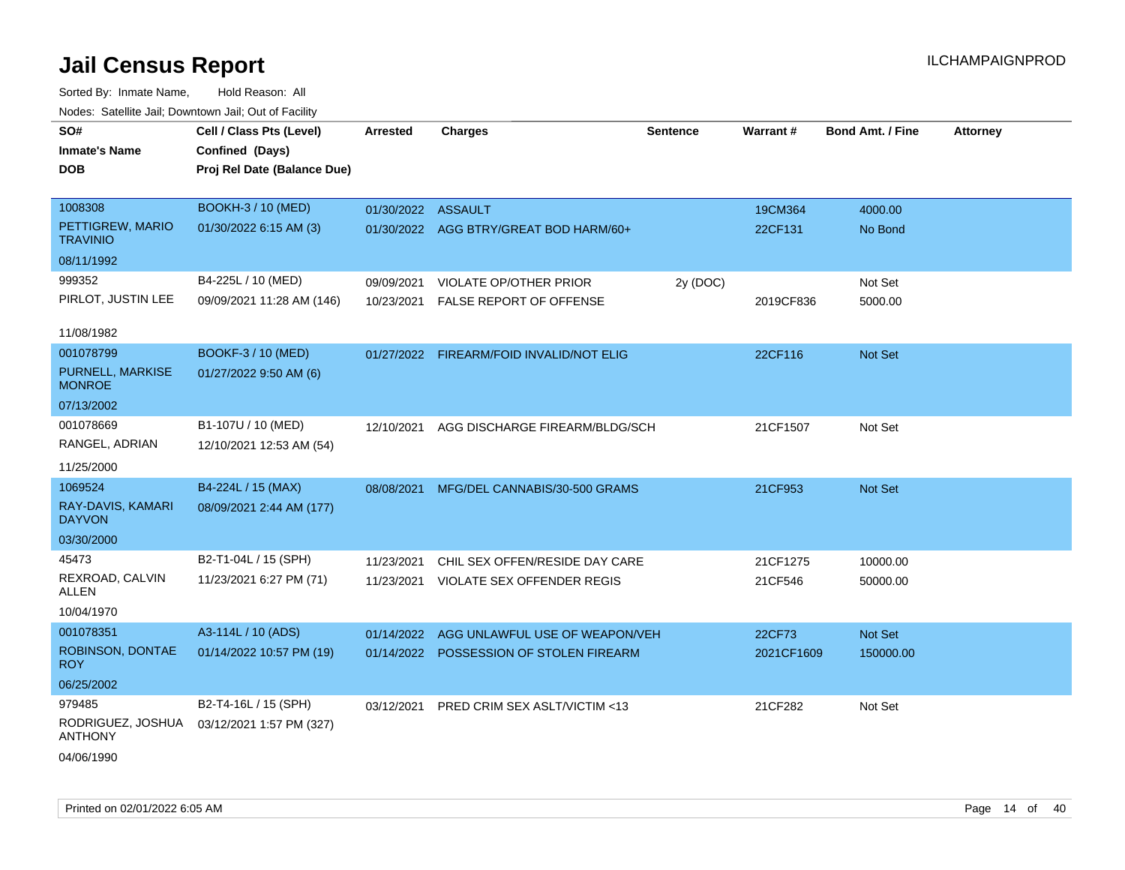| roaco. Catolino cali, Domntonn cali, Out of Facility |                             |                    |                                          |                 |            |                         |                 |
|------------------------------------------------------|-----------------------------|--------------------|------------------------------------------|-----------------|------------|-------------------------|-----------------|
| SO#                                                  | Cell / Class Pts (Level)    | Arrested           | <b>Charges</b>                           | <b>Sentence</b> | Warrant#   | <b>Bond Amt. / Fine</b> | <b>Attorney</b> |
| <b>Inmate's Name</b>                                 | Confined (Days)             |                    |                                          |                 |            |                         |                 |
| <b>DOB</b>                                           | Proj Rel Date (Balance Due) |                    |                                          |                 |            |                         |                 |
|                                                      |                             |                    |                                          |                 |            |                         |                 |
| 1008308                                              | <b>BOOKH-3 / 10 (MED)</b>   | 01/30/2022 ASSAULT |                                          |                 | 19CM364    | 4000.00                 |                 |
| PETTIGREW, MARIO<br><b>TRAVINIO</b>                  | 01/30/2022 6:15 AM (3)      |                    | 01/30/2022 AGG BTRY/GREAT BOD HARM/60+   |                 | 22CF131    | No Bond                 |                 |
| 08/11/1992                                           |                             |                    |                                          |                 |            |                         |                 |
| 999352                                               | B4-225L / 10 (MED)          | 09/09/2021         | VIOLATE OP/OTHER PRIOR                   | 2y (DOC)        |            | Not Set                 |                 |
| PIRLOT, JUSTIN LEE                                   | 09/09/2021 11:28 AM (146)   | 10/23/2021         | FALSE REPORT OF OFFENSE                  |                 | 2019CF836  | 5000.00                 |                 |
|                                                      |                             |                    |                                          |                 |            |                         |                 |
| 11/08/1982                                           |                             |                    |                                          |                 |            |                         |                 |
| 001078799                                            | BOOKF-3 / 10 (MED)          |                    | 01/27/2022 FIREARM/FOID INVALID/NOT ELIG |                 | 22CF116    | Not Set                 |                 |
| <b>PURNELL, MARKISE</b><br><b>MONROE</b>             | 01/27/2022 9:50 AM (6)      |                    |                                          |                 |            |                         |                 |
| 07/13/2002                                           |                             |                    |                                          |                 |            |                         |                 |
| 001078669                                            | B1-107U / 10 (MED)          | 12/10/2021         | AGG DISCHARGE FIREARM/BLDG/SCH           |                 | 21CF1507   | Not Set                 |                 |
| RANGEL, ADRIAN                                       | 12/10/2021 12:53 AM (54)    |                    |                                          |                 |            |                         |                 |
| 11/25/2000                                           |                             |                    |                                          |                 |            |                         |                 |
| 1069524                                              | B4-224L / 15 (MAX)          | 08/08/2021         | MFG/DEL CANNABIS/30-500 GRAMS            |                 | 21CF953    | Not Set                 |                 |
| RAY-DAVIS, KAMARI<br><b>DAYVON</b>                   | 08/09/2021 2:44 AM (177)    |                    |                                          |                 |            |                         |                 |
| 03/30/2000                                           |                             |                    |                                          |                 |            |                         |                 |
| 45473                                                | B2-T1-04L / 15 (SPH)        | 11/23/2021         | CHIL SEX OFFEN/RESIDE DAY CARE           |                 | 21CF1275   | 10000.00                |                 |
| REXROAD, CALVIN<br>ALLEN                             | 11/23/2021 6:27 PM (71)     |                    | 11/23/2021 VIOLATE SEX OFFENDER REGIS    |                 | 21CF546    | 50000.00                |                 |
| 10/04/1970                                           |                             |                    |                                          |                 |            |                         |                 |
| 001078351                                            | A3-114L / 10 (ADS)          | 01/14/2022         | AGG UNLAWFUL USE OF WEAPON/VEH           |                 | 22CF73     | Not Set                 |                 |
| ROBINSON, DONTAE                                     | 01/14/2022 10:57 PM (19)    |                    | 01/14/2022 POSSESSION OF STOLEN FIREARM  |                 | 2021CF1609 | 150000.00               |                 |
| <b>ROY</b>                                           |                             |                    |                                          |                 |            |                         |                 |
| 06/25/2002                                           |                             |                    |                                          |                 |            |                         |                 |
| 979485                                               | B2-T4-16L / 15 (SPH)        | 03/12/2021         | PRED CRIM SEX ASLT/VICTIM <13            |                 | 21CF282    | Not Set                 |                 |
| RODRIGUEZ, JOSHUA<br><b>ANTHONY</b>                  | 03/12/2021 1:57 PM (327)    |                    |                                          |                 |            |                         |                 |
| 04/06/1990                                           |                             |                    |                                          |                 |            |                         |                 |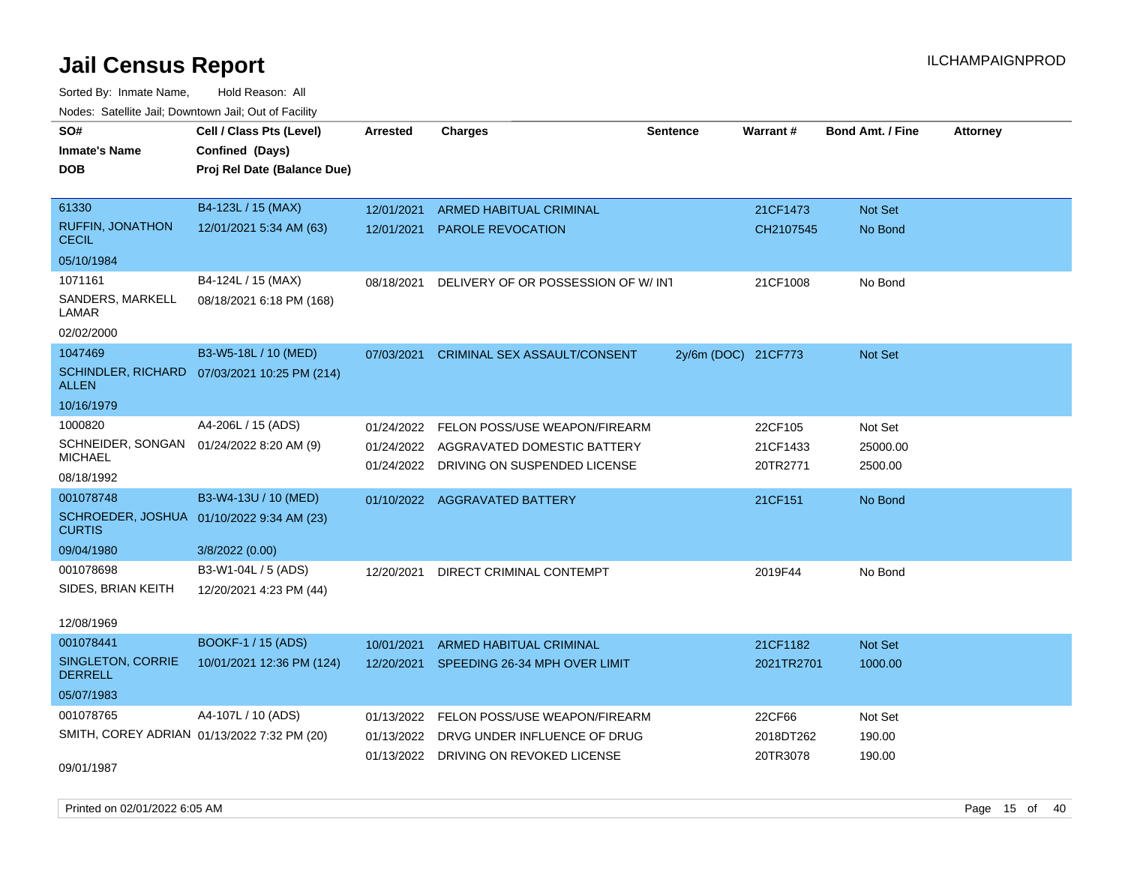| ivoues. Salellite Jali, Downtown Jali, Out of Facility     |                                              |            |                                       |                     |            |                         |                 |
|------------------------------------------------------------|----------------------------------------------|------------|---------------------------------------|---------------------|------------|-------------------------|-----------------|
| SO#                                                        | Cell / Class Pts (Level)                     | Arrested   | <b>Charges</b>                        | <b>Sentence</b>     | Warrant#   | <b>Bond Amt. / Fine</b> | <b>Attorney</b> |
| <b>Inmate's Name</b>                                       | Confined (Days)                              |            |                                       |                     |            |                         |                 |
| <b>DOB</b>                                                 | Proj Rel Date (Balance Due)                  |            |                                       |                     |            |                         |                 |
|                                                            |                                              |            |                                       |                     |            |                         |                 |
| 61330                                                      | B4-123L / 15 (MAX)                           | 12/01/2021 | ARMED HABITUAL CRIMINAL               |                     | 21CF1473   | Not Set                 |                 |
| <b>RUFFIN, JONATHON</b><br><b>CECIL</b>                    | 12/01/2021 5:34 AM (63)                      | 12/01/2021 | <b>PAROLE REVOCATION</b>              |                     | CH2107545  | No Bond                 |                 |
| 05/10/1984                                                 |                                              |            |                                       |                     |            |                         |                 |
| 1071161                                                    | B4-124L / 15 (MAX)                           | 08/18/2021 | DELIVERY OF OR POSSESSION OF W/INT    |                     | 21CF1008   | No Bond                 |                 |
| SANDERS, MARKELL<br>LAMAR                                  | 08/18/2021 6:18 PM (168)                     |            |                                       |                     |            |                         |                 |
| 02/02/2000                                                 |                                              |            |                                       |                     |            |                         |                 |
| 1047469                                                    | B3-W5-18L / 10 (MED)                         | 07/03/2021 | <b>CRIMINAL SEX ASSAULT/CONSENT</b>   | 2y/6m (DOC) 21CF773 |            | <b>Not Set</b>          |                 |
| <b>ALLEN</b>                                               | SCHINDLER, RICHARD 07/03/2021 10:25 PM (214) |            |                                       |                     |            |                         |                 |
| 10/16/1979                                                 |                                              |            |                                       |                     |            |                         |                 |
| 1000820                                                    | A4-206L / 15 (ADS)                           | 01/24/2022 | FELON POSS/USE WEAPON/FIREARM         |                     | 22CF105    | Not Set                 |                 |
| SCHNEIDER, SONGAN 01/24/2022 8:20 AM (9)                   |                                              | 01/24/2022 | AGGRAVATED DOMESTIC BATTERY           |                     | 21CF1433   | 25000.00                |                 |
| <b>MICHAEL</b>                                             |                                              | 01/24/2022 | DRIVING ON SUSPENDED LICENSE          |                     | 20TR2771   | 2500.00                 |                 |
| 08/18/1992                                                 |                                              |            |                                       |                     |            |                         |                 |
| 001078748                                                  | B3-W4-13U / 10 (MED)                         |            | 01/10/2022 AGGRAVATED BATTERY         |                     | 21CF151    | No Bond                 |                 |
| SCHROEDER, JOSHUA 01/10/2022 9:34 AM (23)<br><b>CURTIS</b> |                                              |            |                                       |                     |            |                         |                 |
| 09/04/1980                                                 | 3/8/2022(0.00)                               |            |                                       |                     |            |                         |                 |
| 001078698                                                  | B3-W1-04L / 5 (ADS)                          | 12/20/2021 | DIRECT CRIMINAL CONTEMPT              |                     | 2019F44    | No Bond                 |                 |
| SIDES, BRIAN KEITH                                         | 12/20/2021 4:23 PM (44)                      |            |                                       |                     |            |                         |                 |
| 12/08/1969                                                 |                                              |            |                                       |                     |            |                         |                 |
| 001078441                                                  | <b>BOOKF-1 / 15 (ADS)</b>                    | 10/01/2021 | ARMED HABITUAL CRIMINAL               |                     | 21CF1182   | <b>Not Set</b>          |                 |
| SINGLETON, CORRIE<br><b>DERRELL</b>                        | 10/01/2021 12:36 PM (124)                    | 12/20/2021 | SPEEDING 26-34 MPH OVER LIMIT         |                     | 2021TR2701 | 1000.00                 |                 |
| 05/07/1983                                                 |                                              |            |                                       |                     |            |                         |                 |
| 001078765                                                  | A4-107L / 10 (ADS)                           | 01/13/2022 | FELON POSS/USE WEAPON/FIREARM         |                     | 22CF66     | Not Set                 |                 |
| SMITH, COREY ADRIAN 01/13/2022 7:32 PM (20)                |                                              | 01/13/2022 | DRVG UNDER INFLUENCE OF DRUG          |                     | 2018DT262  | 190.00                  |                 |
|                                                            |                                              |            | 01/13/2022 DRIVING ON REVOKED LICENSE |                     | 20TR3078   | 190.00                  |                 |
| 09/01/1987                                                 |                                              |            |                                       |                     |            |                         |                 |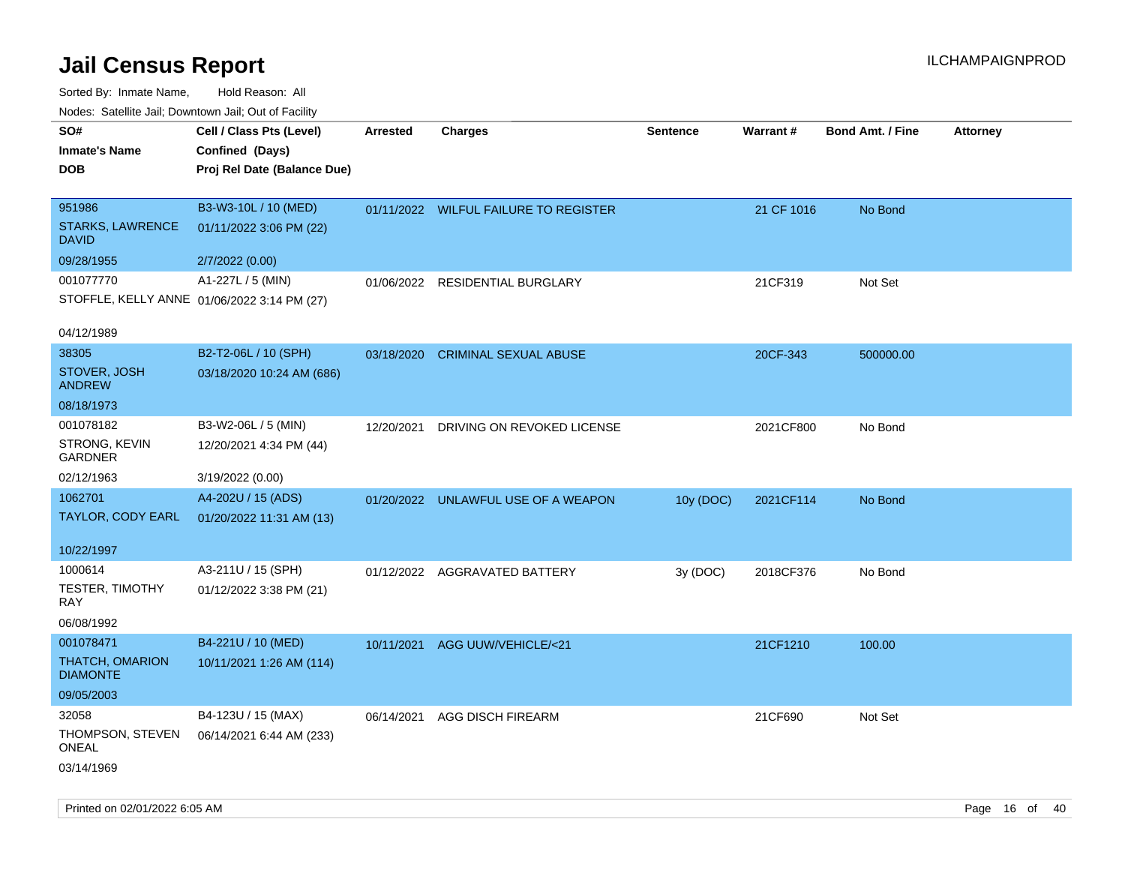| Nodes: Satellite Jail; Downtown Jail; Out of Facility |                                             |                 |                                       |                 |            |                         |                 |
|-------------------------------------------------------|---------------------------------------------|-----------------|---------------------------------------|-----------------|------------|-------------------------|-----------------|
| SO#                                                   | Cell / Class Pts (Level)                    | <b>Arrested</b> | <b>Charges</b>                        | <b>Sentence</b> | Warrant#   | <b>Bond Amt. / Fine</b> | <b>Attorney</b> |
| <b>Inmate's Name</b>                                  | Confined (Days)                             |                 |                                       |                 |            |                         |                 |
| <b>DOB</b>                                            | Proj Rel Date (Balance Due)                 |                 |                                       |                 |            |                         |                 |
|                                                       |                                             |                 |                                       |                 |            |                         |                 |
| 951986                                                | B3-W3-10L / 10 (MED)                        |                 | 01/11/2022 WILFUL FAILURE TO REGISTER |                 | 21 CF 1016 | No Bond                 |                 |
| <b>STARKS, LAWRENCE</b><br><b>DAVID</b>               | 01/11/2022 3:06 PM (22)                     |                 |                                       |                 |            |                         |                 |
| 09/28/1955                                            | 2/7/2022 (0.00)                             |                 |                                       |                 |            |                         |                 |
| 001077770                                             | A1-227L / 5 (MIN)                           | 01/06/2022      | RESIDENTIAL BURGLARY                  |                 | 21CF319    | Not Set                 |                 |
|                                                       | STOFFLE, KELLY ANNE 01/06/2022 3:14 PM (27) |                 |                                       |                 |            |                         |                 |
|                                                       |                                             |                 |                                       |                 |            |                         |                 |
| 04/12/1989                                            |                                             |                 |                                       |                 |            |                         |                 |
| 38305                                                 | B2-T2-06L / 10 (SPH)                        | 03/18/2020      | <b>CRIMINAL SEXUAL ABUSE</b>          |                 | 20CF-343   | 500000.00               |                 |
| STOVER, JOSH<br><b>ANDREW</b>                         | 03/18/2020 10:24 AM (686)                   |                 |                                       |                 |            |                         |                 |
| 08/18/1973                                            |                                             |                 |                                       |                 |            |                         |                 |
| 001078182                                             | B3-W2-06L / 5 (MIN)                         | 12/20/2021      | DRIVING ON REVOKED LICENSE            |                 | 2021CF800  | No Bond                 |                 |
| STRONG, KEVIN<br><b>GARDNER</b>                       | 12/20/2021 4:34 PM (44)                     |                 |                                       |                 |            |                         |                 |
| 02/12/1963                                            | 3/19/2022 (0.00)                            |                 |                                       |                 |            |                         |                 |
| 1062701                                               | A4-202U / 15 (ADS)                          |                 | 01/20/2022 UNLAWFUL USE OF A WEAPON   | 10y (DOC)       | 2021CF114  | No Bond                 |                 |
| TAYLOR, CODY EARL                                     | 01/20/2022 11:31 AM (13)                    |                 |                                       |                 |            |                         |                 |
|                                                       |                                             |                 |                                       |                 |            |                         |                 |
| 10/22/1997                                            |                                             |                 |                                       |                 |            |                         |                 |
| 1000614                                               | A3-211U / 15 (SPH)                          |                 | 01/12/2022 AGGRAVATED BATTERY         | 3y (DOC)        | 2018CF376  | No Bond                 |                 |
| TESTER, TIMOTHY<br><b>RAY</b>                         | 01/12/2022 3:38 PM (21)                     |                 |                                       |                 |            |                         |                 |
| 06/08/1992                                            |                                             |                 |                                       |                 |            |                         |                 |
| 001078471                                             | B4-221U / 10 (MED)                          | 10/11/2021      | AGG UUW/VEHICLE/<21                   |                 | 21CF1210   | 100.00                  |                 |
| THATCH, OMARION                                       | 10/11/2021 1:26 AM (114)                    |                 |                                       |                 |            |                         |                 |
| <b>DIAMONTE</b>                                       |                                             |                 |                                       |                 |            |                         |                 |
| 09/05/2003                                            |                                             |                 |                                       |                 |            |                         |                 |
| 32058                                                 | B4-123U / 15 (MAX)                          | 06/14/2021      | AGG DISCH FIREARM                     |                 | 21CF690    | Not Set                 |                 |
| THOMPSON, STEVEN                                      | 06/14/2021 6:44 AM (233)                    |                 |                                       |                 |            |                         |                 |
| <b>ONEAL</b>                                          |                                             |                 |                                       |                 |            |                         |                 |
| 03/14/1969                                            |                                             |                 |                                       |                 |            |                         |                 |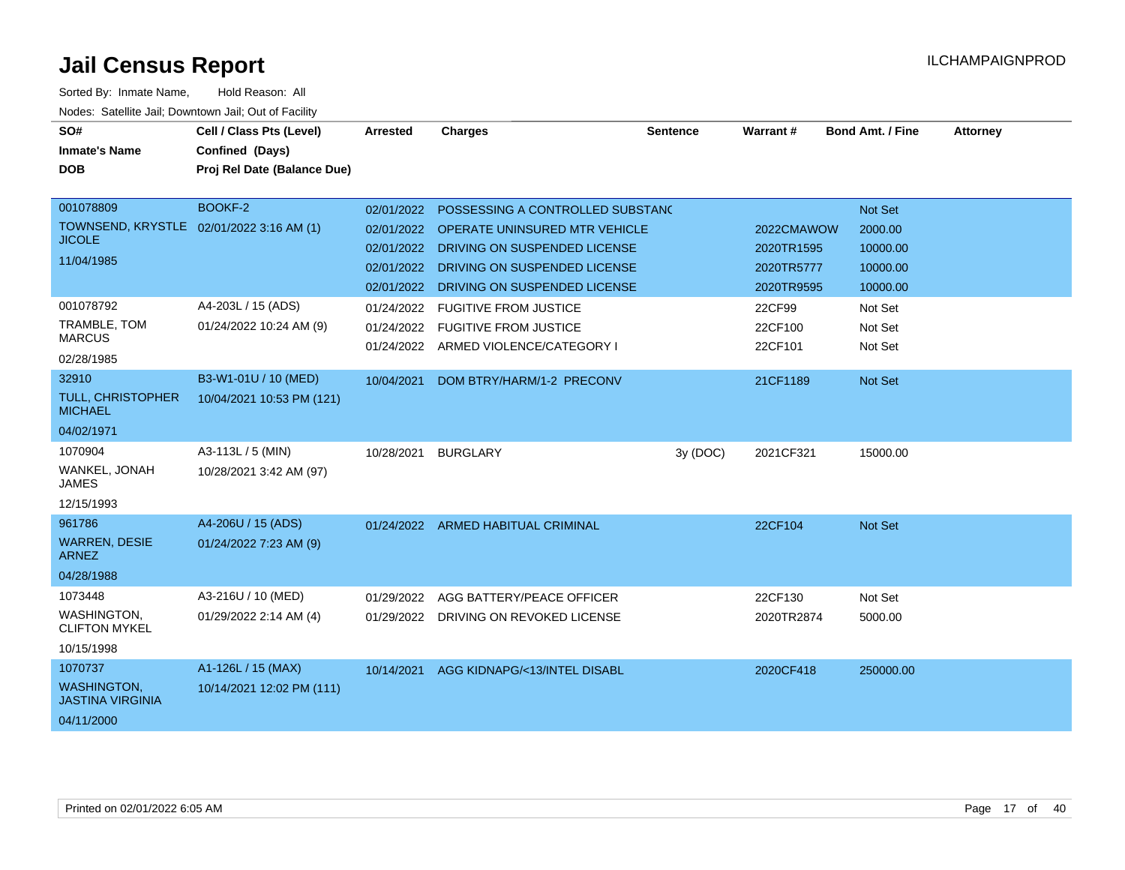| SO#<br><b>Inmate's Name</b><br><b>DOB</b>                                                                                                        | Cell / Class Pts (Level)<br>Confined (Days)<br>Proj Rel Date (Balance Due) | <b>Arrested</b>                                                                                              | Charges                                                                                                                                                                                                                                                        | <b>Sentence</b> | Warrant#                                                                             | <b>Bond Amt. / Fine</b>                                                                 | <b>Attorney</b> |
|--------------------------------------------------------------------------------------------------------------------------------------------------|----------------------------------------------------------------------------|--------------------------------------------------------------------------------------------------------------|----------------------------------------------------------------------------------------------------------------------------------------------------------------------------------------------------------------------------------------------------------------|-----------------|--------------------------------------------------------------------------------------|-----------------------------------------------------------------------------------------|-----------------|
| 001078809<br>TOWNSEND, KRYSTLE 02/01/2022 3:16 AM (1)<br><b>JICOLE</b><br>11/04/1985<br>001078792<br>TRAMBLE, TOM<br><b>MARCUS</b><br>02/28/1985 | <b>BOOKF-2</b><br>A4-203L / 15 (ADS)<br>01/24/2022 10:24 AM (9)            | 02/01/2022<br>02/01/2022<br>02/01/2022<br>02/01/2022<br>02/01/2022<br>01/24/2022<br>01/24/2022<br>01/24/2022 | POSSESSING A CONTROLLED SUBSTAND<br>OPERATE UNINSURED MTR VEHICLE<br>DRIVING ON SUSPENDED LICENSE<br>DRIVING ON SUSPENDED LICENSE<br>DRIVING ON SUSPENDED LICENSE<br><b>FUGITIVE FROM JUSTICE</b><br><b>FUGITIVE FROM JUSTICE</b><br>ARMED VIOLENCE/CATEGORY I |                 | 2022CMAWOW<br>2020TR1595<br>2020TR5777<br>2020TR9595<br>22CF99<br>22CF100<br>22CF101 | Not Set<br>2000.00<br>10000.00<br>10000.00<br>10000.00<br>Not Set<br>Not Set<br>Not Set |                 |
| 32910<br>TULL, CHRISTOPHER<br><b>MICHAEL</b><br>04/02/1971                                                                                       | B3-W1-01U / 10 (MED)<br>10/04/2021 10:53 PM (121)                          | 10/04/2021                                                                                                   | DOM BTRY/HARM/1-2 PRECONV                                                                                                                                                                                                                                      |                 | 21CF1189                                                                             | <b>Not Set</b>                                                                          |                 |
| 1070904<br>WANKEL, JONAH<br><b>JAMES</b><br>12/15/1993                                                                                           | A3-113L / 5 (MIN)<br>10/28/2021 3:42 AM (97)                               | 10/28/2021                                                                                                   | <b>BURGLARY</b>                                                                                                                                                                                                                                                | 3y (DOC)        | 2021CF321                                                                            | 15000.00                                                                                |                 |
| 961786<br><b>WARREN, DESIE</b><br><b>ARNEZ</b><br>04/28/1988                                                                                     | A4-206U / 15 (ADS)<br>01/24/2022 7:23 AM (9)                               |                                                                                                              | 01/24/2022 ARMED HABITUAL CRIMINAL                                                                                                                                                                                                                             |                 | 22CF104                                                                              | Not Set                                                                                 |                 |
| 1073448<br>WASHINGTON,<br><b>CLIFTON MYKEL</b><br>10/15/1998                                                                                     | A3-216U / 10 (MED)<br>01/29/2022 2:14 AM (4)                               | 01/29/2022<br>01/29/2022                                                                                     | AGG BATTERY/PEACE OFFICER<br>DRIVING ON REVOKED LICENSE                                                                                                                                                                                                        |                 | 22CF130<br>2020TR2874                                                                | Not Set<br>5000.00                                                                      |                 |
| 1070737<br><b>WASHINGTON,</b><br><b>JASTINA VIRGINIA</b><br>04/11/2000                                                                           | A1-126L / 15 (MAX)<br>10/14/2021 12:02 PM (111)                            | 10/14/2021                                                                                                   | AGG KIDNAPG/<13/INTEL DISABL                                                                                                                                                                                                                                   |                 | 2020CF418                                                                            | 250000.00                                                                               |                 |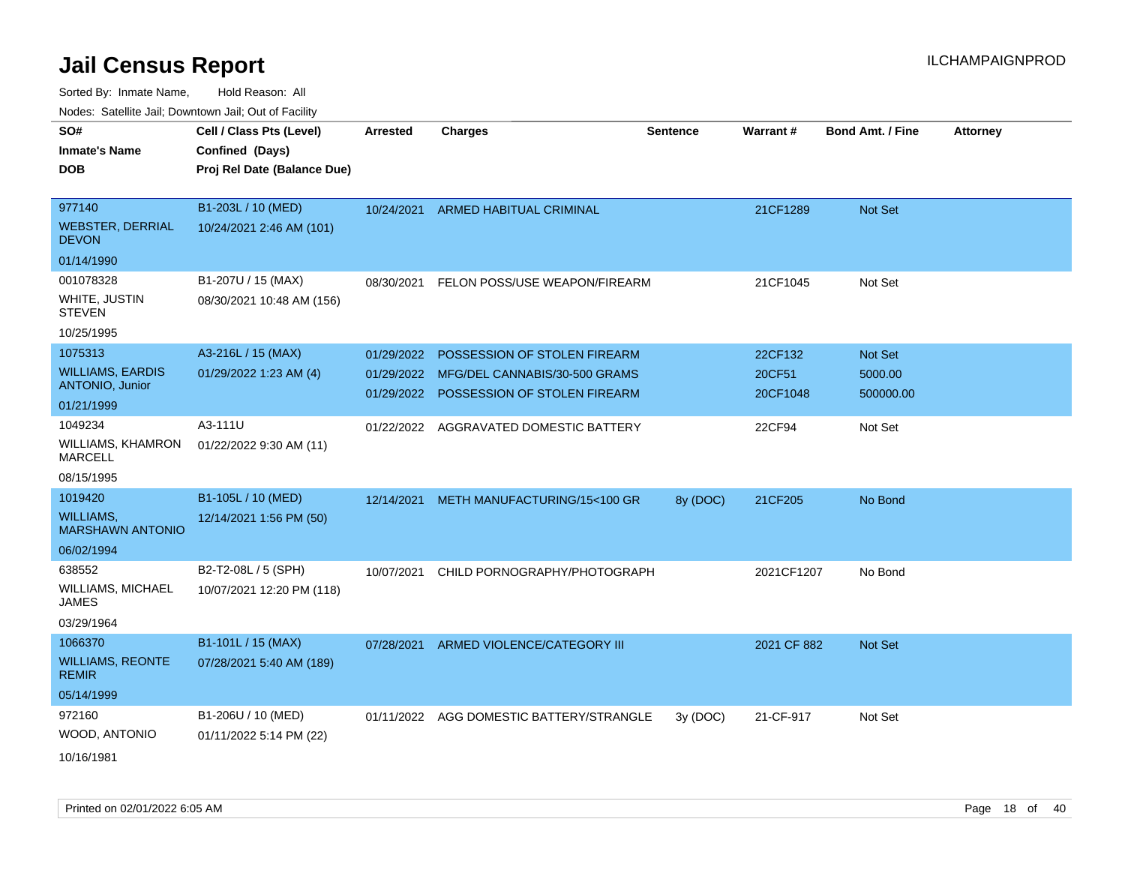| ivouss. Saleline Jali, Downtown Jali, Out of Facility |                             |                 |                                          |                 |             |                         |                 |
|-------------------------------------------------------|-----------------------------|-----------------|------------------------------------------|-----------------|-------------|-------------------------|-----------------|
| SO#                                                   | Cell / Class Pts (Level)    | <b>Arrested</b> | <b>Charges</b>                           | <b>Sentence</b> | Warrant#    | <b>Bond Amt. / Fine</b> | <b>Attorney</b> |
| <b>Inmate's Name</b>                                  | Confined (Days)             |                 |                                          |                 |             |                         |                 |
| <b>DOB</b>                                            | Proj Rel Date (Balance Due) |                 |                                          |                 |             |                         |                 |
|                                                       |                             |                 |                                          |                 |             |                         |                 |
| 977140                                                | B1-203L / 10 (MED)          | 10/24/2021      | ARMED HABITUAL CRIMINAL                  |                 | 21CF1289    | <b>Not Set</b>          |                 |
| <b>WEBSTER, DERRIAL</b><br><b>DEVON</b>               | 10/24/2021 2:46 AM (101)    |                 |                                          |                 |             |                         |                 |
| 01/14/1990                                            |                             |                 |                                          |                 |             |                         |                 |
| 001078328                                             | B1-207U / 15 (MAX)          | 08/30/2021      | FELON POSS/USE WEAPON/FIREARM            |                 | 21CF1045    | Not Set                 |                 |
| WHITE, JUSTIN<br><b>STEVEN</b>                        | 08/30/2021 10:48 AM (156)   |                 |                                          |                 |             |                         |                 |
| 10/25/1995                                            |                             |                 |                                          |                 |             |                         |                 |
| 1075313                                               | A3-216L / 15 (MAX)          | 01/29/2022      | POSSESSION OF STOLEN FIREARM             |                 | 22CF132     | <b>Not Set</b>          |                 |
| <b>WILLIAMS, EARDIS</b>                               | 01/29/2022 1:23 AM (4)      | 01/29/2022      | MFG/DEL CANNABIS/30-500 GRAMS            |                 | 20CF51      | 5000.00                 |                 |
| <b>ANTONIO, Junior</b>                                |                             | 01/29/2022      | POSSESSION OF STOLEN FIREARM             |                 | 20CF1048    | 500000.00               |                 |
| 01/21/1999                                            |                             |                 |                                          |                 |             |                         |                 |
| 1049234                                               | A3-111U                     | 01/22/2022      | AGGRAVATED DOMESTIC BATTERY              |                 | 22CF94      | Not Set                 |                 |
| <b>WILLIAMS, KHAMRON</b><br><b>MARCELL</b>            | 01/22/2022 9:30 AM (11)     |                 |                                          |                 |             |                         |                 |
| 08/15/1995                                            |                             |                 |                                          |                 |             |                         |                 |
| 1019420                                               | B1-105L / 10 (MED)          | 12/14/2021      | METH MANUFACTURING/15<100 GR             | 8y (DOC)        | 21CF205     | No Bond                 |                 |
| WILLIAMS,<br><b>MARSHAWN ANTONIO</b>                  | 12/14/2021 1:56 PM (50)     |                 |                                          |                 |             |                         |                 |
| 06/02/1994                                            |                             |                 |                                          |                 |             |                         |                 |
| 638552                                                | B2-T2-08L / 5 (SPH)         | 10/07/2021      | CHILD PORNOGRAPHY/PHOTOGRAPH             |                 | 2021CF1207  | No Bond                 |                 |
| WILLIAMS, MICHAEL<br><b>JAMES</b>                     | 10/07/2021 12:20 PM (118)   |                 |                                          |                 |             |                         |                 |
| 03/29/1964                                            |                             |                 |                                          |                 |             |                         |                 |
| 1066370                                               | B1-101L / 15 (MAX)          | 07/28/2021      | ARMED VIOLENCE/CATEGORY III              |                 | 2021 CF 882 | <b>Not Set</b>          |                 |
| <b>WILLIAMS, REONTE</b><br><b>REMIR</b>               | 07/28/2021 5:40 AM (189)    |                 |                                          |                 |             |                         |                 |
| 05/14/1999                                            |                             |                 |                                          |                 |             |                         |                 |
| 972160                                                | B1-206U / 10 (MED)          |                 | 01/11/2022 AGG DOMESTIC BATTERY/STRANGLE | 3y(DOC)         | 21-CF-917   | Not Set                 |                 |
| WOOD, ANTONIO                                         | 01/11/2022 5:14 PM (22)     |                 |                                          |                 |             |                         |                 |
| 10/16/1981                                            |                             |                 |                                          |                 |             |                         |                 |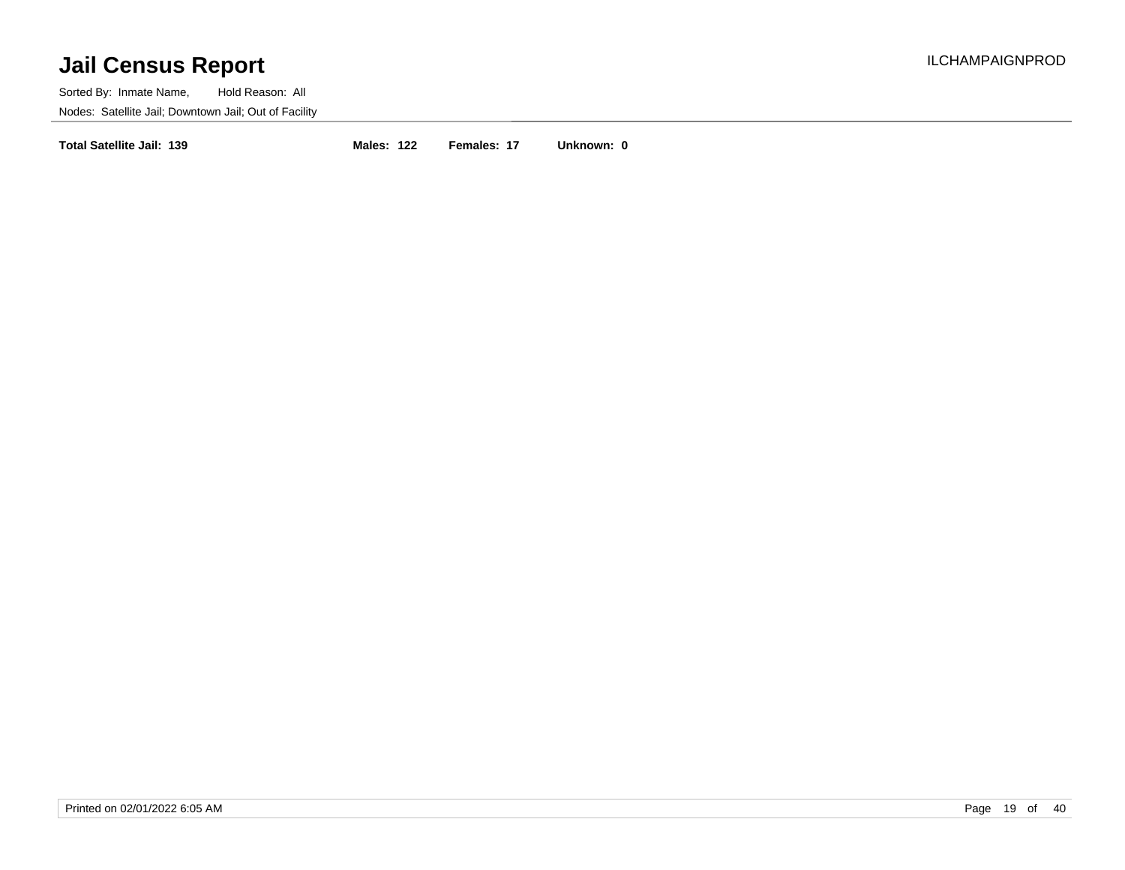Sorted By: Inmate Name, Hold Reason: All Nodes: Satellite Jail; Downtown Jail; Out of Facility

**Total Satellite Jail: 139 Males: 122 Females: 17 Unknown: 0**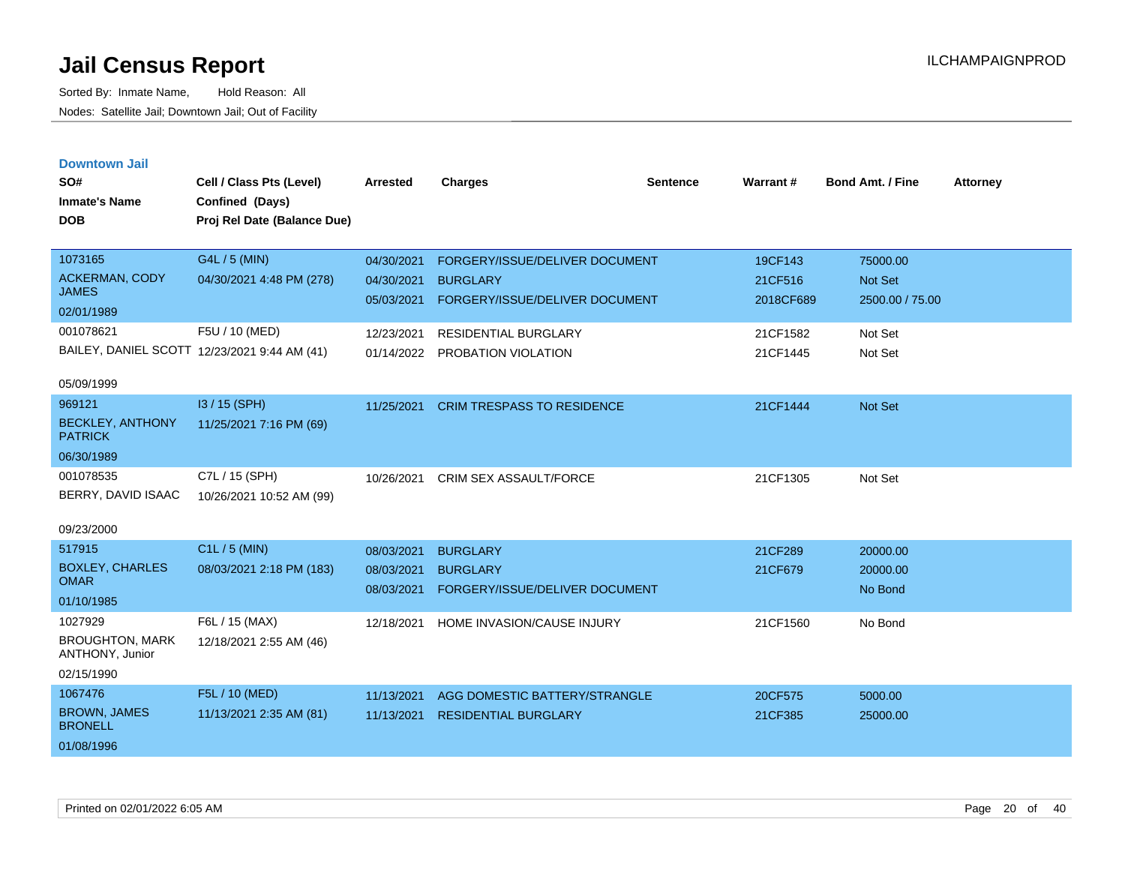|  | <b>Downtown Jail</b> |  |
|--|----------------------|--|
|  |                      |  |
|  |                      |  |

| SO#<br><b>Inmate's Name</b><br><b>DOB</b> | Cell / Class Pts (Level)<br>Confined (Days)<br>Proj Rel Date (Balance Due) | Arrested                 | <b>Charges</b>                                    | <b>Sentence</b> | <b>Warrant#</b>      | <b>Bond Amt. / Fine</b>    | <b>Attorney</b> |
|-------------------------------------------|----------------------------------------------------------------------------|--------------------------|---------------------------------------------------|-----------------|----------------------|----------------------------|-----------------|
| 1073165<br>ACKERMAN, CODY                 | G4L / 5 (MIN)<br>04/30/2021 4:48 PM (278)                                  | 04/30/2021               | FORGERY/ISSUE/DELIVER DOCUMENT                    |                 | 19CF143              | 75000.00                   |                 |
| <b>JAMES</b>                              |                                                                            | 04/30/2021<br>05/03/2021 | <b>BURGLARY</b><br>FORGERY/ISSUE/DELIVER DOCUMENT |                 | 21CF516<br>2018CF689 | Not Set<br>2500.00 / 75.00 |                 |
| 02/01/1989                                |                                                                            |                          |                                                   |                 |                      |                            |                 |
| 001078621                                 | F5U / 10 (MED)                                                             | 12/23/2021               | RESIDENTIAL BURGLARY                              |                 | 21CF1582             | Not Set                    |                 |
|                                           | BAILEY, DANIEL SCOTT 12/23/2021 9:44 AM (41)                               |                          | 01/14/2022 PROBATION VIOLATION                    |                 | 21CF1445             | Not Set                    |                 |
| 05/09/1999                                |                                                                            |                          |                                                   |                 |                      |                            |                 |
| 969121                                    | I3 / 15 (SPH)                                                              | 11/25/2021               | <b>CRIM TRESPASS TO RESIDENCE</b>                 |                 | 21CF1444             | Not Set                    |                 |
| <b>BECKLEY, ANTHONY</b><br><b>PATRICK</b> | 11/25/2021 7:16 PM (69)                                                    |                          |                                                   |                 |                      |                            |                 |
| 06/30/1989                                |                                                                            |                          |                                                   |                 |                      |                            |                 |
| 001078535                                 | C7L / 15 (SPH)                                                             | 10/26/2021               | CRIM SEX ASSAULT/FORCE                            |                 | 21CF1305             | Not Set                    |                 |
| BERRY, DAVID ISAAC                        | 10/26/2021 10:52 AM (99)                                                   |                          |                                                   |                 |                      |                            |                 |
| 09/23/2000                                |                                                                            |                          |                                                   |                 |                      |                            |                 |
| 517915                                    | C1L / 5 (MIN)                                                              | 08/03/2021               | <b>BURGLARY</b>                                   |                 | 21CF289              | 20000.00                   |                 |
| <b>BOXLEY, CHARLES</b>                    | 08/03/2021 2:18 PM (183)                                                   | 08/03/2021               | <b>BURGLARY</b>                                   |                 | 21CF679              | 20000.00                   |                 |
| <b>OMAR</b>                               |                                                                            | 08/03/2021               | FORGERY/ISSUE/DELIVER DOCUMENT                    |                 |                      | No Bond                    |                 |
| 01/10/1985                                |                                                                            |                          |                                                   |                 |                      |                            |                 |
| 1027929                                   | F6L / 15 (MAX)                                                             | 12/18/2021               | HOME INVASION/CAUSE INJURY                        |                 | 21CF1560             | No Bond                    |                 |
| <b>BROUGHTON, MARK</b><br>ANTHONY, Junior | 12/18/2021 2:55 AM (46)                                                    |                          |                                                   |                 |                      |                            |                 |
| 02/15/1990                                |                                                                            |                          |                                                   |                 |                      |                            |                 |
| 1067476                                   | F5L / 10 (MED)                                                             | 11/13/2021               | AGG DOMESTIC BATTERY/STRANGLE                     |                 | 20CF575              | 5000.00                    |                 |
| <b>BROWN, JAMES</b><br><b>BRONELL</b>     | 11/13/2021 2:35 AM (81)                                                    | 11/13/2021               | <b>RESIDENTIAL BURGLARY</b>                       |                 | 21CF385              | 25000.00                   |                 |
| 01/08/1996                                |                                                                            |                          |                                                   |                 |                      |                            |                 |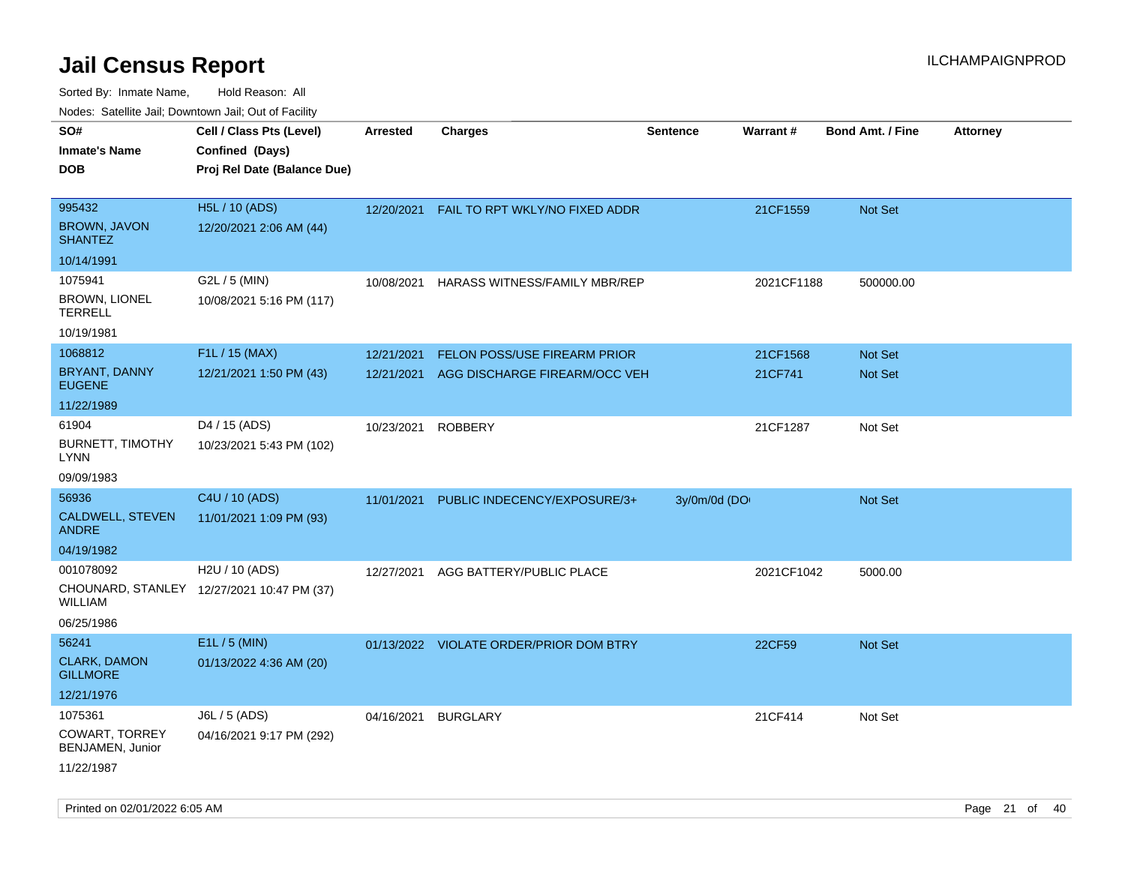| rouco. Calcinic Jan, Downtown Jan, Out of Facility |                                                                            |                 |                                           |                 |                 |                         |                 |
|----------------------------------------------------|----------------------------------------------------------------------------|-----------------|-------------------------------------------|-----------------|-----------------|-------------------------|-----------------|
| SO#<br><b>Inmate's Name</b><br>DOB                 | Cell / Class Pts (Level)<br>Confined (Days)<br>Proj Rel Date (Balance Due) | <b>Arrested</b> | <b>Charges</b>                            | <b>Sentence</b> | <b>Warrant#</b> | <b>Bond Amt. / Fine</b> | <b>Attorney</b> |
| 995432<br><b>BROWN, JAVON</b><br><b>SHANTEZ</b>    | <b>H5L / 10 (ADS)</b><br>12/20/2021 2:06 AM (44)                           |                 | 12/20/2021 FAIL TO RPT WKLY/NO FIXED ADDR |                 | 21CF1559        | Not Set                 |                 |
| 10/14/1991                                         |                                                                            |                 |                                           |                 |                 |                         |                 |
| 1075941<br><b>BROWN, LIONEL</b><br>TERRELL         | G2L / 5 (MIN)<br>10/08/2021 5:16 PM (117)                                  | 10/08/2021      | HARASS WITNESS/FAMILY MBR/REP             |                 | 2021CF1188      | 500000.00               |                 |
| 10/19/1981                                         |                                                                            |                 |                                           |                 |                 |                         |                 |
| 1068812                                            | F1L / 15 (MAX)                                                             | 12/21/2021      | FELON POSS/USE FIREARM PRIOR              |                 | 21CF1568        | <b>Not Set</b>          |                 |
| BRYANT, DANNY<br><b>EUGENE</b>                     | 12/21/2021 1:50 PM (43)                                                    | 12/21/2021      | AGG DISCHARGE FIREARM/OCC VEH             |                 | 21CF741         | Not Set                 |                 |
| 11/22/1989                                         |                                                                            |                 |                                           |                 |                 |                         |                 |
| 61904<br><b>BURNETT, TIMOTHY</b><br>LYNN           | D4 / 15 (ADS)<br>10/23/2021 5:43 PM (102)                                  | 10/23/2021      | <b>ROBBERY</b>                            |                 | 21CF1287        | Not Set                 |                 |
| 09/09/1983                                         |                                                                            |                 |                                           |                 |                 |                         |                 |
| 56936                                              | C4U / 10 (ADS)                                                             | 11/01/2021      | PUBLIC INDECENCY/EXPOSURE/3+              | 3y/0m/0d (DO    |                 | Not Set                 |                 |
| CALDWELL, STEVEN<br>ANDRE                          | 11/01/2021 1:09 PM (93)                                                    |                 |                                           |                 |                 |                         |                 |
| 04/19/1982                                         |                                                                            |                 |                                           |                 |                 |                         |                 |
| 001078092                                          | H2U / 10 (ADS)                                                             | 12/27/2021      | AGG BATTERY/PUBLIC PLACE                  |                 | 2021CF1042      | 5000.00                 |                 |
| WILLIAM                                            | CHOUNARD, STANLEY 12/27/2021 10:47 PM (37)                                 |                 |                                           |                 |                 |                         |                 |
| 06/25/1986                                         |                                                                            |                 |                                           |                 |                 |                         |                 |
| 56241                                              | E1L / 5 (MIN)                                                              |                 | 01/13/2022 VIOLATE ORDER/PRIOR DOM BTRY   |                 | 22CF59          | <b>Not Set</b>          |                 |
| <b>CLARK, DAMON</b><br><b>GILLMORE</b>             | 01/13/2022 4:36 AM (20)                                                    |                 |                                           |                 |                 |                         |                 |
| 12/21/1976                                         |                                                                            |                 |                                           |                 |                 |                         |                 |
| 1075361                                            | $J6L / 5$ (ADS)                                                            | 04/16/2021      | <b>BURGLARY</b>                           |                 | 21CF414         | Not Set                 |                 |
| COWART, TORREY<br>BENJAMEN, Junior                 | 04/16/2021 9:17 PM (292)                                                   |                 |                                           |                 |                 |                         |                 |
| 11/22/1987                                         |                                                                            |                 |                                           |                 |                 |                         |                 |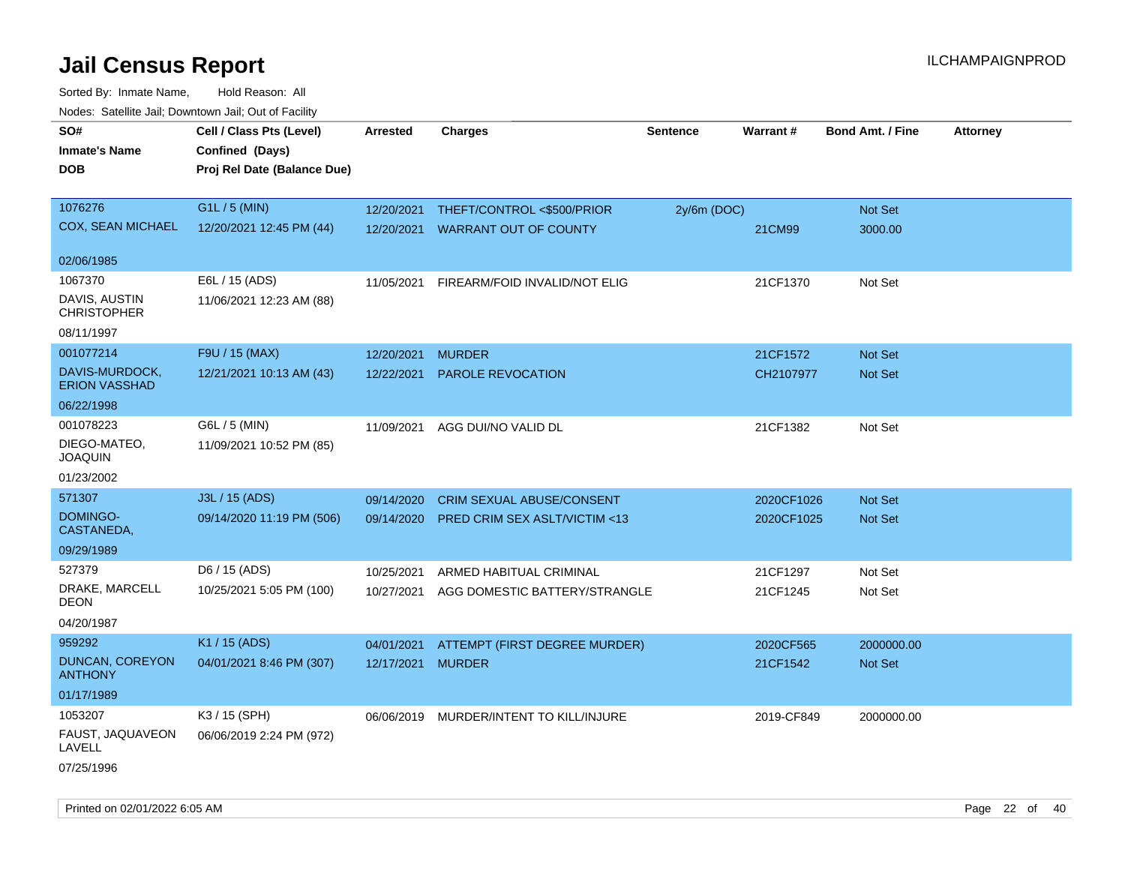| <u>Rodos.</u> Odiolino dali, Downtown dali, Odi of Fabilit   |                                                                            |                          |                                                                   |                 |                          |                         |                 |
|--------------------------------------------------------------|----------------------------------------------------------------------------|--------------------------|-------------------------------------------------------------------|-----------------|--------------------------|-------------------------|-----------------|
| SO#<br><b>Inmate's Name</b><br><b>DOB</b>                    | Cell / Class Pts (Level)<br>Confined (Days)<br>Proj Rel Date (Balance Due) | <b>Arrested</b>          | <b>Charges</b>                                                    | <b>Sentence</b> | Warrant#                 | <b>Bond Amt. / Fine</b> | <b>Attorney</b> |
| 1076276<br><b>COX, SEAN MICHAEL</b>                          | G1L / 5 (MIN)<br>12/20/2021 12:45 PM (44)                                  | 12/20/2021<br>12/20/2021 | THEFT/CONTROL <\$500/PRIOR<br><b>WARRANT OUT OF COUNTY</b>        | $2y/6m$ (DOC)   | 21CM99                   | Not Set<br>3000.00      |                 |
| 02/06/1985                                                   |                                                                            |                          |                                                                   |                 |                          |                         |                 |
| 1067370<br>DAVIS, AUSTIN<br><b>CHRISTOPHER</b><br>08/11/1997 | E6L / 15 (ADS)<br>11/06/2021 12:23 AM (88)                                 | 11/05/2021               | FIREARM/FOID INVALID/NOT ELIG                                     |                 | 21CF1370                 | Not Set                 |                 |
| 001077214                                                    | F9U / 15 (MAX)                                                             | 12/20/2021               | <b>MURDER</b>                                                     |                 | 21CF1572                 | <b>Not Set</b>          |                 |
| DAVIS-MURDOCK,<br><b>ERION VASSHAD</b>                       | 12/21/2021 10:13 AM (43)                                                   | 12/22/2021               | <b>PAROLE REVOCATION</b>                                          |                 | CH2107977                | Not Set                 |                 |
| 06/22/1998                                                   |                                                                            |                          |                                                                   |                 |                          |                         |                 |
| 001078223<br>DIEGO-MATEO,<br><b>JOAQUIN</b>                  | G6L / 5 (MIN)<br>11/09/2021 10:52 PM (85)                                  | 11/09/2021               | AGG DUI/NO VALID DL                                               |                 | 21CF1382                 | Not Set                 |                 |
| 01/23/2002                                                   |                                                                            |                          |                                                                   |                 |                          |                         |                 |
| 571307<br>DOMINGO-<br>CASTANEDA,<br>09/29/1989               | J3L / 15 (ADS)<br>09/14/2020 11:19 PM (506)                                | 09/14/2020<br>09/14/2020 | <b>CRIM SEXUAL ABUSE/CONSENT</b><br>PRED CRIM SEX ASLT/VICTIM <13 |                 | 2020CF1026<br>2020CF1025 | Not Set<br>Not Set      |                 |
| 527379                                                       | D6 / 15 (ADS)                                                              | 10/25/2021               | ARMED HABITUAL CRIMINAL                                           |                 | 21CF1297                 | Not Set                 |                 |
| DRAKE, MARCELL<br><b>DEON</b>                                | 10/25/2021 5:05 PM (100)                                                   | 10/27/2021               | AGG DOMESTIC BATTERY/STRANGLE                                     |                 | 21CF1245                 | Not Set                 |                 |
| 04/20/1987                                                   |                                                                            |                          |                                                                   |                 |                          |                         |                 |
| 959292<br>DUNCAN, COREYON<br><b>ANTHONY</b>                  | K1 / 15 (ADS)<br>04/01/2021 8:46 PM (307)                                  | 04/01/2021<br>12/17/2021 | ATTEMPT (FIRST DEGREE MURDER)<br><b>MURDER</b>                    |                 | 2020CF565<br>21CF1542    | 2000000.00<br>Not Set   |                 |
| 01/17/1989                                                   |                                                                            |                          |                                                                   |                 |                          |                         |                 |
| 1053207<br>FAUST, JAQUAVEON<br>LAVELL<br>07/25/1996          | K3 / 15 (SPH)<br>06/06/2019 2:24 PM (972)                                  | 06/06/2019               | MURDER/INTENT TO KILL/INJURE                                      |                 | 2019-CF849               | 2000000.00              |                 |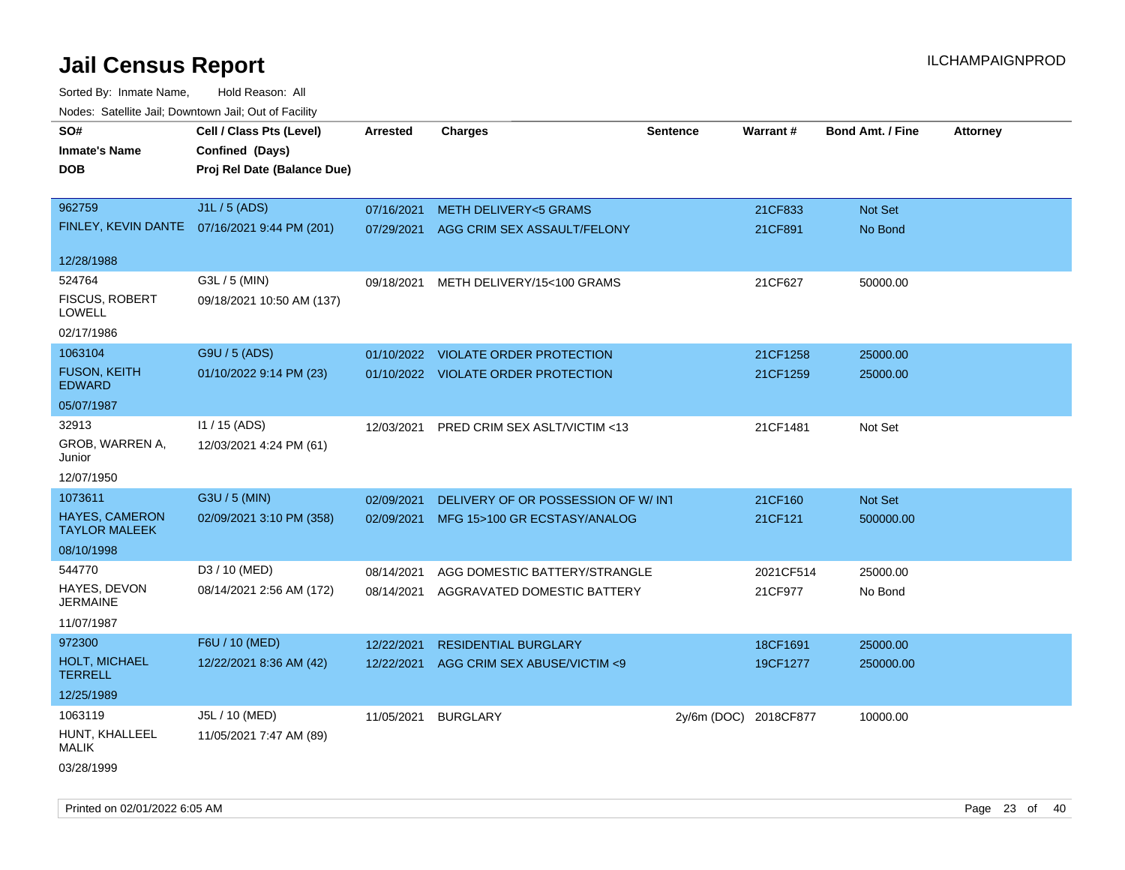Sorted By: Inmate Name, Hold Reason: All Nodes: Satellite Jail; Downtown Jail; Out of Facility

| roacs. Catellite Jall, Downtown Jall, Out of Facility |                                              |                 |                                       |                       |                 |                         |                 |
|-------------------------------------------------------|----------------------------------------------|-----------------|---------------------------------------|-----------------------|-----------------|-------------------------|-----------------|
| SO#                                                   | Cell / Class Pts (Level)                     | <b>Arrested</b> | <b>Charges</b>                        | <b>Sentence</b>       | <b>Warrant#</b> | <b>Bond Amt. / Fine</b> | <b>Attorney</b> |
| <b>Inmate's Name</b>                                  | Confined (Days)                              |                 |                                       |                       |                 |                         |                 |
| <b>DOB</b>                                            | Proj Rel Date (Balance Due)                  |                 |                                       |                       |                 |                         |                 |
|                                                       |                                              |                 |                                       |                       |                 |                         |                 |
| 962759                                                | J1L / 5 (ADS)                                | 07/16/2021      | <b>METH DELIVERY&lt;5 GRAMS</b>       |                       | 21CF833         | Not Set                 |                 |
|                                                       | FINLEY, KEVIN DANTE 07/16/2021 9:44 PM (201) | 07/29/2021      | AGG CRIM SEX ASSAULT/FELONY           |                       | 21CF891         | No Bond                 |                 |
| 12/28/1988                                            |                                              |                 |                                       |                       |                 |                         |                 |
| 524764                                                | G3L / 5 (MIN)                                |                 | 09/18/2021 METH DELIVERY/15<100 GRAMS |                       | 21CF627         | 50000.00                |                 |
| <b>FISCUS, ROBERT</b><br>LOWELL                       | 09/18/2021 10:50 AM (137)                    |                 |                                       |                       |                 |                         |                 |
| 02/17/1986                                            |                                              |                 |                                       |                       |                 |                         |                 |
| 1063104                                               | G9U / 5 (ADS)                                |                 | 01/10/2022 VIOLATE ORDER PROTECTION   |                       | 21CF1258        | 25000.00                |                 |
| <b>FUSON, KEITH</b><br><b>EDWARD</b>                  | 01/10/2022 9:14 PM (23)                      |                 | 01/10/2022 VIOLATE ORDER PROTECTION   |                       | 21CF1259        | 25000.00                |                 |
| 05/07/1987                                            |                                              |                 |                                       |                       |                 |                         |                 |
| 32913                                                 | I1 / 15 (ADS)                                | 12/03/2021      | PRED CRIM SEX ASLT/VICTIM <13         |                       | 21CF1481        | Not Set                 |                 |
| GROB, WARREN A,<br>Junior                             | 12/03/2021 4:24 PM (61)                      |                 |                                       |                       |                 |                         |                 |
| 12/07/1950                                            |                                              |                 |                                       |                       |                 |                         |                 |
| 1073611                                               | G3U / 5 (MIN)                                | 02/09/2021      | DELIVERY OF OR POSSESSION OF W/INT    |                       | 21CF160         | Not Set                 |                 |
| <b>HAYES, CAMERON</b><br><b>TAYLOR MALEEK</b>         | 02/09/2021 3:10 PM (358)                     | 02/09/2021      | MFG 15>100 GR ECSTASY/ANALOG          |                       | 21CF121         | 500000.00               |                 |
| 08/10/1998                                            |                                              |                 |                                       |                       |                 |                         |                 |
| 544770                                                | D3 / 10 (MED)                                | 08/14/2021      | AGG DOMESTIC BATTERY/STRANGLE         |                       | 2021CF514       | 25000.00                |                 |
| HAYES, DEVON<br><b>JERMAINE</b>                       | 08/14/2021 2:56 AM (172)                     | 08/14/2021      | AGGRAVATED DOMESTIC BATTERY           |                       | 21CF977         | No Bond                 |                 |
| 11/07/1987                                            |                                              |                 |                                       |                       |                 |                         |                 |
| 972300                                                | F6U / 10 (MED)                               | 12/22/2021      | <b>RESIDENTIAL BURGLARY</b>           |                       | 18CF1691        | 25000.00                |                 |
| HOLT, MICHAEL<br><b>TERRELL</b>                       | 12/22/2021 8:36 AM (42)                      | 12/22/2021      | AGG CRIM SEX ABUSE/VICTIM <9          |                       | 19CF1277        | 250000.00               |                 |
| 12/25/1989                                            |                                              |                 |                                       |                       |                 |                         |                 |
| 1063119                                               | J5L / 10 (MED)                               | 11/05/2021      | <b>BURGLARY</b>                       | 2y/6m (DOC) 2018CF877 |                 | 10000.00                |                 |
| HUNT, KHALLEEL<br>MALIK                               | 11/05/2021 7:47 AM (89)                      |                 |                                       |                       |                 |                         |                 |
| $\frac{1}{2}$                                         |                                              |                 |                                       |                       |                 |                         |                 |

03/28/1999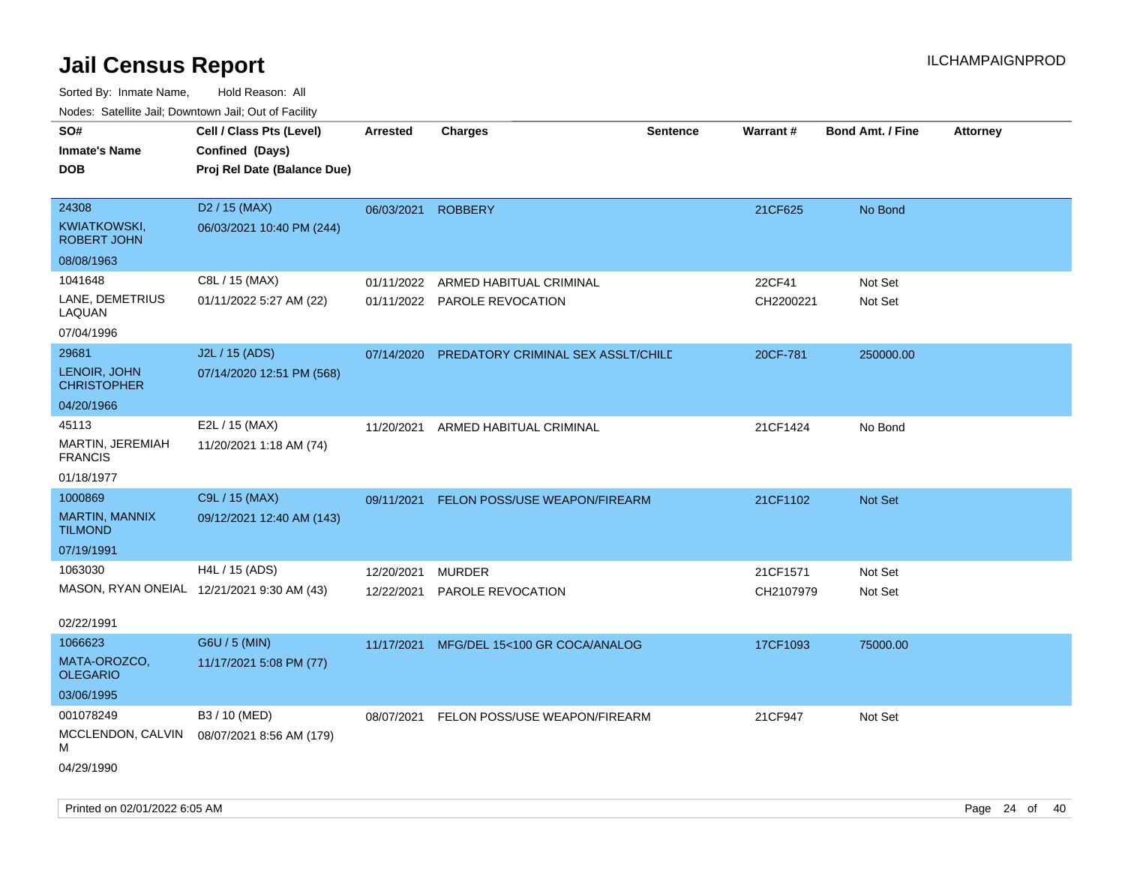| SO#                                | Cell / Class Pts (Level)                   | <b>Arrested</b> | <b>Charges</b>                     | <b>Sentence</b> | Warrant#  | <b>Bond Amt. / Fine</b> | <b>Attorney</b> |
|------------------------------------|--------------------------------------------|-----------------|------------------------------------|-----------------|-----------|-------------------------|-----------------|
| <b>Inmate's Name</b>               | Confined (Days)                            |                 |                                    |                 |           |                         |                 |
| <b>DOB</b>                         | Proj Rel Date (Balance Due)                |                 |                                    |                 |           |                         |                 |
|                                    |                                            |                 |                                    |                 |           |                         |                 |
| 24308                              | D <sub>2</sub> / 15 (MAX)                  | 06/03/2021      | <b>ROBBERY</b>                     |                 | 21CF625   | No Bond                 |                 |
| KWIATKOWSKI,<br><b>ROBERT JOHN</b> | 06/03/2021 10:40 PM (244)                  |                 |                                    |                 |           |                         |                 |
| 08/08/1963                         |                                            |                 |                                    |                 |           |                         |                 |
| 1041648                            | C8L / 15 (MAX)                             | 01/11/2022      | ARMED HABITUAL CRIMINAL            |                 | 22CF41    | Not Set                 |                 |
| LANE, DEMETRIUS<br>LAQUAN          | 01/11/2022 5:27 AM (22)                    |                 | 01/11/2022 PAROLE REVOCATION       |                 | CH2200221 | Not Set                 |                 |
| 07/04/1996                         |                                            |                 |                                    |                 |           |                         |                 |
| 29681                              | J2L / 15 (ADS)                             | 07/14/2020      | PREDATORY CRIMINAL SEX ASSLT/CHILD |                 | 20CF-781  | 250000.00               |                 |
| LENOIR, JOHN<br><b>CHRISTOPHER</b> | 07/14/2020 12:51 PM (568)                  |                 |                                    |                 |           |                         |                 |
| 04/20/1966                         |                                            |                 |                                    |                 |           |                         |                 |
| 45113                              | E2L / 15 (MAX)                             | 11/20/2021      | ARMED HABITUAL CRIMINAL            |                 | 21CF1424  | No Bond                 |                 |
| MARTIN, JEREMIAH<br><b>FRANCIS</b> | 11/20/2021 1:18 AM (74)                    |                 |                                    |                 |           |                         |                 |
| 01/18/1977                         |                                            |                 |                                    |                 |           |                         |                 |
| 1000869                            | C9L / 15 (MAX)                             | 09/11/2021      | FELON POSS/USE WEAPON/FIREARM      |                 | 21CF1102  | Not Set                 |                 |
| MARTIN, MANNIX<br><b>TILMOND</b>   | 09/12/2021 12:40 AM (143)                  |                 |                                    |                 |           |                         |                 |
| 07/19/1991                         |                                            |                 |                                    |                 |           |                         |                 |
| 1063030                            | H4L / 15 (ADS)                             | 12/20/2021      | <b>MURDER</b>                      |                 | 21CF1571  | Not Set                 |                 |
|                                    | MASON, RYAN ONEIAL 12/21/2021 9:30 AM (43) | 12/22/2021      | PAROLE REVOCATION                  |                 | CH2107979 | Not Set                 |                 |
|                                    |                                            |                 |                                    |                 |           |                         |                 |
| 02/22/1991                         |                                            |                 |                                    |                 |           |                         |                 |
| 1066623                            | G6U / 5 (MIN)                              | 11/17/2021      | MFG/DEL 15<100 GR COCA/ANALOG      |                 | 17CF1093  | 75000.00                |                 |
| MATA-OROZCO,<br><b>OLEGARIO</b>    | 11/17/2021 5:08 PM (77)                    |                 |                                    |                 |           |                         |                 |
| 03/06/1995                         |                                            |                 |                                    |                 |           |                         |                 |
| 001078249                          | B3 / 10 (MED)                              | 08/07/2021      | FELON POSS/USE WEAPON/FIREARM      |                 | 21CF947   | Not Set                 |                 |
| MCCLENDON, CALVIN<br>М             | 08/07/2021 8:56 AM (179)                   |                 |                                    |                 |           |                         |                 |
| 04/29/1990                         |                                            |                 |                                    |                 |           |                         |                 |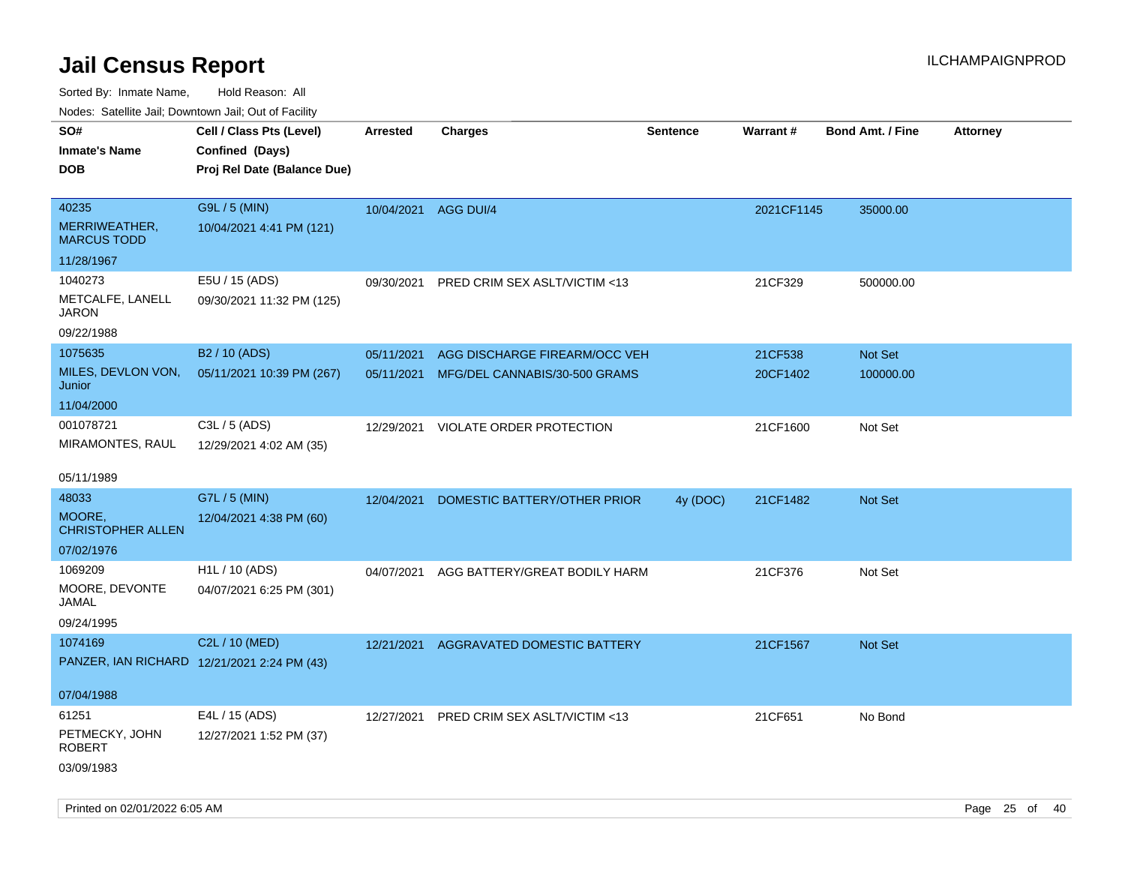Sorted By: Inmate Name, Hold Reason: All

Nodes: Satellite Jail; Downtown Jail; Out of Facility

| SO#                                         | Cell / Class Pts (Level)    | <b>Arrested</b> | <b>Charges</b>                           | <b>Sentence</b> | <b>Warrant#</b> | <b>Bond Amt. / Fine</b> | <b>Attorney</b> |
|---------------------------------------------|-----------------------------|-----------------|------------------------------------------|-----------------|-----------------|-------------------------|-----------------|
| <b>Inmate's Name</b>                        | Confined (Days)             |                 |                                          |                 |                 |                         |                 |
| <b>DOB</b>                                  | Proj Rel Date (Balance Due) |                 |                                          |                 |                 |                         |                 |
|                                             |                             |                 |                                          |                 |                 |                         |                 |
| 40235                                       | G9L / 5 (MIN)               | 10/04/2021      | AGG DUI/4                                |                 | 2021CF1145      | 35000.00                |                 |
| MERRIWEATHER,<br><b>MARCUS TODD</b>         | 10/04/2021 4:41 PM (121)    |                 |                                          |                 |                 |                         |                 |
| 11/28/1967                                  |                             |                 |                                          |                 |                 |                         |                 |
| 1040273                                     | E5U / 15 (ADS)              | 09/30/2021      | PRED CRIM SEX ASLT/VICTIM <13            |                 | 21CF329         | 500000.00               |                 |
| METCALFE, LANELL<br><b>JARON</b>            | 09/30/2021 11:32 PM (125)   |                 |                                          |                 |                 |                         |                 |
| 09/22/1988                                  |                             |                 |                                          |                 |                 |                         |                 |
| 1075635                                     | B2 / 10 (ADS)               | 05/11/2021      | AGG DISCHARGE FIREARM/OCC VEH            |                 | 21CF538         | Not Set                 |                 |
| MILES, DEVLON VON,<br>Junior                | 05/11/2021 10:39 PM (267)   |                 | 05/11/2021 MFG/DEL CANNABIS/30-500 GRAMS |                 | 20CF1402        | 100000.00               |                 |
| 11/04/2000                                  |                             |                 |                                          |                 |                 |                         |                 |
| 001078721                                   | C3L / 5 (ADS)               |                 | 12/29/2021 VIOLATE ORDER PROTECTION      |                 | 21CF1600        | Not Set                 |                 |
| MIRAMONTES, RAUL                            | 12/29/2021 4:02 AM (35)     |                 |                                          |                 |                 |                         |                 |
| 05/11/1989                                  |                             |                 |                                          |                 |                 |                         |                 |
| 48033                                       | G7L / 5 (MIN)               | 12/04/2021      | DOMESTIC BATTERY/OTHER PRIOR             | 4y (DOC)        | 21CF1482        | Not Set                 |                 |
| MOORE.<br><b>CHRISTOPHER ALLEN</b>          | 12/04/2021 4:38 PM (60)     |                 |                                          |                 |                 |                         |                 |
| 07/02/1976                                  |                             |                 |                                          |                 |                 |                         |                 |
| 1069209                                     | H <sub>1</sub> L / 10 (ADS) | 04/07/2021      | AGG BATTERY/GREAT BODILY HARM            |                 | 21CF376         | Not Set                 |                 |
| MOORE, DEVONTE<br><b>JAMAL</b>              | 04/07/2021 6:25 PM (301)    |                 |                                          |                 |                 |                         |                 |
| 09/24/1995                                  |                             |                 |                                          |                 |                 |                         |                 |
| 1074169                                     | C2L / 10 (MED)              | 12/21/2021      | AGGRAVATED DOMESTIC BATTERY              |                 | 21CF1567        | Not Set                 |                 |
| PANZER, IAN RICHARD 12/21/2021 2:24 PM (43) |                             |                 |                                          |                 |                 |                         |                 |
|                                             |                             |                 |                                          |                 |                 |                         |                 |
| 07/04/1988                                  |                             |                 |                                          |                 |                 |                         |                 |
| 61251                                       | E4L / 15 (ADS)              | 12/27/2021      | PRED CRIM SEX ASLT/VICTIM <13            |                 | 21CF651         | No Bond                 |                 |
| PETMECKY, JOHN<br><b>ROBERT</b>             | 12/27/2021 1:52 PM (37)     |                 |                                          |                 |                 |                         |                 |
| 03/09/1983                                  |                             |                 |                                          |                 |                 |                         |                 |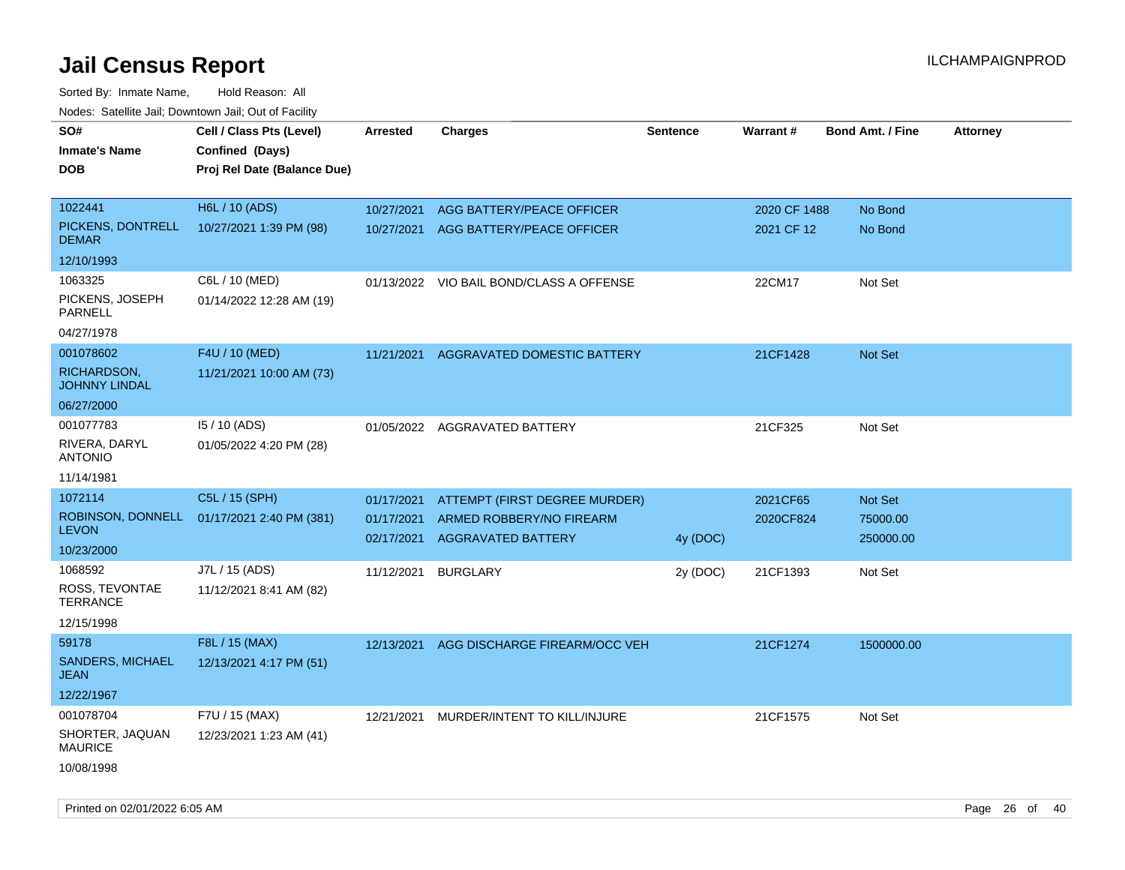| rouco. Calcinic Jan, Downtown Jan, Out of Facility |                                            |                          |                                                       |                 |              |                         |                 |
|----------------------------------------------------|--------------------------------------------|--------------------------|-------------------------------------------------------|-----------------|--------------|-------------------------|-----------------|
| SO#                                                | Cell / Class Pts (Level)                   | <b>Arrested</b>          | Charges                                               | <b>Sentence</b> | Warrant#     | <b>Bond Amt. / Fine</b> | <b>Attorney</b> |
| Inmate's Name                                      | Confined (Days)                            |                          |                                                       |                 |              |                         |                 |
| DOB                                                | Proj Rel Date (Balance Due)                |                          |                                                       |                 |              |                         |                 |
|                                                    |                                            |                          |                                                       |                 |              |                         |                 |
| 1022441                                            | H6L / 10 (ADS)                             | 10/27/2021               | AGG BATTERY/PEACE OFFICER                             |                 | 2020 CF 1488 | No Bond                 |                 |
| PICKENS, DONTRELL<br><b>DEMAR</b>                  | 10/27/2021 1:39 PM (98)                    |                          | 10/27/2021 AGG BATTERY/PEACE OFFICER                  |                 | 2021 CF 12   | No Bond                 |                 |
| 12/10/1993                                         |                                            |                          |                                                       |                 |              |                         |                 |
| 1063325                                            | C6L / 10 (MED)                             |                          | 01/13/2022 VIO BAIL BOND/CLASS A OFFENSE              |                 | 22CM17       | Not Set                 |                 |
| PICKENS, JOSEPH<br>PARNELL                         | 01/14/2022 12:28 AM (19)                   |                          |                                                       |                 |              |                         |                 |
| 04/27/1978                                         |                                            |                          |                                                       |                 |              |                         |                 |
| 001078602                                          | F4U / 10 (MED)                             | 11/21/2021               | AGGRAVATED DOMESTIC BATTERY                           |                 | 21CF1428     | <b>Not Set</b>          |                 |
| RICHARDSON,<br><b>JOHNNY LINDAL</b>                | 11/21/2021 10:00 AM (73)                   |                          |                                                       |                 |              |                         |                 |
| 06/27/2000                                         |                                            |                          |                                                       |                 |              |                         |                 |
| 001077783                                          | 15 / 10 (ADS)                              |                          | 01/05/2022 AGGRAVATED BATTERY                         |                 | 21CF325      | Not Set                 |                 |
| RIVERA, DARYL<br><b>ANTONIO</b>                    | 01/05/2022 4:20 PM (28)                    |                          |                                                       |                 |              |                         |                 |
| 11/14/1981                                         |                                            |                          |                                                       |                 |              |                         |                 |
| 1072114                                            | C5L / 15 (SPH)                             | 01/17/2021               | ATTEMPT (FIRST DEGREE MURDER)                         |                 | 2021CF65     | Not Set                 |                 |
| <b>LEVON</b>                                       | ROBINSON, DONNELL 01/17/2021 2:40 PM (381) | 01/17/2021<br>02/17/2021 | ARMED ROBBERY/NO FIREARM<br><b>AGGRAVATED BATTERY</b> | 4y (DOC)        | 2020CF824    | 75000.00<br>250000.00   |                 |
| 10/23/2000                                         |                                            |                          |                                                       |                 |              |                         |                 |
| 1068592                                            | J7L / 15 (ADS)                             | 11/12/2021               | <b>BURGLARY</b>                                       | 2y (DOC)        | 21CF1393     | Not Set                 |                 |
| ROSS, TEVONTAE<br>TERRANCE                         | 11/12/2021 8:41 AM (82)                    |                          |                                                       |                 |              |                         |                 |
| 12/15/1998                                         |                                            |                          |                                                       |                 |              |                         |                 |
| 59178                                              | F8L / 15 (MAX)                             | 12/13/2021               | AGG DISCHARGE FIREARM/OCC VEH                         |                 | 21CF1274     | 1500000.00              |                 |
| <b>SANDERS, MICHAEL</b><br>JEAN                    | 12/13/2021 4:17 PM (51)                    |                          |                                                       |                 |              |                         |                 |
| 12/22/1967                                         |                                            |                          |                                                       |                 |              |                         |                 |
| 001078704                                          | F7U / 15 (MAX)                             | 12/21/2021               | MURDER/INTENT TO KILL/INJURE                          |                 | 21CF1575     | Not Set                 |                 |
| SHORTER, JAQUAN<br><b>MAURICE</b>                  | 12/23/2021 1:23 AM (41)                    |                          |                                                       |                 |              |                         |                 |
| 10/08/1998                                         |                                            |                          |                                                       |                 |              |                         |                 |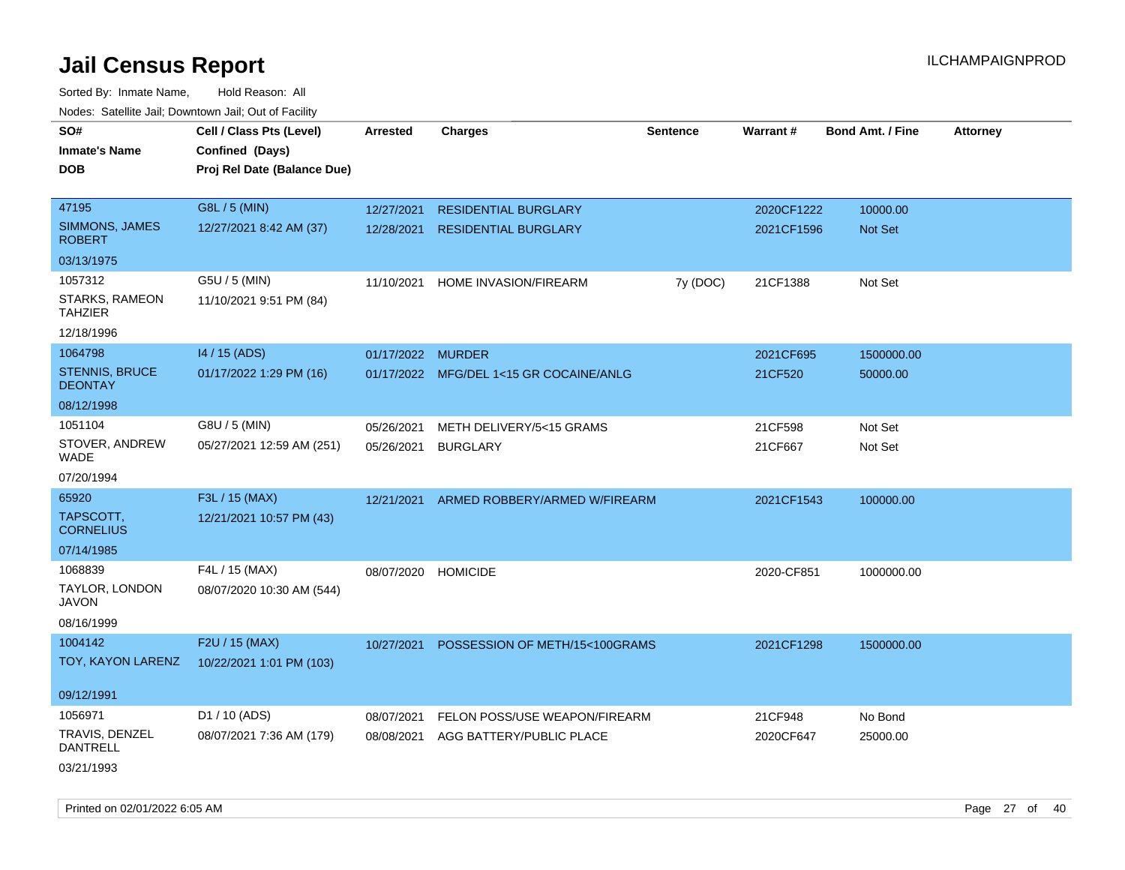| rougs. Calcing Jan, Downtown Jan, Out of Facinty |                                                                            |                   |                                         |                 |            |                         |                 |
|--------------------------------------------------|----------------------------------------------------------------------------|-------------------|-----------------------------------------|-----------------|------------|-------------------------|-----------------|
| SO#<br><b>Inmate's Name</b><br><b>DOB</b>        | Cell / Class Pts (Level)<br>Confined (Days)<br>Proj Rel Date (Balance Due) | <b>Arrested</b>   | <b>Charges</b>                          | <b>Sentence</b> | Warrant#   | <b>Bond Amt. / Fine</b> | <b>Attorney</b> |
| 47195                                            | G8L / 5 (MIN)                                                              | 12/27/2021        | <b>RESIDENTIAL BURGLARY</b>             |                 | 2020CF1222 | 10000.00                |                 |
| SIMMONS, JAMES<br><b>ROBERT</b>                  | 12/27/2021 8:42 AM (37)                                                    | 12/28/2021        | <b>RESIDENTIAL BURGLARY</b>             |                 | 2021CF1596 | <b>Not Set</b>          |                 |
| 03/13/1975                                       |                                                                            |                   |                                         |                 |            |                         |                 |
| 1057312                                          | G5U / 5 (MIN)                                                              | 11/10/2021        | HOME INVASION/FIREARM                   | 7y (DOC)        | 21CF1388   | Not Set                 |                 |
| STARKS, RAMEON<br>TAHZIER                        | 11/10/2021 9:51 PM (84)                                                    |                   |                                         |                 |            |                         |                 |
| 12/18/1996                                       |                                                                            |                   |                                         |                 |            |                         |                 |
| 1064798                                          | 14 / 15 (ADS)                                                              | 01/17/2022 MURDER |                                         |                 | 2021CF695  | 1500000.00              |                 |
| STENNIS, BRUCE<br><b>DEONTAY</b>                 | 01/17/2022 1:29 PM (16)                                                    |                   | 01/17/2022 MFG/DEL 1<15 GR COCAINE/ANLG |                 | 21CF520    | 50000.00                |                 |
| 08/12/1998                                       |                                                                            |                   |                                         |                 |            |                         |                 |
| 1051104                                          | G8U / 5 (MIN)                                                              | 05/26/2021        | METH DELIVERY/5<15 GRAMS                |                 | 21CF598    | Not Set                 |                 |
| STOVER, ANDREW<br>WADE                           | 05/27/2021 12:59 AM (251)                                                  | 05/26/2021        | <b>BURGLARY</b>                         |                 | 21CF667    | Not Set                 |                 |
| 07/20/1994                                       |                                                                            |                   |                                         |                 |            |                         |                 |
| 65920                                            | F3L / 15 (MAX)                                                             | 12/21/2021        | ARMED ROBBERY/ARMED W/FIREARM           |                 | 2021CF1543 | 100000.00               |                 |
| TAPSCOTT,<br><b>CORNELIUS</b>                    | 12/21/2021 10:57 PM (43)                                                   |                   |                                         |                 |            |                         |                 |
| 07/14/1985                                       |                                                                            |                   |                                         |                 |            |                         |                 |
| 1068839                                          | F4L / 15 (MAX)                                                             | 08/07/2020        | <b>HOMICIDE</b>                         |                 | 2020-CF851 | 1000000.00              |                 |
| TAYLOR, LONDON<br>JAVON                          | 08/07/2020 10:30 AM (544)                                                  |                   |                                         |                 |            |                         |                 |
| 08/16/1999                                       |                                                                            |                   |                                         |                 |            |                         |                 |
| 1004142                                          | F2U / 15 (MAX)                                                             | 10/27/2021        | POSSESSION OF METH/15<100GRAMS          |                 | 2021CF1298 | 1500000.00              |                 |
| TOY, KAYON LARENZ                                | 10/22/2021 1:01 PM (103)                                                   |                   |                                         |                 |            |                         |                 |
| 09/12/1991                                       |                                                                            |                   |                                         |                 |            |                         |                 |
| 1056971                                          | D1 / 10 (ADS)                                                              | 08/07/2021        | FELON POSS/USE WEAPON/FIREARM           |                 | 21CF948    | No Bond                 |                 |
| TRAVIS, DENZEL<br>DANTRELL                       | 08/07/2021 7:36 AM (179)                                                   |                   | 08/08/2021 AGG BATTERY/PUBLIC PLACE     |                 | 2020CF647  | 25000.00                |                 |
| 03/21/1993                                       |                                                                            |                   |                                         |                 |            |                         |                 |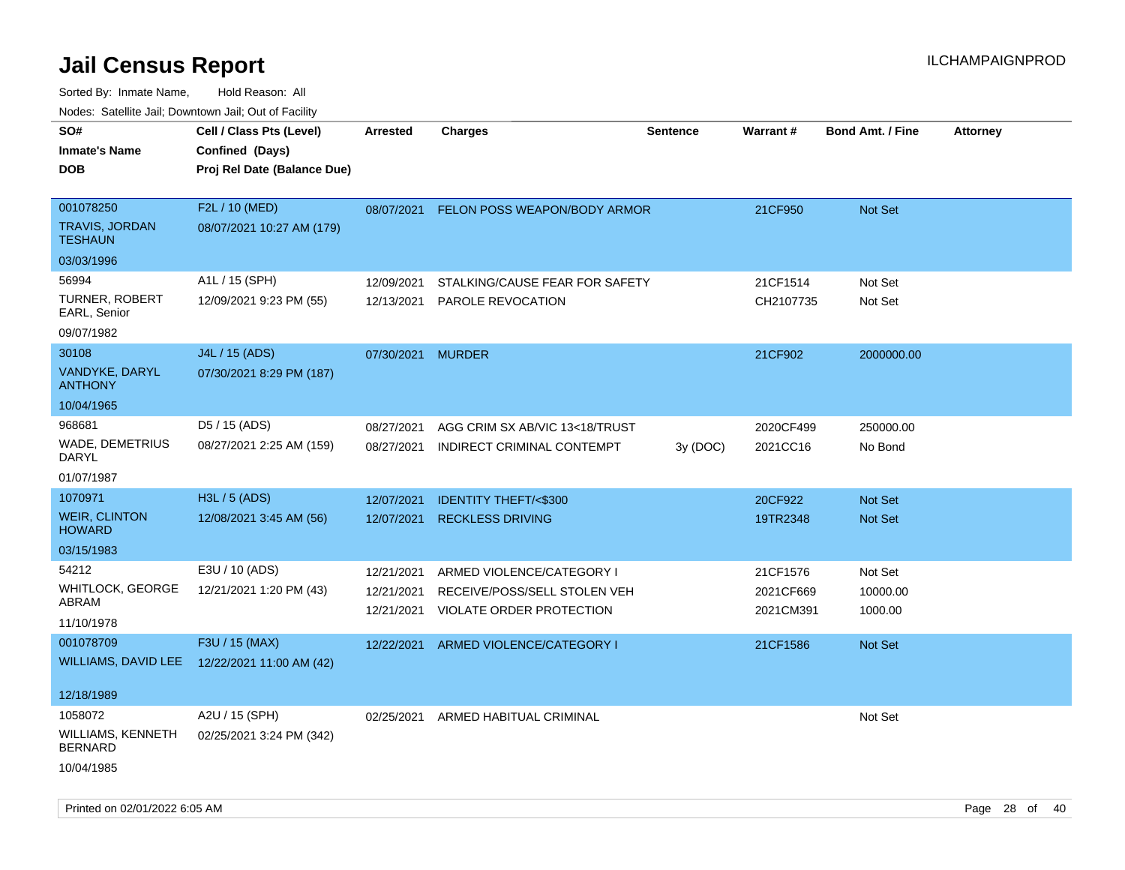| rougs. Calcing Jan, Downtown Jan, Out of Facility              |                                                                            |                                        |                                                                                       |          |                                    |                                |                 |
|----------------------------------------------------------------|----------------------------------------------------------------------------|----------------------------------------|---------------------------------------------------------------------------------------|----------|------------------------------------|--------------------------------|-----------------|
| SO#<br><b>Inmate's Name</b><br><b>DOB</b>                      | Cell / Class Pts (Level)<br>Confined (Days)<br>Proj Rel Date (Balance Due) | Arrested                               | <b>Charges</b>                                                                        | Sentence | Warrant#                           | <b>Bond Amt. / Fine</b>        | <b>Attorney</b> |
| 001078250<br>TRAVIS, JORDAN<br><b>TESHAUN</b><br>03/03/1996    | F2L / 10 (MED)<br>08/07/2021 10:27 AM (179)                                |                                        | 08/07/2021 FELON POSS WEAPON/BODY ARMOR                                               |          | 21CF950                            | Not Set                        |                 |
| 56994<br>TURNER, ROBERT<br>EARL, Senior<br>09/07/1982          | A1L / 15 (SPH)<br>12/09/2021 9:23 PM (55)                                  | 12/09/2021<br>12/13/2021               | STALKING/CAUSE FEAR FOR SAFETY<br>PAROLE REVOCATION                                   |          | 21CF1514<br>CH2107735              | Not Set<br>Not Set             |                 |
| 30108<br>VANDYKE, DARYL<br><b>ANTHONY</b><br>10/04/1965        | J4L / 15 (ADS)<br>07/30/2021 8:29 PM (187)                                 | 07/30/2021 MURDER                      |                                                                                       |          | 21CF902                            | 2000000.00                     |                 |
| 968681<br>WADE, DEMETRIUS<br>DARYL<br>01/07/1987               | D5 / 15 (ADS)<br>08/27/2021 2:25 AM (159)                                  | 08/27/2021<br>08/27/2021               | AGG CRIM SX AB/VIC 13<18/TRUST<br>INDIRECT CRIMINAL CONTEMPT                          | 3y (DOC) | 2020CF499<br>2021CC16              | 250000.00<br>No Bond           |                 |
| 1070971<br><b>WEIR, CLINTON</b><br><b>HOWARD</b><br>03/15/1983 | H3L / 5 (ADS)<br>12/08/2021 3:45 AM (56)                                   | 12/07/2021<br>12/07/2021               | <b>IDENTITY THEFT/&lt;\$300</b><br><b>RECKLESS DRIVING</b>                            |          | 20CF922<br>19TR2348                | <b>Not Set</b><br>Not Set      |                 |
| 54212<br>WHITLOCK, GEORGE<br>ABRAM<br>11/10/1978               | E3U / 10 (ADS)<br>12/21/2021 1:20 PM (43)                                  | 12/21/2021<br>12/21/2021<br>12/21/2021 | ARMED VIOLENCE/CATEGORY I<br>RECEIVE/POSS/SELL STOLEN VEH<br>VIOLATE ORDER PROTECTION |          | 21CF1576<br>2021CF669<br>2021CM391 | Not Set<br>10000.00<br>1000.00 |                 |
| 001078709<br>12/18/1989                                        | F3U / 15 (MAX)<br>WILLIAMS, DAVID LEE 12/22/2021 11:00 AM (42)             | 12/22/2021                             | ARMED VIOLENCE/CATEGORY I                                                             |          | 21CF1586                           | <b>Not Set</b>                 |                 |
| 1058072<br>WILLIAMS, KENNETH<br><b>BERNARD</b><br>10/04/1985   | A2U / 15 (SPH)<br>02/25/2021 3:24 PM (342)                                 | 02/25/2021                             | ARMED HABITUAL CRIMINAL                                                               |          |                                    | Not Set                        |                 |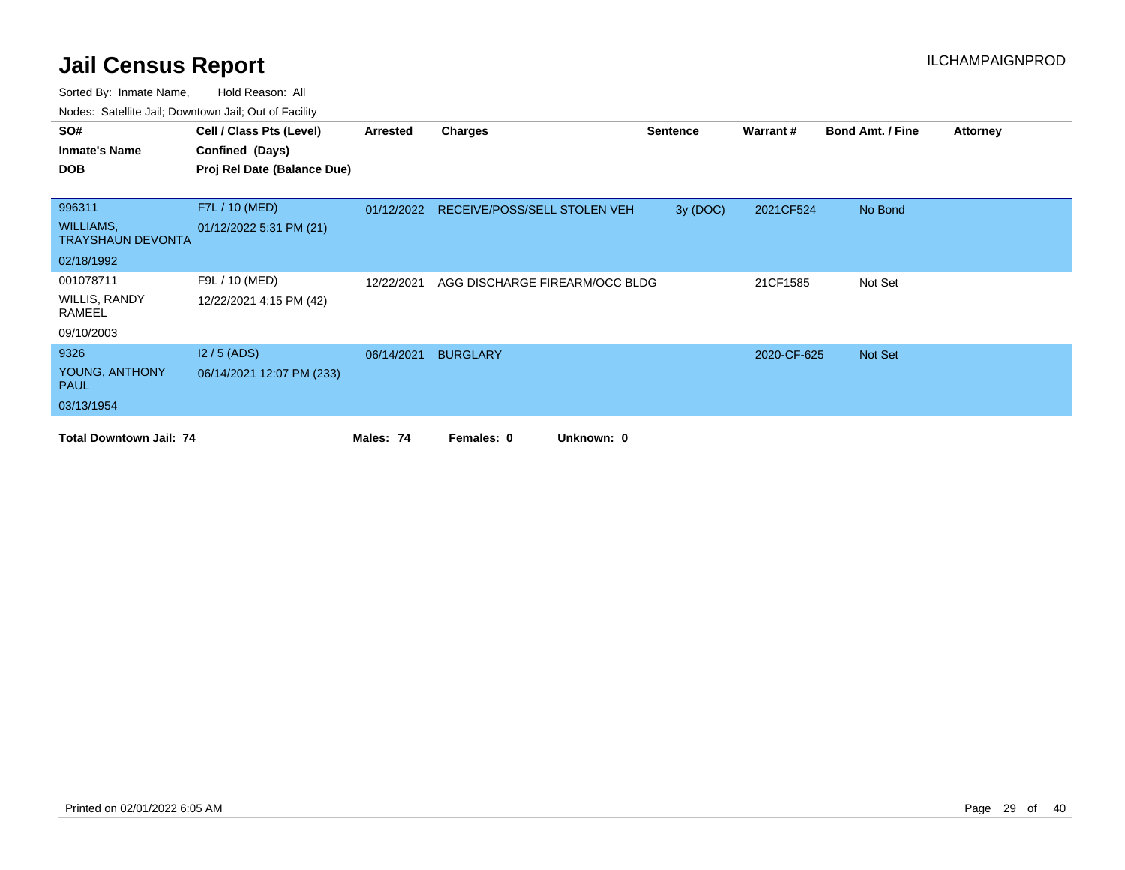| SO#                                          | Cell / Class Pts (Level)    | Arrested   | <b>Charges</b>                          | <b>Sentence</b> | Warrant#    | <b>Bond Amt. / Fine</b> | <b>Attorney</b> |
|----------------------------------------------|-----------------------------|------------|-----------------------------------------|-----------------|-------------|-------------------------|-----------------|
| <b>Inmate's Name</b>                         | Confined (Days)             |            |                                         |                 |             |                         |                 |
| <b>DOB</b>                                   | Proj Rel Date (Balance Due) |            |                                         |                 |             |                         |                 |
|                                              |                             |            |                                         |                 |             |                         |                 |
| 996311                                       | F7L / 10 (MED)              |            | 01/12/2022 RECEIVE/POSS/SELL STOLEN VEH | 3y (DOC)        | 2021CF524   | No Bond                 |                 |
| <b>WILLIAMS,</b><br><b>TRAYSHAUN DEVONTA</b> | 01/12/2022 5:31 PM (21)     |            |                                         |                 |             |                         |                 |
| 02/18/1992                                   |                             |            |                                         |                 |             |                         |                 |
| 001078711                                    | F9L / 10 (MED)              | 12/22/2021 | AGG DISCHARGE FIREARM/OCC BLDG          |                 | 21CF1585    | Not Set                 |                 |
| WILLIS, RANDY<br>RAMEEL                      | 12/22/2021 4:15 PM (42)     |            |                                         |                 |             |                         |                 |
| 09/10/2003                                   |                             |            |                                         |                 |             |                         |                 |
| 9326                                         | $12/5$ (ADS)                | 06/14/2021 | <b>BURGLARY</b>                         |                 | 2020-CF-625 | <b>Not Set</b>          |                 |
| YOUNG, ANTHONY<br><b>PAUL</b>                | 06/14/2021 12:07 PM (233)   |            |                                         |                 |             |                         |                 |
| 03/13/1954                                   |                             |            |                                         |                 |             |                         |                 |
| <b>Total Downtown Jail: 74</b>               |                             | Males: 74  | Females: 0<br>Unknown: 0                |                 |             |                         |                 |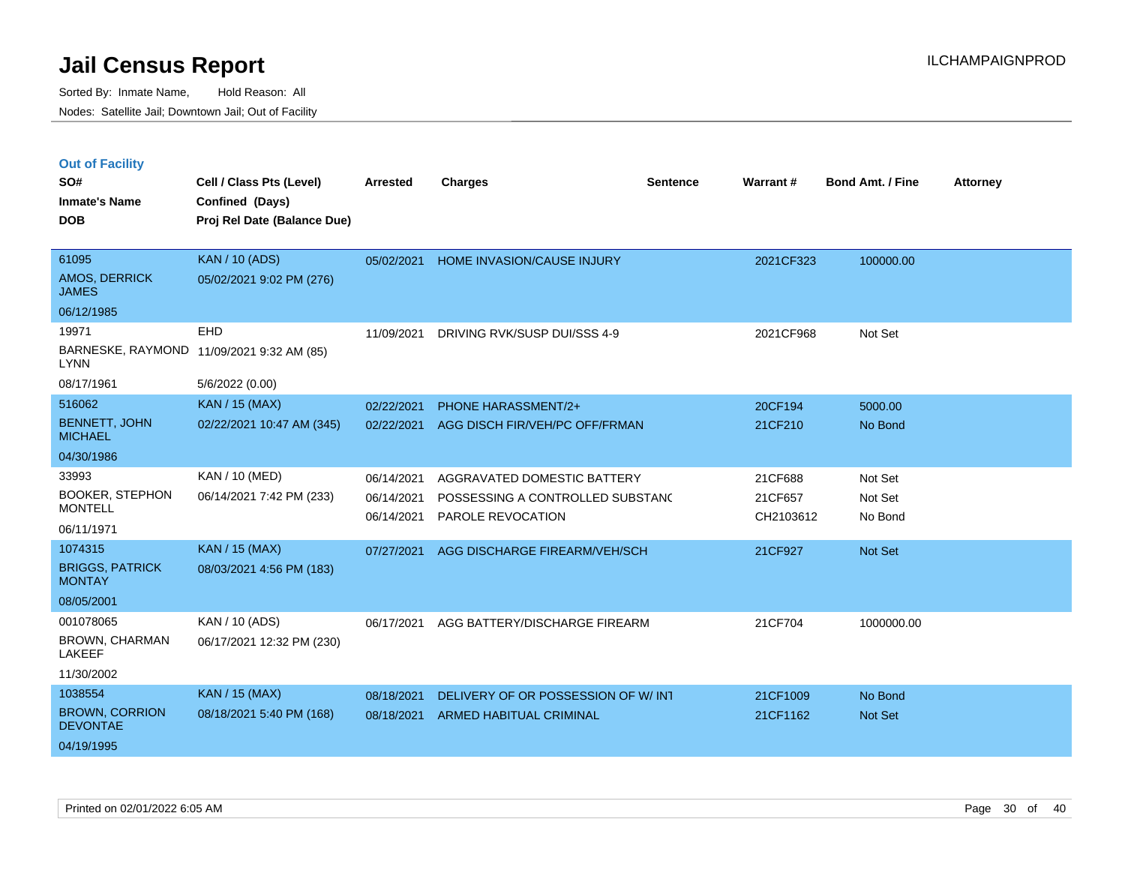|  | <b>Out of Facility</b> |  |
|--|------------------------|--|
|--|------------------------|--|

| SO#                                      | Cell / Class Pts (Level)    | <b>Arrested</b> | <b>Charges</b>                     | <b>Sentence</b> | Warrant#  | <b>Bond Amt. / Fine</b> | <b>Attorney</b> |
|------------------------------------------|-----------------------------|-----------------|------------------------------------|-----------------|-----------|-------------------------|-----------------|
| <b>Inmate's Name</b>                     | Confined (Days)             |                 |                                    |                 |           |                         |                 |
| <b>DOB</b>                               | Proj Rel Date (Balance Due) |                 |                                    |                 |           |                         |                 |
| 61095                                    | <b>KAN / 10 (ADS)</b>       | 05/02/2021      | HOME INVASION/CAUSE INJURY         |                 | 2021CF323 | 100000.00               |                 |
| <b>AMOS, DERRICK</b><br><b>JAMES</b>     | 05/02/2021 9:02 PM (276)    |                 |                                    |                 |           |                         |                 |
| 06/12/1985                               |                             |                 |                                    |                 |           |                         |                 |
| 19971                                    | EHD                         | 11/09/2021      | DRIVING RVK/SUSP DUI/SSS 4-9       |                 | 2021CF968 | Not Set                 |                 |
| BARNESKE, RAYMOND<br><b>LYNN</b>         | 11/09/2021 9:32 AM (85)     |                 |                                    |                 |           |                         |                 |
| 08/17/1961                               | 5/6/2022 (0.00)             |                 |                                    |                 |           |                         |                 |
| 516062                                   | <b>KAN / 15 (MAX)</b>       | 02/22/2021      | PHONE HARASSMENT/2+                |                 | 20CF194   | 5000.00                 |                 |
| <b>BENNETT, JOHN</b><br><b>MICHAEL</b>   | 02/22/2021 10:47 AM (345)   | 02/22/2021      | AGG DISCH FIR/VEH/PC OFF/FRMAN     |                 | 21CF210   | No Bond                 |                 |
| 04/30/1986                               |                             |                 |                                    |                 |           |                         |                 |
| 33993                                    | KAN / 10 (MED)              | 06/14/2021      | AGGRAVATED DOMESTIC BATTERY        |                 | 21CF688   | Not Set                 |                 |
| <b>BOOKER, STEPHON</b>                   | 06/14/2021 7:42 PM (233)    | 06/14/2021      | POSSESSING A CONTROLLED SUBSTAND   |                 | 21CF657   | Not Set                 |                 |
| <b>MONTELL</b>                           |                             | 06/14/2021      | PAROLE REVOCATION                  |                 | CH2103612 | No Bond                 |                 |
| 06/11/1971<br>1074315                    |                             |                 |                                    |                 |           |                         |                 |
| <b>BRIGGS, PATRICK</b>                   | <b>KAN / 15 (MAX)</b>       | 07/27/2021      | AGG DISCHARGE FIREARM/VEH/SCH      |                 | 21CF927   | Not Set                 |                 |
| <b>MONTAY</b>                            | 08/03/2021 4:56 PM (183)    |                 |                                    |                 |           |                         |                 |
| 08/05/2001                               |                             |                 |                                    |                 |           |                         |                 |
| 001078065                                | KAN / 10 (ADS)              | 06/17/2021      | AGG BATTERY/DISCHARGE FIREARM      |                 | 21CF704   | 1000000.00              |                 |
| <b>BROWN, CHARMAN</b><br><b>LAKEEF</b>   | 06/17/2021 12:32 PM (230)   |                 |                                    |                 |           |                         |                 |
| 11/30/2002                               |                             |                 |                                    |                 |           |                         |                 |
| 1038554                                  | <b>KAN / 15 (MAX)</b>       | 08/18/2021      | DELIVERY OF OR POSSESSION OF W/INT |                 | 21CF1009  | No Bond                 |                 |
| <b>BROWN, CORRION</b><br><b>DEVONTAE</b> | 08/18/2021 5:40 PM (168)    | 08/18/2021      | <b>ARMED HABITUAL CRIMINAL</b>     |                 | 21CF1162  | Not Set                 |                 |
| 04/19/1995                               |                             |                 |                                    |                 |           |                         |                 |
|                                          |                             |                 |                                    |                 |           |                         |                 |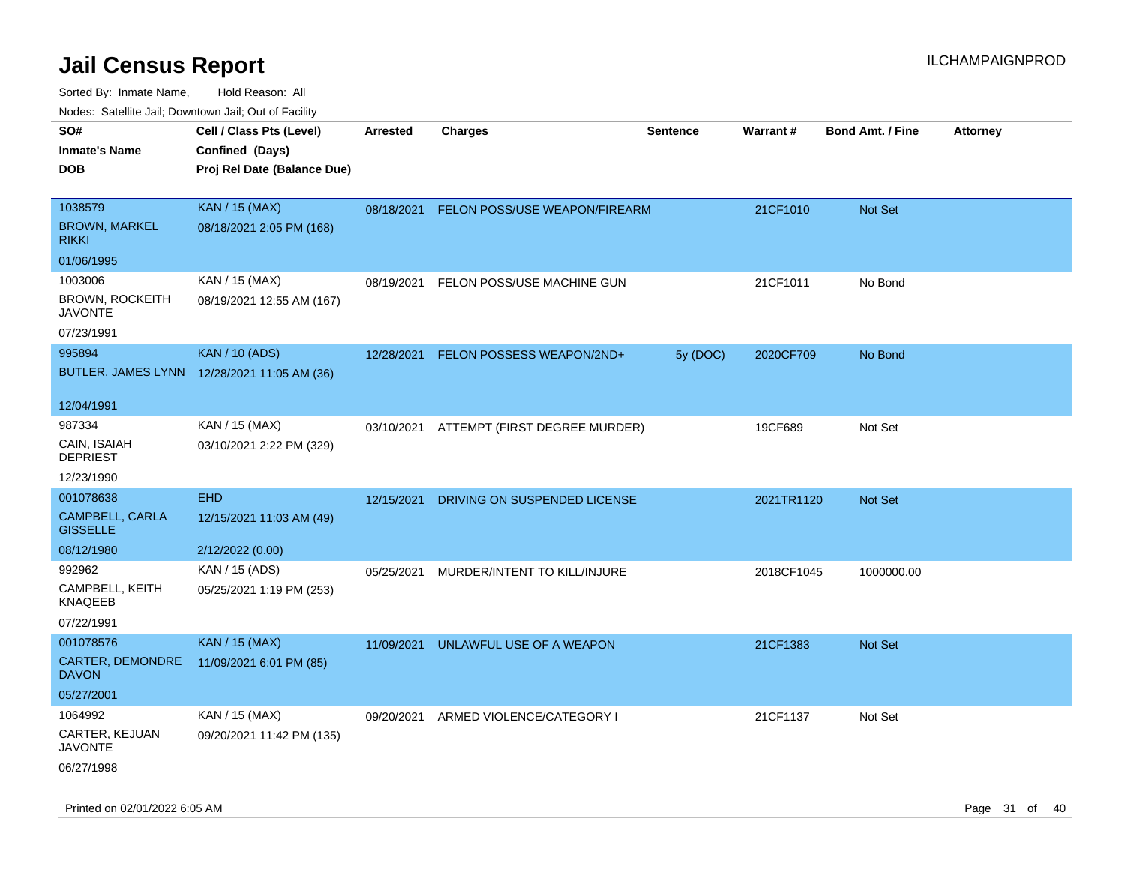| ivouss. Satellite Jali, Downtown Jali, Out of Facility |                                             |            |                                          |                 |            |                         |                 |
|--------------------------------------------------------|---------------------------------------------|------------|------------------------------------------|-----------------|------------|-------------------------|-----------------|
| SO#                                                    | Cell / Class Pts (Level)                    | Arrested   | <b>Charges</b>                           | <b>Sentence</b> | Warrant#   | <b>Bond Amt. / Fine</b> | <b>Attorney</b> |
| Inmate's Name                                          | Confined (Days)                             |            |                                          |                 |            |                         |                 |
| DOB                                                    | Proj Rel Date (Balance Due)                 |            |                                          |                 |            |                         |                 |
|                                                        |                                             |            |                                          |                 |            |                         |                 |
| 1038579                                                | <b>KAN / 15 (MAX)</b>                       | 08/18/2021 | FELON POSS/USE WEAPON/FIREARM            |                 | 21CF1010   | Not Set                 |                 |
| <b>BROWN, MARKEL</b><br>rikki                          | 08/18/2021 2:05 PM (168)                    |            |                                          |                 |            |                         |                 |
| 01/06/1995                                             |                                             |            |                                          |                 |            |                         |                 |
| 1003006                                                | KAN / 15 (MAX)                              | 08/19/2021 | FELON POSS/USE MACHINE GUN               |                 | 21CF1011   | No Bond                 |                 |
| BROWN, ROCKEITH<br>JAVONTE                             | 08/19/2021 12:55 AM (167)                   |            |                                          |                 |            |                         |                 |
| 07/23/1991                                             |                                             |            |                                          |                 |            |                         |                 |
| 995894                                                 | <b>KAN / 10 (ADS)</b>                       | 12/28/2021 | FELON POSSESS WEAPON/2ND+                | 5y (DOC)        | 2020CF709  | No Bond                 |                 |
|                                                        | BUTLER, JAMES LYNN 12/28/2021 11:05 AM (36) |            |                                          |                 |            |                         |                 |
|                                                        |                                             |            |                                          |                 |            |                         |                 |
| 12/04/1991                                             |                                             |            |                                          |                 |            |                         |                 |
| 987334                                                 | KAN / 15 (MAX)                              |            | 03/10/2021 ATTEMPT (FIRST DEGREE MURDER) |                 | 19CF689    | Not Set                 |                 |
| CAIN, ISAIAH<br><b>DEPRIEST</b>                        | 03/10/2021 2:22 PM (329)                    |            |                                          |                 |            |                         |                 |
| 12/23/1990                                             |                                             |            |                                          |                 |            |                         |                 |
| 001078638                                              | <b>EHD</b>                                  | 12/15/2021 | DRIVING ON SUSPENDED LICENSE             |                 | 2021TR1120 | <b>Not Set</b>          |                 |
| CAMPBELL, CARLA<br><b>GISSELLE</b>                     | 12/15/2021 11:03 AM (49)                    |            |                                          |                 |            |                         |                 |
| 08/12/1980                                             | 2/12/2022 (0.00)                            |            |                                          |                 |            |                         |                 |
| 992962                                                 | KAN / 15 (ADS)                              | 05/25/2021 | MURDER/INTENT TO KILL/INJURE             |                 | 2018CF1045 | 1000000.00              |                 |
| CAMPBELL, KEITH<br>KNAQEEB                             | 05/25/2021 1:19 PM (253)                    |            |                                          |                 |            |                         |                 |
| 07/22/1991                                             |                                             |            |                                          |                 |            |                         |                 |
| 001078576                                              | <b>KAN / 15 (MAX)</b>                       | 11/09/2021 | UNLAWFUL USE OF A WEAPON                 |                 | 21CF1383   | <b>Not Set</b>          |                 |
| <b>CARTER, DEMONDRE</b><br>DAVON                       | 11/09/2021 6:01 PM (85)                     |            |                                          |                 |            |                         |                 |
| 05/27/2001                                             |                                             |            |                                          |                 |            |                         |                 |
| 1064992                                                | KAN / 15 (MAX)                              | 09/20/2021 | ARMED VIOLENCE/CATEGORY I                |                 | 21CF1137   | Not Set                 |                 |
| CARTER, KEJUAN<br>JAVONTE                              | 09/20/2021 11:42 PM (135)                   |            |                                          |                 |            |                         |                 |
| 06/27/1998                                             |                                             |            |                                          |                 |            |                         |                 |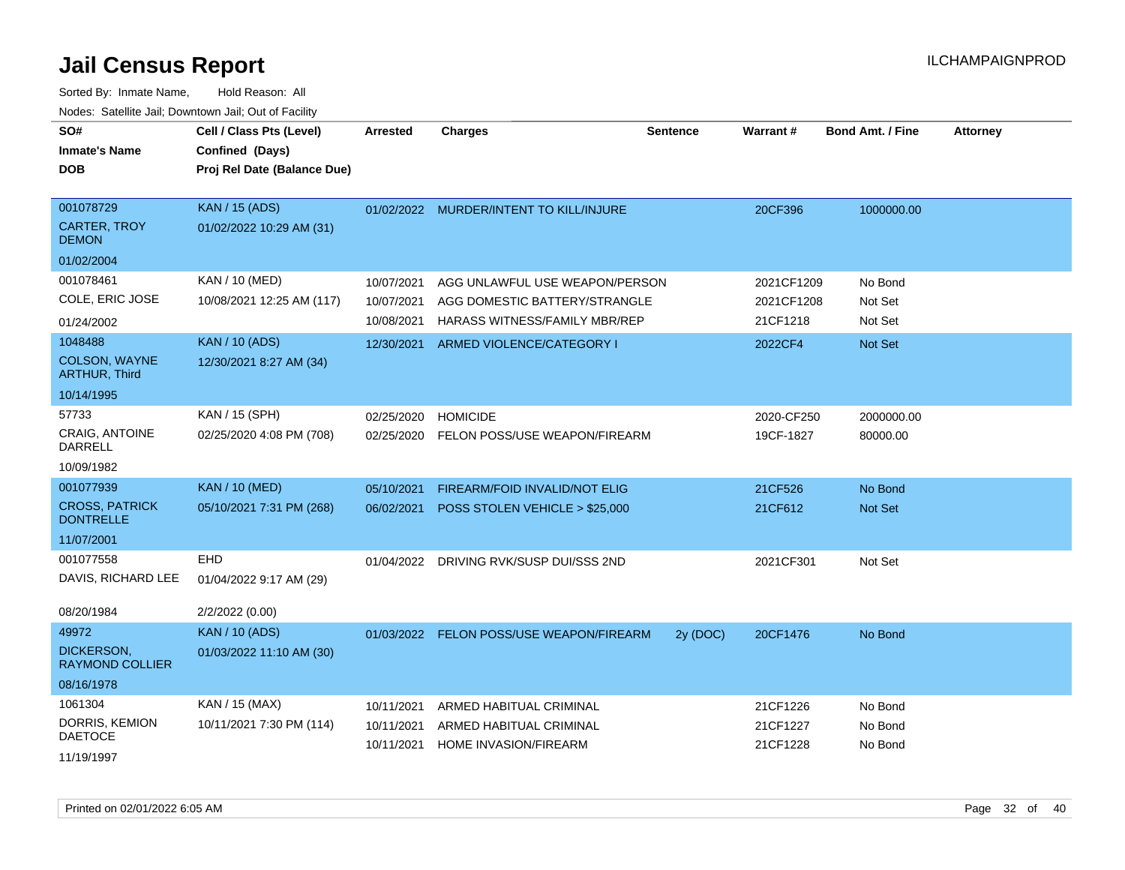| SO#<br><b>Inmate's Name</b><br><b>DOB</b>        | Cell / Class Pts (Level)<br>Confined (Days)<br>Proj Rel Date (Balance Due) | <b>Arrested</b>          | <b>Charges</b>                                                                                   | <b>Sentence</b> | <b>Warrant#</b>          | <b>Bond Amt. / Fine</b> | <b>Attorney</b> |
|--------------------------------------------------|----------------------------------------------------------------------------|--------------------------|--------------------------------------------------------------------------------------------------|-----------------|--------------------------|-------------------------|-----------------|
| 001078729<br><b>CARTER, TROY</b><br><b>DEMON</b> | <b>KAN / 15 (ADS)</b><br>01/02/2022 10:29 AM (31)                          |                          | 01/02/2022 MURDER/INTENT TO KILL/INJURE                                                          |                 | 20CF396                  | 1000000.00              |                 |
| 01/02/2004                                       |                                                                            |                          |                                                                                                  |                 |                          |                         |                 |
| 001078461<br>COLE, ERIC JOSE                     | KAN / 10 (MED)<br>10/08/2021 12:25 AM (117)                                | 10/07/2021<br>10/07/2021 | AGG UNLAWFUL USE WEAPON/PERSON<br>AGG DOMESTIC BATTERY/STRANGLE<br>HARASS WITNESS/FAMILY MBR/REP |                 | 2021CF1209<br>2021CF1208 | No Bond<br>Not Set      |                 |
| 01/24/2002                                       |                                                                            | 10/08/2021               |                                                                                                  |                 | 21CF1218                 | Not Set                 |                 |
| 1048488<br>COLSON, WAYNE<br><b>ARTHUR, Third</b> | <b>KAN / 10 (ADS)</b><br>12/30/2021 8:27 AM (34)                           | 12/30/2021               | ARMED VIOLENCE/CATEGORY I                                                                        |                 | 2022CF4                  | Not Set                 |                 |
| 10/14/1995                                       |                                                                            |                          |                                                                                                  |                 |                          |                         |                 |
| 57733<br>CRAIG, ANTOINE<br><b>DARRELL</b>        | KAN / 15 (SPH)<br>02/25/2020 4:08 PM (708)                                 | 02/25/2020               | <b>HOMICIDE</b><br>02/25/2020 FELON POSS/USE WEAPON/FIREARM                                      |                 | 2020-CF250<br>19CF-1827  | 2000000.00<br>80000.00  |                 |
| 10/09/1982                                       |                                                                            |                          |                                                                                                  |                 |                          |                         |                 |
| 001077939                                        | <b>KAN / 10 (MED)</b>                                                      | 05/10/2021               | FIREARM/FOID INVALID/NOT ELIG                                                                    |                 | 21CF526                  | No Bond                 |                 |
| <b>CROSS, PATRICK</b><br><b>DONTRELLE</b>        | 05/10/2021 7:31 PM (268)                                                   | 06/02/2021               | POSS STOLEN VEHICLE > \$25,000                                                                   |                 | 21CF612                  | Not Set                 |                 |
| 11/07/2001                                       |                                                                            |                          |                                                                                                  |                 |                          |                         |                 |
| 001077558<br>DAVIS, RICHARD LEE                  | EHD<br>01/04/2022 9:17 AM (29)                                             |                          | 01/04/2022 DRIVING RVK/SUSP DUI/SSS 2ND                                                          |                 | 2021CF301                | Not Set                 |                 |
| 08/20/1984                                       | 2/2/2022 (0.00)                                                            |                          |                                                                                                  |                 |                          |                         |                 |
| 49972                                            | <b>KAN / 10 (ADS)</b>                                                      |                          | 01/03/2022 FELON POSS/USE WEAPON/FIREARM                                                         | 2y (DOC)        | 20CF1476                 | No Bond                 |                 |
| <b>DICKERSON,</b><br><b>RAYMOND COLLIER</b>      | 01/03/2022 11:10 AM (30)                                                   |                          |                                                                                                  |                 |                          |                         |                 |
| 08/16/1978                                       |                                                                            |                          |                                                                                                  |                 |                          |                         |                 |
| 1061304                                          | KAN / 15 (MAX)                                                             | 10/11/2021               | ARMED HABITUAL CRIMINAL                                                                          |                 | 21CF1226                 | No Bond                 |                 |
| DORRIS, KEMION<br><b>DAETOCE</b><br>11/19/1997   | 10/11/2021 7:30 PM (114)                                                   | 10/11/2021<br>10/11/2021 | ARMED HABITUAL CRIMINAL<br>HOME INVASION/FIREARM                                                 |                 | 21CF1227<br>21CF1228     | No Bond<br>No Bond      |                 |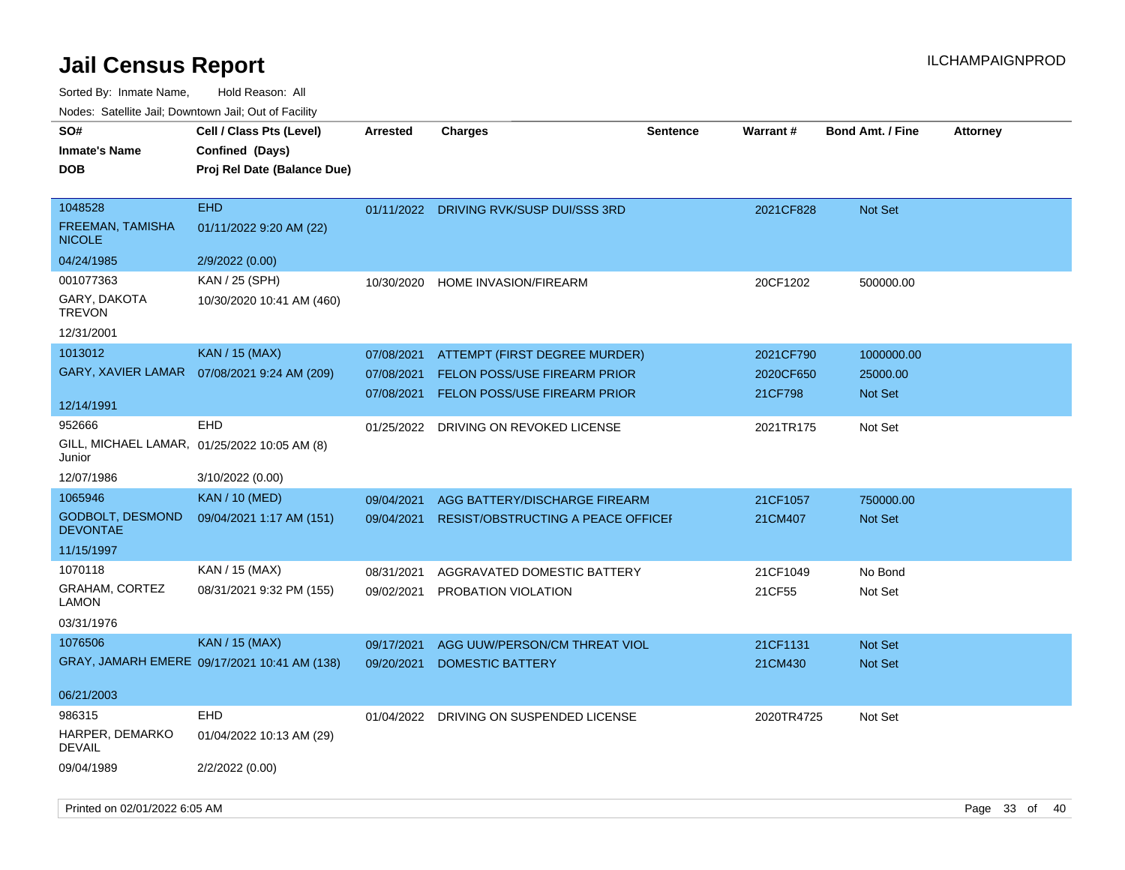Sorted By: Inmate Name, Hold Reason: All

| Nodes: Satellite Jail; Downtown Jail; Out of Facility |  |
|-------------------------------------------------------|--|
|                                                       |  |

| SO#<br><b>Inmate's Name</b>              | Cell / Class Pts (Level)<br>Confined (Days)  | <b>Arrested</b> | <b>Charges</b>                          | <b>Sentence</b> | <b>Warrant#</b> | <b>Bond Amt. / Fine</b> | <b>Attorney</b> |
|------------------------------------------|----------------------------------------------|-----------------|-----------------------------------------|-----------------|-----------------|-------------------------|-----------------|
| <b>DOB</b>                               | Proj Rel Date (Balance Due)                  |                 |                                         |                 |                 |                         |                 |
|                                          |                                              |                 |                                         |                 |                 |                         |                 |
| 1048528                                  | <b>EHD</b>                                   |                 | 01/11/2022 DRIVING RVK/SUSP DUI/SSS 3RD |                 | 2021CF828       | Not Set                 |                 |
| <b>FREEMAN, TAMISHA</b><br><b>NICOLE</b> | 01/11/2022 9:20 AM (22)                      |                 |                                         |                 |                 |                         |                 |
| 04/24/1985                               | 2/9/2022 (0.00)                              |                 |                                         |                 |                 |                         |                 |
| 001077363                                | KAN / 25 (SPH)                               | 10/30/2020      | HOME INVASION/FIREARM                   |                 | 20CF1202        | 500000.00               |                 |
| GARY, DAKOTA<br><b>TREVON</b>            | 10/30/2020 10:41 AM (460)                    |                 |                                         |                 |                 |                         |                 |
| 12/31/2001                               |                                              |                 |                                         |                 |                 |                         |                 |
| 1013012                                  | KAN / 15 (MAX)                               | 07/08/2021      | ATTEMPT (FIRST DEGREE MURDER)           |                 | 2021CF790       | 1000000.00              |                 |
| GARY, XAVIER LAMAR                       | 07/08/2021 9:24 AM (209)                     | 07/08/2021      | <b>FELON POSS/USE FIREARM PRIOR</b>     |                 | 2020CF650       | 25000.00                |                 |
|                                          |                                              | 07/08/2021      | <b>FELON POSS/USE FIREARM PRIOR</b>     |                 | 21CF798         | <b>Not Set</b>          |                 |
| 12/14/1991                               |                                              |                 |                                         |                 |                 |                         |                 |
| 952666                                   | <b>EHD</b>                                   | 01/25/2022      | DRIVING ON REVOKED LICENSE              |                 | 2021TR175       | Not Set                 |                 |
| Junior                                   | GILL, MICHAEL LAMAR, 01/25/2022 10:05 AM (8) |                 |                                         |                 |                 |                         |                 |
| 12/07/1986                               | 3/10/2022 (0.00)                             |                 |                                         |                 |                 |                         |                 |
| 1065946                                  | <b>KAN / 10 (MED)</b>                        | 09/04/2021      | AGG BATTERY/DISCHARGE FIREARM           |                 | 21CF1057        | 750000.00               |                 |
| GODBOLT, DESMOND<br><b>DEVONTAE</b>      | 09/04/2021 1:17 AM (151)                     | 09/04/2021      | RESIST/OBSTRUCTING A PEACE OFFICEF      |                 | 21CM407         | Not Set                 |                 |
| 11/15/1997                               |                                              |                 |                                         |                 |                 |                         |                 |
| 1070118                                  | KAN / 15 (MAX)                               | 08/31/2021      | AGGRAVATED DOMESTIC BATTERY             |                 | 21CF1049        | No Bond                 |                 |
| GRAHAM, CORTEZ<br><b>LAMON</b>           | 08/31/2021 9:32 PM (155)                     | 09/02/2021      | PROBATION VIOLATION                     |                 | 21CF55          | Not Set                 |                 |
| 03/31/1976                               |                                              |                 |                                         |                 |                 |                         |                 |
| 1076506                                  | <b>KAN / 15 (MAX)</b>                        | 09/17/2021      | AGG UUW/PERSON/CM THREAT VIOL           |                 | 21CF1131        | Not Set                 |                 |
|                                          | GRAY, JAMARH EMERE 09/17/2021 10:41 AM (138) | 09/20/2021      | <b>DOMESTIC BATTERY</b>                 |                 | 21CM430         | <b>Not Set</b>          |                 |
| 06/21/2003                               |                                              |                 |                                         |                 |                 |                         |                 |
| 986315                                   | <b>EHD</b>                                   | 01/04/2022      | DRIVING ON SUSPENDED LICENSE            |                 | 2020TR4725      | Not Set                 |                 |
| HARPER, DEMARKO<br><b>DEVAIL</b>         | 01/04/2022 10:13 AM (29)                     |                 |                                         |                 |                 |                         |                 |
| 09/04/1989                               | 2/2/2022 (0.00)                              |                 |                                         |                 |                 |                         |                 |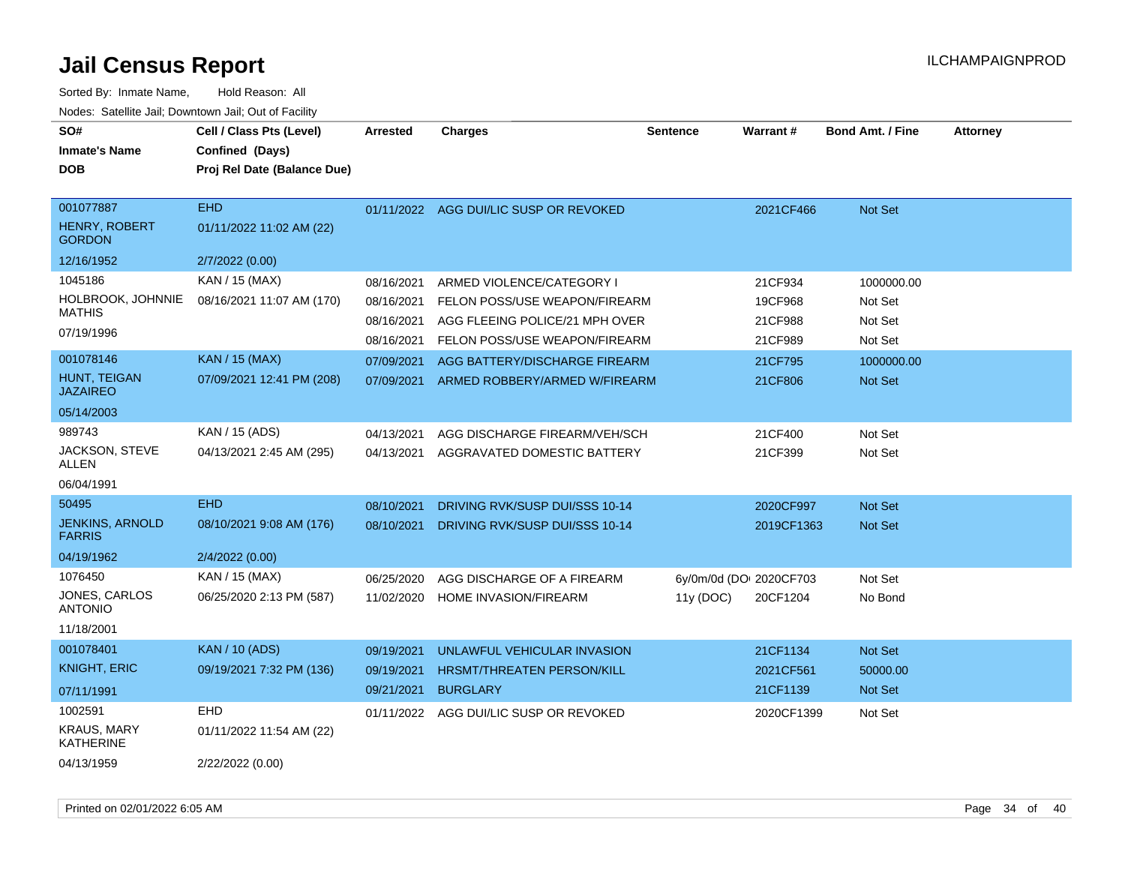| SO#<br><b>Inmate's Name</b><br><b>DOB</b>                | Cell / Class Pts (Level)<br>Confined (Days)<br>Proj Rel Date (Balance Due) | <b>Arrested</b>                        | <b>Charges</b>                                                                               | <b>Sentence</b>                      | <b>Warrant#</b>               | <b>Bond Amt. / Fine</b>          | <b>Attorney</b> |
|----------------------------------------------------------|----------------------------------------------------------------------------|----------------------------------------|----------------------------------------------------------------------------------------------|--------------------------------------|-------------------------------|----------------------------------|-----------------|
| 001077887<br><b>HENRY, ROBERT</b><br><b>GORDON</b>       | <b>EHD</b><br>01/11/2022 11:02 AM (22)                                     |                                        | 01/11/2022 AGG DUI/LIC SUSP OR REVOKED                                                       |                                      | 2021CF466                     | <b>Not Set</b>                   |                 |
| 12/16/1952                                               | 2/7/2022 (0.00)                                                            |                                        |                                                                                              |                                      |                               |                                  |                 |
| 1045186<br>HOLBROOK, JOHNNIE<br><b>MATHIS</b>            | KAN / 15 (MAX)<br>08/16/2021 11:07 AM (170)                                | 08/16/2021<br>08/16/2021<br>08/16/2021 | ARMED VIOLENCE/CATEGORY I<br>FELON POSS/USE WEAPON/FIREARM<br>AGG FLEEING POLICE/21 MPH OVER |                                      | 21CF934<br>19CF968<br>21CF988 | 1000000.00<br>Not Set<br>Not Set |                 |
| 07/19/1996                                               |                                                                            | 08/16/2021                             | FELON POSS/USE WEAPON/FIREARM                                                                |                                      | 21CF989                       | Not Set                          |                 |
| 001078146<br>HUNT, TEIGAN<br><b>JAZAIREO</b>             | <b>KAN / 15 (MAX)</b><br>07/09/2021 12:41 PM (208)                         | 07/09/2021<br>07/09/2021               | AGG BATTERY/DISCHARGE FIREARM<br>ARMED ROBBERY/ARMED W/FIREARM                               |                                      | 21CF795<br>21CF806            | 1000000.00<br><b>Not Set</b>     |                 |
| 05/14/2003                                               |                                                                            |                                        |                                                                                              |                                      |                               |                                  |                 |
| 989743                                                   | KAN / 15 (ADS)                                                             | 04/13/2021                             | AGG DISCHARGE FIREARM/VEH/SCH                                                                |                                      | 21CF400                       | Not Set                          |                 |
| JACKSON, STEVE<br>ALLEN                                  | 04/13/2021 2:45 AM (295)                                                   | 04/13/2021                             | AGGRAVATED DOMESTIC BATTERY                                                                  |                                      | 21CF399                       | Not Set                          |                 |
| 06/04/1991                                               |                                                                            |                                        |                                                                                              |                                      |                               |                                  |                 |
| 50495                                                    | <b>EHD</b>                                                                 | 08/10/2021                             | DRIVING RVK/SUSP DUI/SSS 10-14                                                               |                                      | 2020CF997                     | Not Set                          |                 |
| <b>JENKINS, ARNOLD</b><br><b>FARRIS</b>                  | 08/10/2021 9:08 AM (176)                                                   | 08/10/2021                             | DRIVING RVK/SUSP DUI/SSS 10-14                                                               |                                      | 2019CF1363                    | <b>Not Set</b>                   |                 |
| 04/19/1962                                               | 2/4/2022 (0.00)                                                            |                                        |                                                                                              |                                      |                               |                                  |                 |
| 1076450<br>JONES, CARLOS<br><b>ANTONIO</b><br>11/18/2001 | KAN / 15 (MAX)<br>06/25/2020 2:13 PM (587)                                 | 06/25/2020<br>11/02/2020               | AGG DISCHARGE OF A FIREARM<br>HOME INVASION/FIREARM                                          | 6y/0m/0d (DO: 2020CF703<br>11y (DOC) | 20CF1204                      | Not Set<br>No Bond               |                 |
| 001078401                                                | <b>KAN / 10 (ADS)</b>                                                      | 09/19/2021                             | UNLAWFUL VEHICULAR INVASION                                                                  |                                      | 21CF1134                      | Not Set                          |                 |
| <b>KNIGHT, ERIC</b>                                      | 09/19/2021 7:32 PM (136)                                                   | 09/19/2021                             | <b>HRSMT/THREATEN PERSON/KILL</b>                                                            |                                      | 2021CF561                     | 50000.00                         |                 |
| 07/11/1991                                               |                                                                            | 09/21/2021                             | <b>BURGLARY</b>                                                                              |                                      | 21CF1139                      | <b>Not Set</b>                   |                 |
| 1002591                                                  | EHD                                                                        | 01/11/2022                             | AGG DUI/LIC SUSP OR REVOKED                                                                  |                                      | 2020CF1399                    | Not Set                          |                 |
| <b>KRAUS, MARY</b><br>KATHERINE                          | 01/11/2022 11:54 AM (22)                                                   |                                        |                                                                                              |                                      |                               |                                  |                 |
| 04/13/1959                                               | 2/22/2022 (0.00)                                                           |                                        |                                                                                              |                                      |                               |                                  |                 |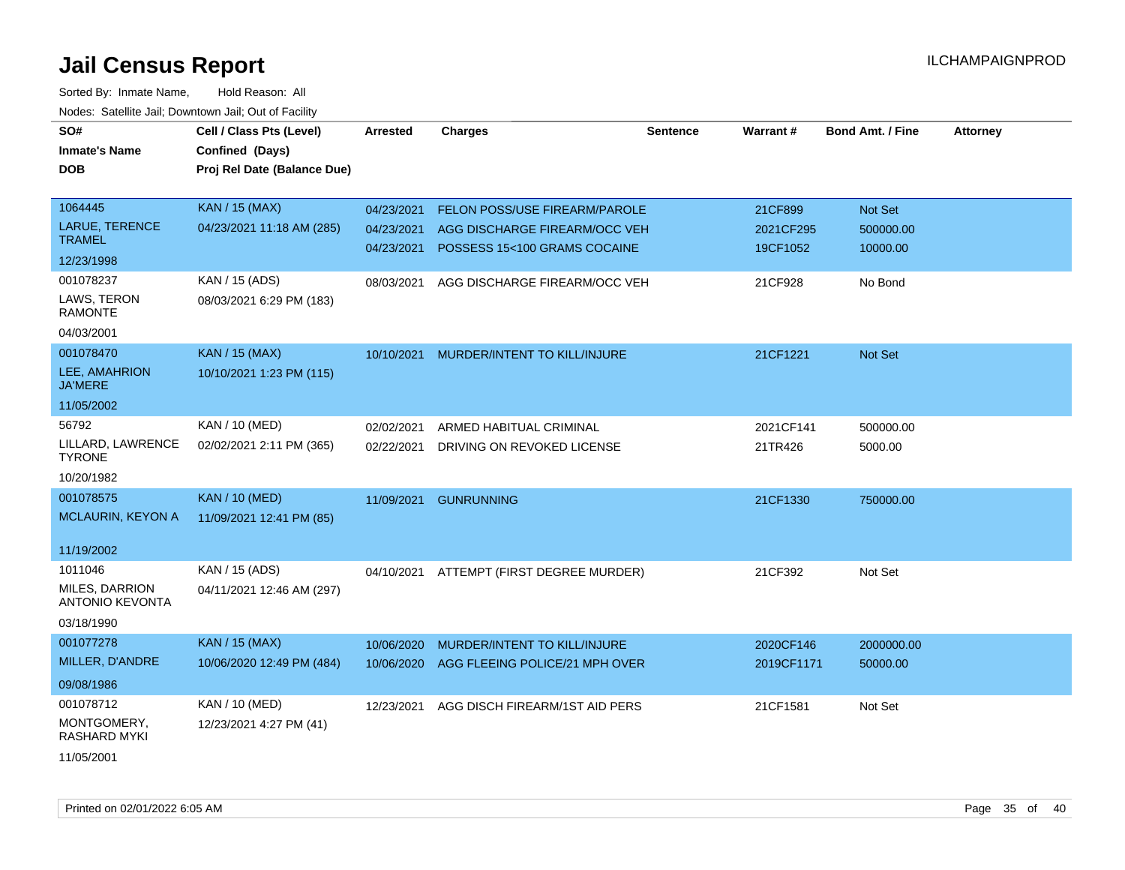| SO#<br><b>Inmate's Name</b><br><b>DOB</b>                         | Cell / Class Pts (Level)<br>Confined (Days)<br>Proj Rel Date (Balance Due) | Arrested                               | <b>Charges</b>                                                                                        | <b>Sentence</b> | Warrant#                         | <b>Bond Amt. / Fine</b>          | <b>Attorney</b> |
|-------------------------------------------------------------------|----------------------------------------------------------------------------|----------------------------------------|-------------------------------------------------------------------------------------------------------|-----------------|----------------------------------|----------------------------------|-----------------|
| 1064445<br><b>LARUE, TERENCE</b><br><b>TRAMEL</b>                 | <b>KAN / 15 (MAX)</b><br>04/23/2021 11:18 AM (285)                         | 04/23/2021<br>04/23/2021<br>04/23/2021 | <b>FELON POSS/USE FIREARM/PAROLE</b><br>AGG DISCHARGE FIREARM/OCC VEH<br>POSSESS 15<100 GRAMS COCAINE |                 | 21CF899<br>2021CF295<br>19CF1052 | Not Set<br>500000.00<br>10000.00 |                 |
| 12/23/1998                                                        |                                                                            |                                        |                                                                                                       |                 |                                  |                                  |                 |
| 001078237<br>LAWS, TERON<br><b>RAMONTE</b><br>04/03/2001          | KAN / 15 (ADS)<br>08/03/2021 6:29 PM (183)                                 | 08/03/2021                             | AGG DISCHARGE FIREARM/OCC VEH                                                                         |                 | 21CF928                          | No Bond                          |                 |
| 001078470                                                         | <b>KAN / 15 (MAX)</b>                                                      | 10/10/2021                             | MURDER/INTENT TO KILL/INJURE                                                                          |                 | 21CF1221                         | Not Set                          |                 |
| LEE, AMAHRION<br><b>JA'MERE</b>                                   | 10/10/2021 1:23 PM (115)                                                   |                                        |                                                                                                       |                 |                                  |                                  |                 |
| 11/05/2002                                                        |                                                                            |                                        |                                                                                                       |                 |                                  |                                  |                 |
| 56792                                                             | KAN / 10 (MED)                                                             | 02/02/2021                             | ARMED HABITUAL CRIMINAL                                                                               |                 | 2021CF141                        | 500000.00                        |                 |
| LILLARD, LAWRENCE<br><b>TYRONE</b>                                | 02/02/2021 2:11 PM (365)                                                   | 02/22/2021                             | DRIVING ON REVOKED LICENSE                                                                            |                 | 21TR426                          | 5000.00                          |                 |
| 10/20/1982                                                        |                                                                            |                                        |                                                                                                       |                 |                                  |                                  |                 |
| 001078575<br><b>MCLAURIN, KEYON A</b>                             | <b>KAN / 10 (MED)</b><br>11/09/2021 12:41 PM (85)                          | 11/09/2021                             | <b>GUNRUNNING</b>                                                                                     |                 | 21CF1330                         | 750000.00                        |                 |
| 11/19/2002                                                        |                                                                            |                                        |                                                                                                       |                 |                                  |                                  |                 |
| 1011046<br>MILES, DARRION<br><b>ANTONIO KEVONTA</b><br>03/18/1990 | KAN / 15 (ADS)<br>04/11/2021 12:46 AM (297)                                | 04/10/2021                             | ATTEMPT (FIRST DEGREE MURDER)                                                                         |                 | 21CF392                          | Not Set                          |                 |
| 001077278                                                         | <b>KAN / 15 (MAX)</b>                                                      | 10/06/2020                             | MURDER/INTENT TO KILL/INJURE                                                                          |                 | 2020CF146                        | 2000000.00                       |                 |
| MILLER, D'ANDRE<br>09/08/1986                                     | 10/06/2020 12:49 PM (484)                                                  | 10/06/2020                             | AGG FLEEING POLICE/21 MPH OVER                                                                        |                 | 2019CF1171                       | 50000.00                         |                 |
| 001078712                                                         | KAN / 10 (MED)                                                             | 12/23/2021                             | AGG DISCH FIREARM/1ST AID PERS                                                                        |                 | 21CF1581                         | Not Set                          |                 |
| MONTGOMERY,<br>RASHARD MYKI                                       | 12/23/2021 4:27 PM (41)                                                    |                                        |                                                                                                       |                 |                                  |                                  |                 |
| 11/05/2001                                                        |                                                                            |                                        |                                                                                                       |                 |                                  |                                  |                 |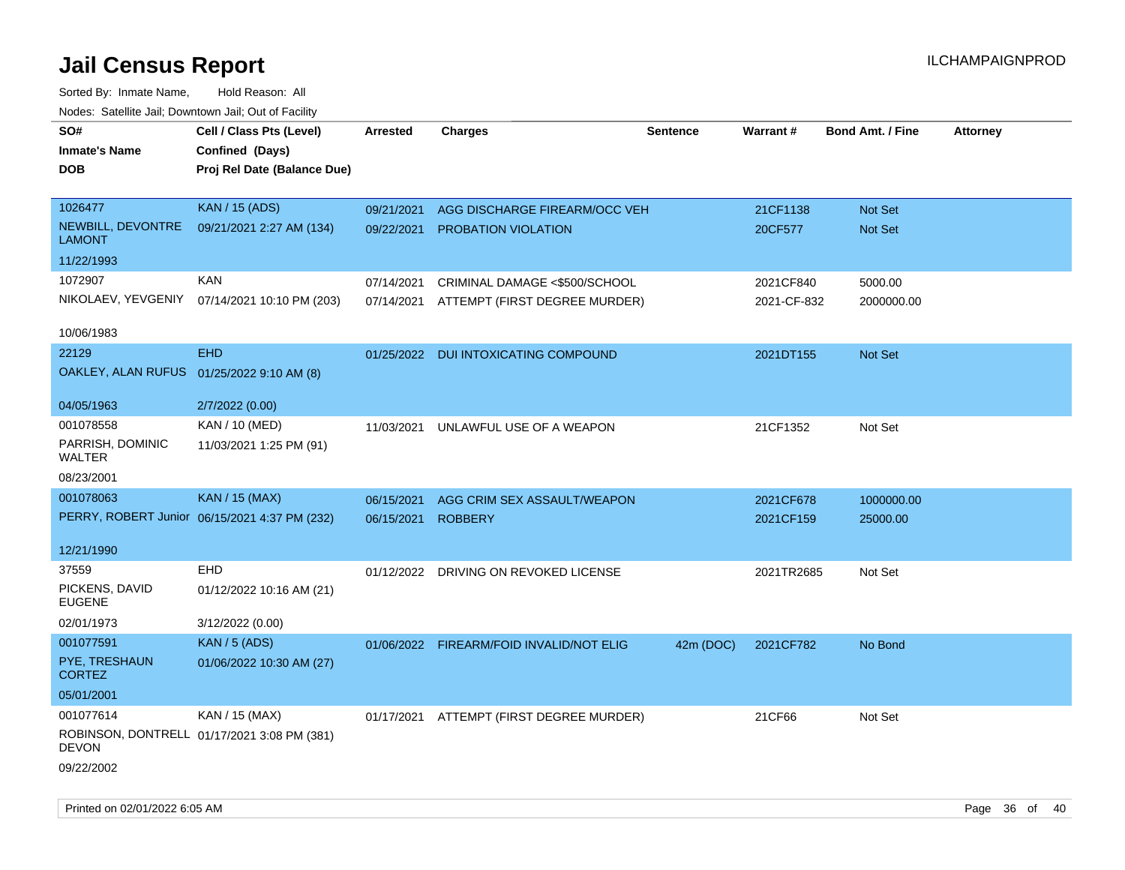| SO#<br><b>Inmate's Name</b><br><b>DOB</b> | Cell / Class Pts (Level)<br>Confined (Days)<br>Proj Rel Date (Balance Due) | Arrested   | <b>Charges</b>                           | <b>Sentence</b> | <b>Warrant#</b> | <b>Bond Amt. / Fine</b> | <b>Attorney</b> |
|-------------------------------------------|----------------------------------------------------------------------------|------------|------------------------------------------|-----------------|-----------------|-------------------------|-----------------|
| 1026477                                   | <b>KAN / 15 (ADS)</b>                                                      | 09/21/2021 | AGG DISCHARGE FIREARM/OCC VEH            |                 | 21CF1138        | Not Set                 |                 |
| NEWBILL, DEVONTRE<br><b>LAMONT</b>        | 09/21/2021 2:27 AM (134)                                                   |            | 09/22/2021 PROBATION VIOLATION           |                 | 20CF577         | Not Set                 |                 |
| 11/22/1993                                |                                                                            |            |                                          |                 |                 |                         |                 |
| 1072907                                   | <b>KAN</b>                                                                 | 07/14/2021 | CRIMINAL DAMAGE <\$500/SCHOOL            |                 | 2021CF840       | 5000.00                 |                 |
|                                           | NIKOLAEV, YEVGENIY 07/14/2021 10:10 PM (203)                               |            | 07/14/2021 ATTEMPT (FIRST DEGREE MURDER) |                 | 2021-CF-832     | 2000000.00              |                 |
| 10/06/1983                                |                                                                            |            |                                          |                 |                 |                         |                 |
| 22129                                     | <b>EHD</b>                                                                 |            | 01/25/2022 DUI INTOXICATING COMPOUND     |                 | 2021DT155       | Not Set                 |                 |
| OAKLEY, ALAN RUFUS 01/25/2022 9:10 AM (8) |                                                                            |            |                                          |                 |                 |                         |                 |
| 04/05/1963                                | 2/7/2022 (0.00)                                                            |            |                                          |                 |                 |                         |                 |
| 001078558                                 | KAN / 10 (MED)                                                             | 11/03/2021 | UNLAWFUL USE OF A WEAPON                 |                 | 21CF1352        | Not Set                 |                 |
| PARRISH, DOMINIC<br><b>WALTER</b>         | 11/03/2021 1:25 PM (91)                                                    |            |                                          |                 |                 |                         |                 |
| 08/23/2001                                |                                                                            |            |                                          |                 |                 |                         |                 |
| 001078063                                 | <b>KAN / 15 (MAX)</b>                                                      | 06/15/2021 | AGG CRIM SEX ASSAULT/WEAPON              |                 | 2021CF678       | 1000000.00              |                 |
|                                           | PERRY, ROBERT Junior 06/15/2021 4:37 PM (232)                              | 06/15/2021 | <b>ROBBERY</b>                           |                 | 2021CF159       | 25000.00                |                 |
| 12/21/1990                                |                                                                            |            |                                          |                 |                 |                         |                 |
| 37559                                     | <b>EHD</b>                                                                 |            | 01/12/2022 DRIVING ON REVOKED LICENSE    |                 | 2021TR2685      | Not Set                 |                 |
| PICKENS, DAVID<br><b>EUGENE</b>           | 01/12/2022 10:16 AM (21)                                                   |            |                                          |                 |                 |                         |                 |
| 02/01/1973                                | 3/12/2022 (0.00)                                                           |            |                                          |                 |                 |                         |                 |
| 001077591                                 | KAN / 5 (ADS)                                                              | 01/06/2022 | FIREARM/FOID INVALID/NOT ELIG            | 42m (DOC)       | 2021CF782       | No Bond                 |                 |
| PYE, TRESHAUN<br><b>CORTEZ</b>            | 01/06/2022 10:30 AM (27)                                                   |            |                                          |                 |                 |                         |                 |
| 05/01/2001                                |                                                                            |            |                                          |                 |                 |                         |                 |
| 001077614                                 | KAN / 15 (MAX)                                                             |            | 01/17/2021 ATTEMPT (FIRST DEGREE MURDER) |                 | 21CF66          | Not Set                 |                 |
| <b>DEVON</b>                              | ROBINSON, DONTRELL 01/17/2021 3:08 PM (381)                                |            |                                          |                 |                 |                         |                 |
| 09/22/2002                                |                                                                            |            |                                          |                 |                 |                         |                 |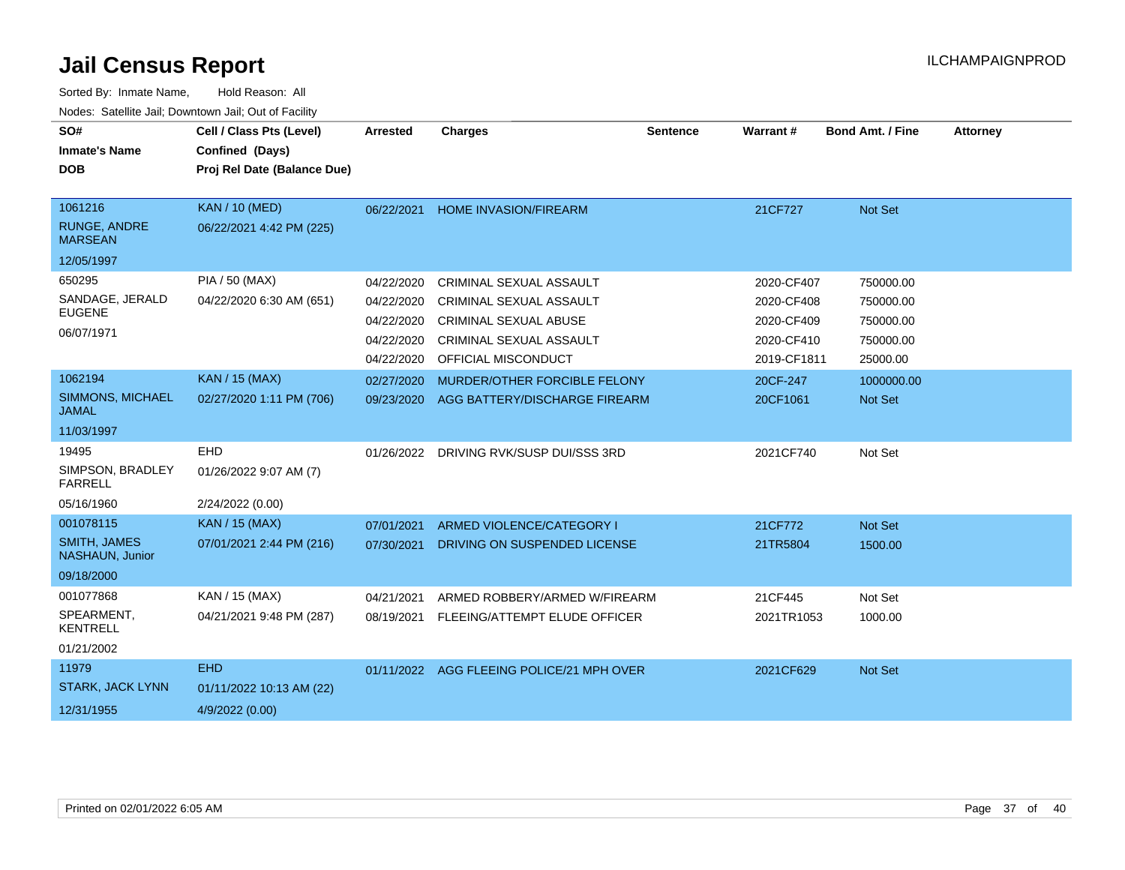| SO#<br><b>Inmate's Name</b>                                       | Cell / Class Pts (Level)<br>Confined (Days)               | <b>Arrested</b>                                                    | <b>Charges</b>                                                                                                                                     | <b>Sentence</b> | <b>Warrant#</b>                                                     | <b>Bond Amt. / Fine</b>                                      | <b>Attorney</b> |
|-------------------------------------------------------------------|-----------------------------------------------------------|--------------------------------------------------------------------|----------------------------------------------------------------------------------------------------------------------------------------------------|-----------------|---------------------------------------------------------------------|--------------------------------------------------------------|-----------------|
| <b>DOB</b>                                                        | Proj Rel Date (Balance Due)                               |                                                                    |                                                                                                                                                    |                 |                                                                     |                                                              |                 |
| 1061216<br>RUNGE, ANDRE<br><b>MARSEAN</b><br>12/05/1997           | <b>KAN / 10 (MED)</b><br>06/22/2021 4:42 PM (225)         | 06/22/2021                                                         | <b>HOME INVASION/FIREARM</b>                                                                                                                       |                 | 21CF727                                                             | Not Set                                                      |                 |
| 650295<br>SANDAGE, JERALD<br><b>EUGENE</b><br>06/07/1971          | PIA / 50 (MAX)<br>04/22/2020 6:30 AM (651)                | 04/22/2020<br>04/22/2020<br>04/22/2020<br>04/22/2020<br>04/22/2020 | CRIMINAL SEXUAL ASSAULT<br><b>CRIMINAL SEXUAL ASSAULT</b><br><b>CRIMINAL SEXUAL ABUSE</b><br><b>CRIMINAL SEXUAL ASSAULT</b><br>OFFICIAL MISCONDUCT |                 | 2020-CF407<br>2020-CF408<br>2020-CF409<br>2020-CF410<br>2019-CF1811 | 750000.00<br>750000.00<br>750000.00<br>750000.00<br>25000.00 |                 |
| 1062194<br><b>SIMMONS, MICHAEL</b><br><b>JAMAL</b><br>11/03/1997  | <b>KAN / 15 (MAX)</b><br>02/27/2020 1:11 PM (706)         | 02/27/2020<br>09/23/2020                                           | MURDER/OTHER FORCIBLE FELONY<br>AGG BATTERY/DISCHARGE FIREARM                                                                                      |                 | 20CF-247<br>20CF1061                                                | 1000000.00<br>Not Set                                        |                 |
| 19495<br>SIMPSON, BRADLEY<br><b>FARRELL</b><br>05/16/1960         | <b>EHD</b><br>01/26/2022 9:07 AM (7)<br>2/24/2022 (0.00)  | 01/26/2022                                                         | DRIVING RVK/SUSP DUI/SSS 3RD                                                                                                                       |                 | 2021CF740                                                           | Not Set                                                      |                 |
| 001078115<br><b>SMITH, JAMES</b><br>NASHAUN, Junior<br>09/18/2000 | <b>KAN / 15 (MAX)</b><br>07/01/2021 2:44 PM (216)         | 07/01/2021<br>07/30/2021                                           | ARMED VIOLENCE/CATEGORY I<br>DRIVING ON SUSPENDED LICENSE                                                                                          |                 | 21CF772<br>21TR5804                                                 | Not Set<br>1500.00                                           |                 |
| 001077868<br>SPEARMENT,<br><b>KENTRELL</b><br>01/21/2002          | KAN / 15 (MAX)<br>04/21/2021 9:48 PM (287)                | 04/21/2021<br>08/19/2021                                           | ARMED ROBBERY/ARMED W/FIREARM<br>FLEEING/ATTEMPT ELUDE OFFICER                                                                                     |                 | 21CF445<br>2021TR1053                                               | Not Set<br>1000.00                                           |                 |
| 11979<br><b>STARK, JACK LYNN</b><br>12/31/1955                    | <b>EHD</b><br>01/11/2022 10:13 AM (22)<br>4/9/2022 (0.00) |                                                                    | 01/11/2022 AGG FLEEING POLICE/21 MPH OVER                                                                                                          |                 | 2021CF629                                                           | Not Set                                                      |                 |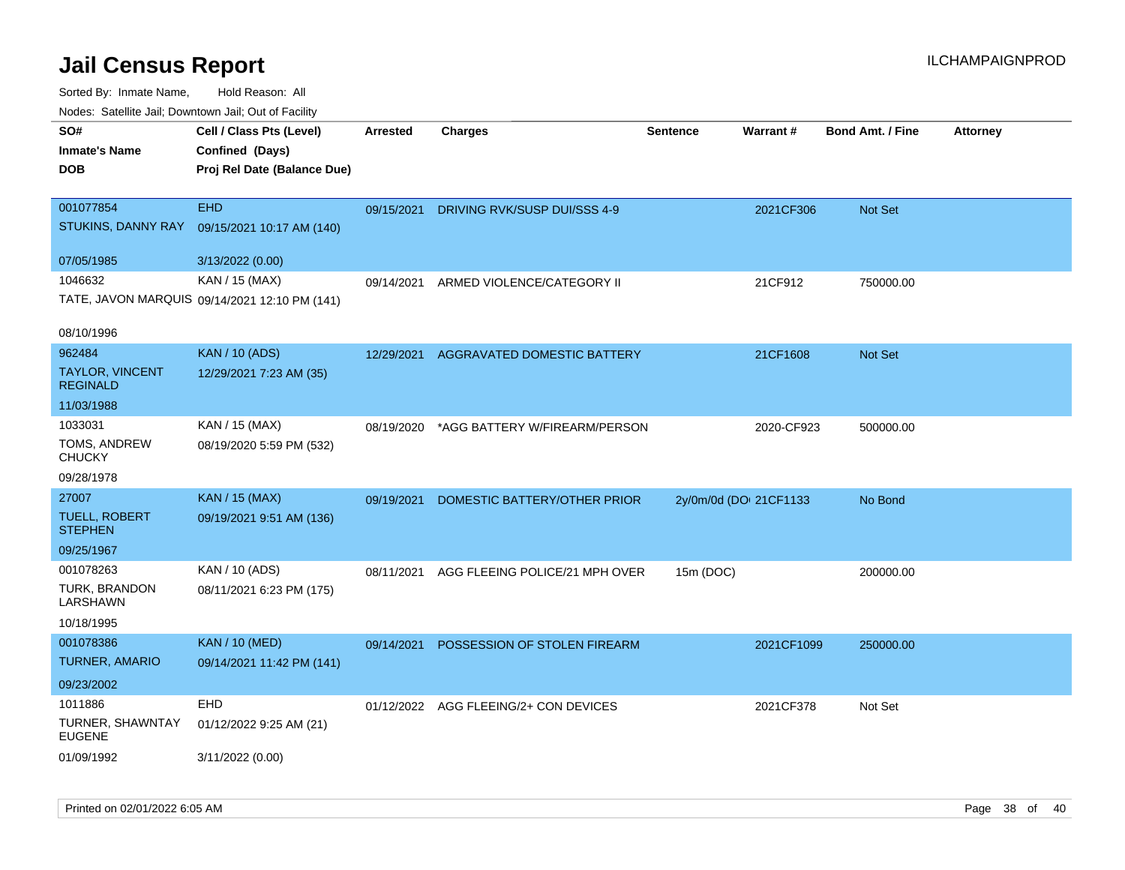| rougs. Calcing Jan, Downtown Jan, Out of Facility             |                                                                            |                 |                                       |                        |            |                         |                 |
|---------------------------------------------------------------|----------------------------------------------------------------------------|-----------------|---------------------------------------|------------------------|------------|-------------------------|-----------------|
| SO#<br><b>Inmate's Name</b><br><b>DOB</b>                     | Cell / Class Pts (Level)<br>Confined (Days)<br>Proj Rel Date (Balance Due) | <b>Arrested</b> | <b>Charges</b>                        | <b>Sentence</b>        | Warrant#   | <b>Bond Amt. / Fine</b> | <b>Attorney</b> |
| 001077854<br>STUKINS, DANNY RAY                               | <b>EHD</b><br>09/15/2021 10:17 AM (140)                                    | 09/15/2021      | DRIVING RVK/SUSP DUI/SSS 4-9          |                        | 2021CF306  | Not Set                 |                 |
| 07/05/1985                                                    | 3/13/2022 (0.00)                                                           |                 |                                       |                        |            |                         |                 |
| 1046632                                                       | KAN / 15 (MAX)<br>TATE, JAVON MARQUIS 09/14/2021 12:10 PM (141)            | 09/14/2021      | ARMED VIOLENCE/CATEGORY II            |                        | 21CF912    | 750000.00               |                 |
| 08/10/1996                                                    |                                                                            |                 |                                       |                        |            |                         |                 |
| 962484<br>TAYLOR, VINCENT<br><b>REGINALD</b>                  | <b>KAN / 10 (ADS)</b><br>12/29/2021 7:23 AM (35)                           | 12/29/2021      | AGGRAVATED DOMESTIC BATTERY           |                        | 21CF1608   | Not Set                 |                 |
| 11/03/1988                                                    |                                                                            |                 |                                       |                        |            |                         |                 |
| 1033031<br>TOMS, ANDREW<br><b>CHUCKY</b>                      | KAN / 15 (MAX)<br>08/19/2020 5:59 PM (532)                                 | 08/19/2020      | *AGG BATTERY W/FIREARM/PERSON         |                        | 2020-CF923 | 500000.00               |                 |
| 09/28/1978                                                    |                                                                            |                 |                                       |                        |            |                         |                 |
| 27007<br><b>TUELL, ROBERT</b><br><b>STEPHEN</b><br>09/25/1967 | <b>KAN / 15 (MAX)</b><br>09/19/2021 9:51 AM (136)                          | 09/19/2021      | DOMESTIC BATTERY/OTHER PRIOR          | 2y/0m/0d (DOI 21CF1133 |            | No Bond                 |                 |
| 001078263                                                     | KAN / 10 (ADS)                                                             | 08/11/2021      | AGG FLEEING POLICE/21 MPH OVER        | 15m (DOC)              |            | 200000.00               |                 |
| TURK, BRANDON<br>LARSHAWN<br>10/18/1995                       | 08/11/2021 6:23 PM (175)                                                   |                 |                                       |                        |            |                         |                 |
| 001078386<br><b>TURNER, AMARIO</b>                            | <b>KAN / 10 (MED)</b><br>09/14/2021 11:42 PM (141)                         | 09/14/2021      | POSSESSION OF STOLEN FIREARM          |                        | 2021CF1099 | 250000.00               |                 |
| 09/23/2002                                                    |                                                                            |                 |                                       |                        |            |                         |                 |
| 1011886<br>TURNER, SHAWNTAY<br><b>EUGENE</b>                  | <b>EHD</b><br>01/12/2022 9:25 AM (21)                                      |                 | 01/12/2022 AGG FLEEING/2+ CON DEVICES |                        | 2021CF378  | Not Set                 |                 |
| 01/09/1992                                                    | 3/11/2022 (0.00)                                                           |                 |                                       |                        |            |                         |                 |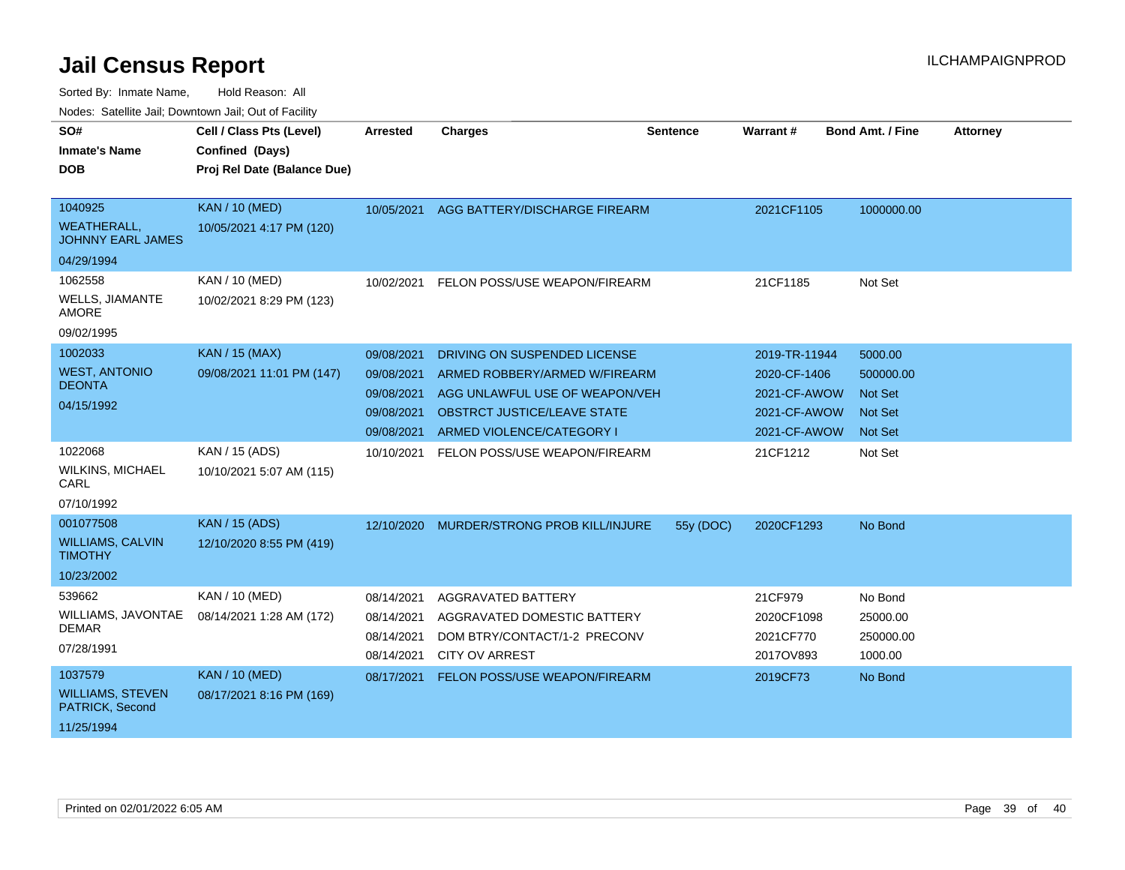| SO#<br><b>Inmate's Name</b><br><b>DOB</b>                                     | Cell / Class Pts (Level)<br>Confined (Days)<br>Proj Rel Date (Balance Due) | <b>Arrested</b>                                                    | <b>Charges</b>                                                                                                                                                     | <b>Sentence</b> | Warrant#                                                                      | <b>Bond Amt. / Fine</b>                                             | <b>Attorney</b> |
|-------------------------------------------------------------------------------|----------------------------------------------------------------------------|--------------------------------------------------------------------|--------------------------------------------------------------------------------------------------------------------------------------------------------------------|-----------------|-------------------------------------------------------------------------------|---------------------------------------------------------------------|-----------------|
| 1040925<br><b>WEATHERALL,</b><br><b>JOHNNY EARL JAMES</b>                     | <b>KAN / 10 (MED)</b><br>10/05/2021 4:17 PM (120)                          | 10/05/2021                                                         | AGG BATTERY/DISCHARGE FIREARM                                                                                                                                      |                 | 2021CF1105                                                                    | 1000000.00                                                          |                 |
| 04/29/1994<br>1062558<br><b>WELLS, JIAMANTE</b><br><b>AMORE</b><br>09/02/1995 | <b>KAN / 10 (MED)</b><br>10/02/2021 8:29 PM (123)                          | 10/02/2021                                                         | FELON POSS/USE WEAPON/FIREARM                                                                                                                                      |                 | 21CF1185                                                                      | Not Set                                                             |                 |
| 1002033<br><b>WEST, ANTONIO</b><br><b>DEONTA</b><br>04/15/1992                | <b>KAN / 15 (MAX)</b><br>09/08/2021 11:01 PM (147)                         | 09/08/2021<br>09/08/2021<br>09/08/2021<br>09/08/2021<br>09/08/2021 | DRIVING ON SUSPENDED LICENSE<br>ARMED ROBBERY/ARMED W/FIREARM<br>AGG UNLAWFUL USE OF WEAPON/VEH<br><b>OBSTRCT JUSTICE/LEAVE STATE</b><br>ARMED VIOLENCE/CATEGORY I |                 | 2019-TR-11944<br>2020-CF-1406<br>2021-CF-AWOW<br>2021-CF-AWOW<br>2021-CF-AWOW | 5000.00<br>500000.00<br><b>Not Set</b><br>Not Set<br><b>Not Set</b> |                 |
| 1022068<br><b>WILKINS, MICHAEL</b><br>CARL<br>07/10/1992                      | KAN / 15 (ADS)<br>10/10/2021 5:07 AM (115)                                 | 10/10/2021                                                         | FELON POSS/USE WEAPON/FIREARM                                                                                                                                      |                 | 21CF1212                                                                      | Not Set                                                             |                 |
| 001077508<br><b>WILLIAMS, CALVIN</b><br><b>TIMOTHY</b><br>10/23/2002          | <b>KAN / 15 (ADS)</b><br>12/10/2020 8:55 PM (419)                          | 12/10/2020                                                         | MURDER/STRONG PROB KILL/INJURE                                                                                                                                     | 55y (DOC)       | 2020CF1293                                                                    | No Bond                                                             |                 |
| 539662<br>WILLIAMS, JAVONTAE<br><b>DEMAR</b><br>07/28/1991                    | KAN / 10 (MED)<br>08/14/2021 1:28 AM (172)                                 | 08/14/2021<br>08/14/2021<br>08/14/2021<br>08/14/2021               | AGGRAVATED BATTERY<br>AGGRAVATED DOMESTIC BATTERY<br>DOM BTRY/CONTACT/1-2 PRECONV<br><b>CITY OV ARREST</b>                                                         |                 | 21CF979<br>2020CF1098<br>2021CF770<br>2017OV893                               | No Bond<br>25000.00<br>250000.00<br>1000.00                         |                 |
| 1037579<br><b>WILLIAMS, STEVEN</b><br>PATRICK, Second<br>11/25/1994           | <b>KAN / 10 (MED)</b><br>08/17/2021 8:16 PM (169)                          | 08/17/2021                                                         | FELON POSS/USE WEAPON/FIREARM                                                                                                                                      |                 | 2019CF73                                                                      | No Bond                                                             |                 |